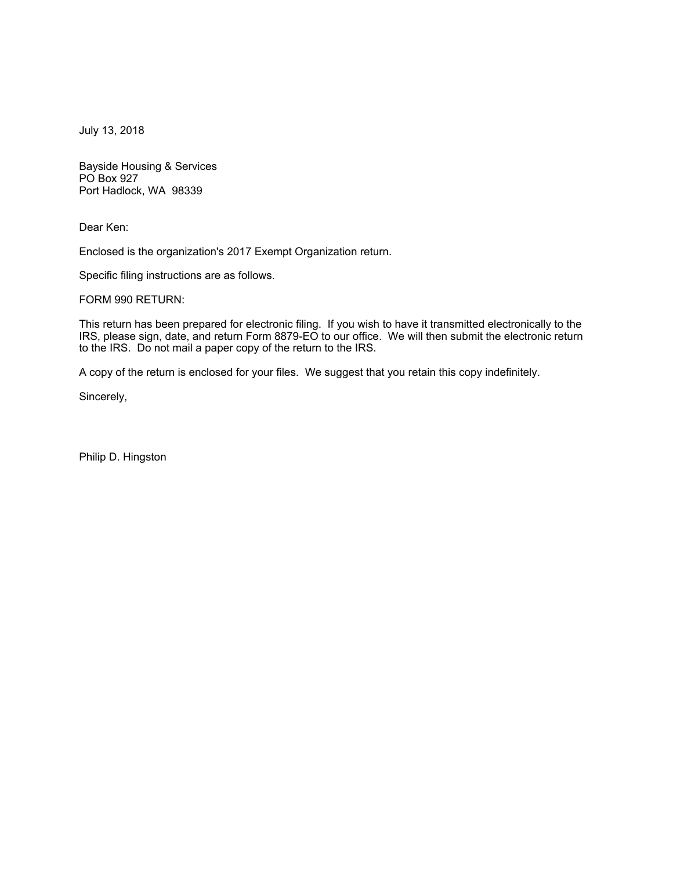July 13, 2018

Bayside Housing & Services PO Box 927 Port Hadlock, WA 98339

Dear Ken:

Enclosed is the organization's 2017 Exempt Organization return.

Specific filing instructions are as follows.

FORM 990 RETURN:

This return has been prepared for electronic filing. If you wish to have it transmitted electronically to the IRS, please sign, date, and return Form 8879-EO to our office. We will then submit the electronic return to the IRS. Do not mail a paper copy of the return to the IRS.

A copy of the return is enclosed for your files. We suggest that you retain this copy indefinitely.

Sincerely,

Philip D. Hingston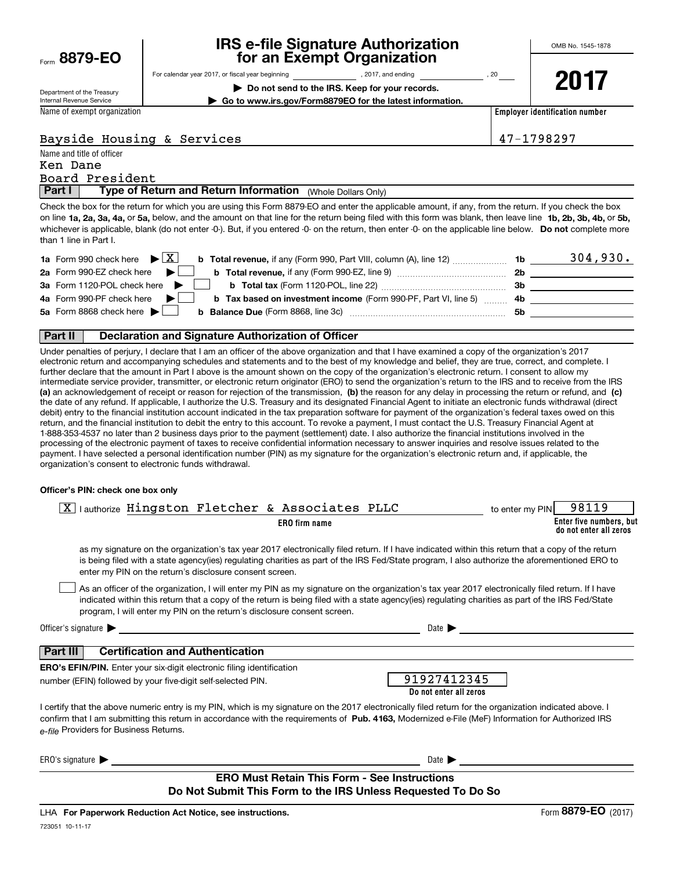| Form | 8879-EO |  |
|------|---------|--|
|      |         |  |

## **IRS e-file Signature Authorization for an Exempt Organization**

**2017**

Department of the Treasury Internal Revenue Service

**| Do not send to the IRS. Keep for your records.**

For calendar year 2017, or fiscal year beginning and the set of the set of 2017, and ending the set of 20 year

**| Go to www.irs.gov/Form8879EO for the latest information.**

Name of exempt organization

**Employer identification number**

## Bayside Housing & Services 47-1798297

Name and title of officer **Part I** | Type of Return and Return Information (Whole Dollars Only) Board President Ken Dane

on line **1a, 2a, 3a, 4a,** or **5a,** below, and the amount on that line for the return being filed with this form was blank, then leave line **1b, 2b, 3b, 4b,** or **5b,** whichever is applicable, blank (do not enter -0-). But, if you entered -0- on the return, then enter -0- on the applicable line below. **Do not** complete more Check the box for the return for which you are using this Form 8879-EO and enter the applicable amount, if any, from the return. If you check the box than 1 line in Part I.

| <b>1a</b> Form 990 check here $\triangleright$ $\boxed{X}$<br><b>b Total revenue, if any (Form 990, Part VIII, column (A), line 12)</b>        | 1b. | 304,930. |
|------------------------------------------------------------------------------------------------------------------------------------------------|-----|----------|
| 2a Form 990-EZ check here $\blacktriangleright$<br><b>b</b> Total revenue, if any (Form 990-EZ, line 9)                                        | 2b  |          |
| 3a Form 1120-POL check here                                                                                                                    | Зb  |          |
| 4a Form 990-PF check here $\blacktriangleright$<br><b>b Tax based on investment income</b> (Form 990-PF, Part VI, line 5)                      | -4b |          |
| 5a Form 8868 check here $\blacktriangleright$<br><b>b</b> Balance Due (Form 8868, line 3c) <b>Constanting Balance Due</b> (Form 8868, line 3c) | .5b |          |
|                                                                                                                                                |     |          |

#### **Part II Declaration and Signature Authorization of Officer**

**(a)** an acknowledgement of receipt or reason for rejection of the transmission, (b) the reason for any delay in processing the return or refund, and (c) Under penalties of perjury, I declare that I am an officer of the above organization and that I have examined a copy of the organization's 2017 electronic return and accompanying schedules and statements and to the best of my knowledge and belief, they are true, correct, and complete. I further declare that the amount in Part I above is the amount shown on the copy of the organization's electronic return. I consent to allow my intermediate service provider, transmitter, or electronic return originator (ERO) to send the organization's return to the IRS and to receive from the IRS the date of any refund. If applicable, I authorize the U.S. Treasury and its designated Financial Agent to initiate an electronic funds withdrawal (direct debit) entry to the financial institution account indicated in the tax preparation software for payment of the organization's federal taxes owed on this return, and the financial institution to debit the entry to this account. To revoke a payment, I must contact the U.S. Treasury Financial Agent at 1-888-353-4537 no later than 2 business days prior to the payment (settlement) date. I also authorize the financial institutions involved in the processing of the electronic payment of taxes to receive confidential information necessary to answer inquiries and resolve issues related to the payment. I have selected a personal identification number (PIN) as my signature for the organization's electronic return and, if applicable, the organization's consent to electronic funds withdrawal.

#### **Officer's PIN: check one box only**

| $\overline{X}$ lauthorize Hingston Fletcher & Associates PLLC<br>to enter my PIN                                                                                                                                                                                                                                                                                                 | 98119                                             |
|----------------------------------------------------------------------------------------------------------------------------------------------------------------------------------------------------------------------------------------------------------------------------------------------------------------------------------------------------------------------------------|---------------------------------------------------|
| ERO firm name                                                                                                                                                                                                                                                                                                                                                                    | Enter five numbers, but<br>do not enter all zeros |
| as my signature on the organization's tax year 2017 electronically filed return. If I have indicated within this return that a copy of the return<br>is being filed with a state agency(ies) regulating charities as part of the IRS Fed/State program, I also authorize the aforementioned ERO to<br>enter my PIN on the return's disclosure consent screen.                    |                                                   |
| As an officer of the organization, I will enter my PIN as my signature on the organization's tax year 2017 electronically filed return. If I have<br>indicated within this return that a copy of the return is being filed with a state agency(ies) regulating charities as part of the IRS Fed/State<br>program, I will enter my PIN on the return's disclosure consent screen. |                                                   |
| Officer's signature $\blacktriangleright$<br>Date $\blacktriangleright$                                                                                                                                                                                                                                                                                                          |                                                   |
| <b>Certification and Authentication</b><br>Part III                                                                                                                                                                                                                                                                                                                              |                                                   |
| <b>ERO's EFIN/PIN.</b> Enter your six-digit electronic filing identification                                                                                                                                                                                                                                                                                                     |                                                   |
| 91927412345<br>number (EFIN) followed by your five-digit self-selected PIN.<br>Do not enter all zeros                                                                                                                                                                                                                                                                            |                                                   |
| I certify that the above numeric entry is my PIN, which is my signature on the 2017 electronically filed return for the organization indicated above. I<br>confirm that I am submitting this return in accordance with the requirements of Pub. 4163, Modernized e-File (MeF) Information for Authorized IRS<br>e-file Providers for Business Returns.                           |                                                   |
| ERO's signature $\blacktriangleright$<br>Date $\blacktriangleright$                                                                                                                                                                                                                                                                                                              |                                                   |
| <b>ERO Must Retain This Form - See Instructions</b><br>Do Not Submit This Form to the IRS Unless Requested To Do So                                                                                                                                                                                                                                                              |                                                   |

723051 10-11-17 LHA For Paperwork Reduction Act Notice, see instructions.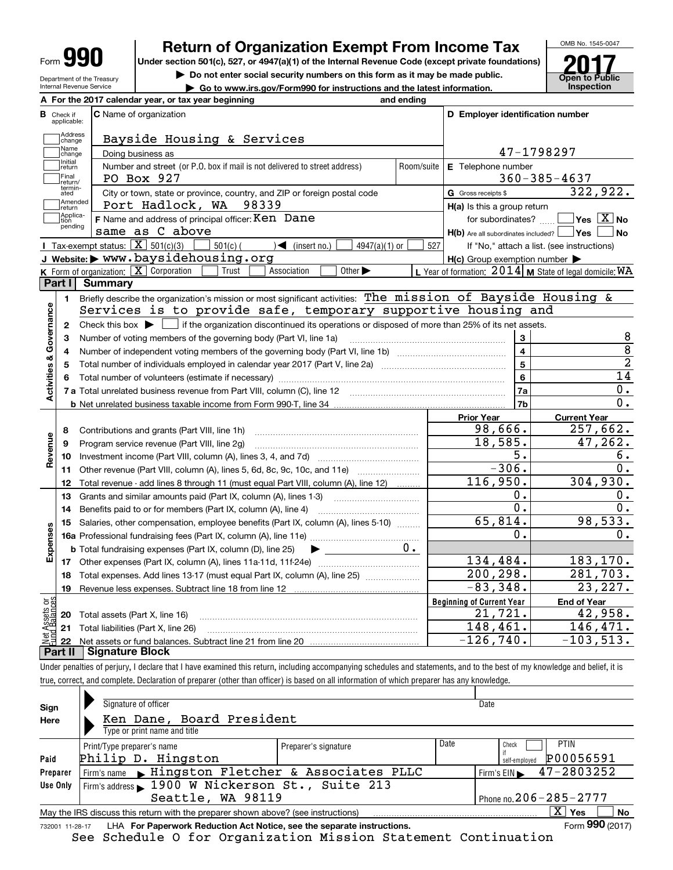| M<br>I<br>Iſ<br>Form<br>ι. |  |
|----------------------------|--|
|----------------------------|--|

**A**

Department of the Treasury Internal Revenue Service

## **Return of Organization Exempt From Income Tax**

**Under section 501(c), 527, or 4947(a)(1) of the Internal Revenue Code (except private foundations)**

**| Do not enter social security numbers on this form as it may be made public.**

**| Go to www.irs.gov/Form990 for instructions and the latest information. Inspection**



|                                           |                         | A For the 2017 calendar year, or tax year beginning                                                                                                 | and ending                |                                                     |                                                           |
|-------------------------------------------|-------------------------|-----------------------------------------------------------------------------------------------------------------------------------------------------|---------------------------|-----------------------------------------------------|-----------------------------------------------------------|
| В                                         | Check if<br>applicable: | <b>C</b> Name of organization                                                                                                                       |                           | D Employer identification number                    |                                                           |
|                                           | Address<br>change       | Bayside Housing & Services                                                                                                                          |                           |                                                     |                                                           |
|                                           | Name<br>change          | Doing business as                                                                                                                                   | 47-1798297                |                                                     |                                                           |
|                                           | Initial<br>return       | Number and street (or P.O. box if mail is not delivered to street address)                                                                          | <b>E</b> Telephone number |                                                     |                                                           |
|                                           | Final<br>return/        | PO Box 927                                                                                                                                          | Room/suite                |                                                     | $360 - 385 - 4637$                                        |
|                                           | termin-<br>ated         | City or town, state or province, country, and ZIP or foreign postal code                                                                            |                           | G Gross receipts \$                                 | 322,922.                                                  |
|                                           | Amended<br>Ireturn      | Port Hadlock, WA 98339                                                                                                                              |                           | $H(a)$ is this a group return                       |                                                           |
|                                           | Applica-<br>tion        | F Name and address of principal officer: Ken Dane                                                                                                   |                           | for subordinates?                                   | $Yes \ \boxed{X}$ No                                      |
|                                           | pending                 | same as C above                                                                                                                                     |                           | $H(b)$ Are all subordinates included? $\Box$ Yes    | <b>No</b>                                                 |
|                                           |                         | Tax-exempt status: $\boxed{\mathbf{X}}$ 501(c)(3) $\boxed{\mathbf{X}}$<br>$\overline{\phantom{0}}$ 501(c) ( ) (insert no.)<br>$4947(a)(1)$ or       | 527                       |                                                     | If "No," attach a list. (see instructions)                |
|                                           |                         | J Website: > www.baysidehousing.org                                                                                                                 |                           | $H(c)$ Group exemption number $\blacktriangleright$ |                                                           |
|                                           |                         | K Form of organization: $X$ Corporation<br>Trust<br>Association<br>Other $\blacktriangleright$                                                      |                           |                                                     | L Year of formation: $2014$ M State of legal domicile: WA |
| Part I                                    |                         | Summary                                                                                                                                             |                           |                                                     |                                                           |
|                                           | 1.                      | Briefly describe the organization's mission or most significant activities: The mission of Bayside Housing &                                        |                           |                                                     |                                                           |
|                                           |                         | Services is to provide safe, temporary supportive housing and                                                                                       |                           |                                                     |                                                           |
| Activities & Governance                   | $\mathbf{2}$            | Check this box $\blacktriangleright$ $\blacksquare$ if the organization discontinued its operations or disposed of more than 25% of its net assets. |                           |                                                     |                                                           |
|                                           | 3                       | Number of voting members of the governing body (Part VI, line 1a)                                                                                   |                           | 3                                                   | 8                                                         |
|                                           | 4                       |                                                                                                                                                     |                           | $\overline{4}$                                      | 8                                                         |
|                                           | 5                       |                                                                                                                                                     |                           | $5\overline{5}$                                     | $\overline{2}$                                            |
|                                           | 6                       |                                                                                                                                                     |                           | $6\overline{6}$                                     | $\overline{14}$                                           |
|                                           |                         |                                                                                                                                                     |                           | <b>7a</b>                                           | 0.                                                        |
|                                           |                         |                                                                                                                                                     |                           | 7 <sub>b</sub>                                      | 0.                                                        |
|                                           |                         |                                                                                                                                                     |                           | <b>Prior Year</b>                                   | <b>Current Year</b>                                       |
|                                           | 8                       | Contributions and grants (Part VIII, line 1h)                                                                                                       |                           | 98,666.                                             | 257,662.                                                  |
| Revenue                                   | 9                       | Program service revenue (Part VIII, line 2g)                                                                                                        |                           | 18,585.                                             | 47,262.                                                   |
|                                           | 10                      |                                                                                                                                                     |                           | $\overline{5}$ .                                    | 6.                                                        |
|                                           | 11                      | Other revenue (Part VIII, column (A), lines 5, 6d, 8c, 9c, 10c, and 11e)                                                                            |                           | $-306.$                                             | 0.                                                        |
|                                           | 12                      | Total revenue - add lines 8 through 11 (must equal Part VIII, column (A), line 12)                                                                  |                           | 116,950.                                            | 304,930.                                                  |
|                                           | 13                      | Grants and similar amounts paid (Part IX, column (A), lines 1-3)                                                                                    |                           | Ο.                                                  | 0.                                                        |
|                                           | 14                      |                                                                                                                                                     |                           | $\overline{0}$ .                                    | $\overline{0}$ .                                          |
|                                           | 15                      | Salaries, other compensation, employee benefits (Part IX, column (A), lines 5-10)                                                                   |                           | 65,814.                                             | 98,533.                                                   |
|                                           |                         |                                                                                                                                                     |                           | Ο.                                                  | 0.                                                        |
|                                           |                         | <b>b</b> Total fundraising expenses (Part IX, column (D), line 25)<br>$\blacktriangleright$ and $\blacktriangleright$                               | υ.                        |                                                     |                                                           |
|                                           |                         |                                                                                                                                                     |                           |                                                     |                                                           |
|                                           |                         |                                                                                                                                                     |                           | 134,484.                                            |                                                           |
|                                           | 18                      |                                                                                                                                                     |                           | 200,298.                                            |                                                           |
|                                           | 19                      | Total expenses. Add lines 13-17 (must equal Part IX, column (A), line 25)                                                                           |                           | $-83,348.$                                          |                                                           |
|                                           |                         |                                                                                                                                                     |                           |                                                     | <b>End of Year</b>                                        |
|                                           | 20                      |                                                                                                                                                     |                           | <b>Beginning of Current Year</b><br>21,721.         |                                                           |
| Expenses<br>Ξğ<br>$\overline{\mathbf{c}}$ |                         | Total assets (Part X, line 16)<br>21 Total liabilities (Part X, line 26)                                                                            |                           | 148,461.                                            | 183, 170.<br>281,703.<br>23, 227.<br>42,958.<br>146, 471. |

Under penalties of perjury, I declare that I have examined this return, including accompanying schedules and statements, and to the best of my knowledge and belief, it is true, correct, and complete. Declaration of preparer (other than officer) is based on all information of which preparer has any knowledge.

| Sign     | Signature of officer                                                                                         |                      |                              | Date                                        |  |  |  |
|----------|--------------------------------------------------------------------------------------------------------------|----------------------|------------------------------|---------------------------------------------|--|--|--|
| Here     | Ken Dane, Board President                                                                                    |                      |                              |                                             |  |  |  |
|          | Type or print name and title                                                                                 |                      |                              |                                             |  |  |  |
|          | Print/Type preparer's name                                                                                   | Preparer's signature | Date                         | PTIN<br>Check                               |  |  |  |
| Paid     | Philip D. Hingston                                                                                           |                      |                              | P00056591<br>self-emploved                  |  |  |  |
| Preparer | Firm's name Fingston Fletcher & Associates PLLC                                                              |                      |                              | Firm's EIN $\blacktriangleright$ 47-2803252 |  |  |  |
| Use Only | Firm's address 1900 W Nickerson St., Suite 213                                                               |                      |                              |                                             |  |  |  |
|          | Seattle, WA 98119                                                                                            |                      | Phone no. $206 - 285 - 2777$ |                                             |  |  |  |
|          | May the IRS discuss this return with the preparer shown above? (see instructions)                            |                      |                              | $\mathbf{X}$<br><b>No</b><br>∣ Yes          |  |  |  |
|          | Form 990 (2017)<br>LHA For Paperwork Reduction Act Notice, see the separate instructions.<br>732001 11-28-17 |                      |                              |                                             |  |  |  |

See Schedule O for Organization Mission Statement Continuation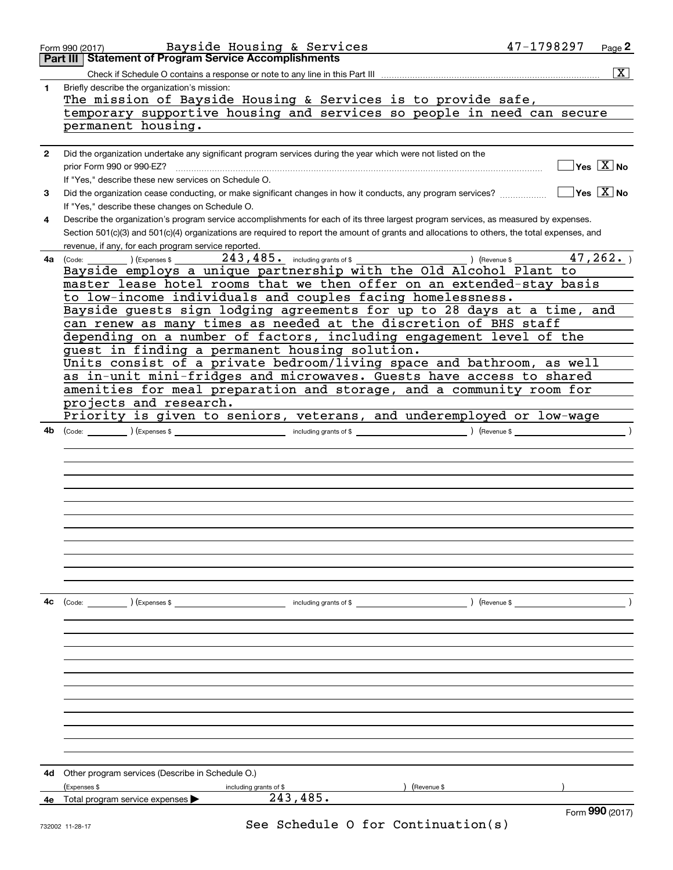|    | Form 990 (2017)                                         | Bayside Housing & Services                                                                                                                   | 47-1798297<br>Page 2                   |
|----|---------------------------------------------------------|----------------------------------------------------------------------------------------------------------------------------------------------|----------------------------------------|
|    | Part III   Statement of Program Service Accomplishments |                                                                                                                                              |                                        |
|    |                                                         |                                                                                                                                              | $\boxed{\text{X}}$                     |
| 1  | Briefly describe the organization's mission:            |                                                                                                                                              |                                        |
|    |                                                         | The mission of Bayside Housing & Services is to provide safe,                                                                                |                                        |
|    |                                                         | temporary supportive housing and services so people in need can secure                                                                       |                                        |
|    | permanent housing.                                      |                                                                                                                                              |                                        |
|    |                                                         |                                                                                                                                              |                                        |
| 2  |                                                         | Did the organization undertake any significant program services during the year which were not listed on the                                 |                                        |
|    |                                                         |                                                                                                                                              | $\sqrt{}$ Yes $\sqrt{}$ X $\sqrt{}$ No |
|    | prior Form 990 or 990-EZ?                               |                                                                                                                                              |                                        |
|    | If "Yes," describe these new services on Schedule O.    |                                                                                                                                              |                                        |
| 3  |                                                         | Did the organization cease conducting, or make significant changes in how it conducts, any program services?                                 | $\Box$ Yes $\Box$ No                   |
|    | If "Yes," describe these changes on Schedule O.         |                                                                                                                                              |                                        |
| 4  |                                                         | Describe the organization's program service accomplishments for each of its three largest program services, as measured by expenses.         |                                        |
|    |                                                         | Section 501(c)(3) and 501(c)(4) organizations are required to report the amount of grants and allocations to others, the total expenses, and |                                        |
|    | revenue, if any, for each program service reported.     |                                                                                                                                              |                                        |
| 4a |                                                         |                                                                                                                                              | 47, 262.                               |
|    |                                                         | Bayside employs a unique partnership with the Old Alcohol Plant to                                                                           |                                        |
|    |                                                         | master lease hotel rooms that we then offer on an extended-stay basis                                                                        |                                        |
|    |                                                         | to low-income individuals and couples facing homelessness.                                                                                   |                                        |
|    |                                                         | Bayside guests sign lodging agreements for up to 28 days at a time, and                                                                      |                                        |
|    |                                                         | can renew as many times as needed at the discretion of BHS staff                                                                             |                                        |
|    |                                                         | depending on a number of factors, including engagement level of the                                                                          |                                        |
|    | guest in finding a permanent housing solution.          |                                                                                                                                              |                                        |
|    |                                                         | Units consist of a private bedroom/living space and bathroom, as well                                                                        |                                        |
|    |                                                         | as in-unit mini-fridges and microwaves. Guests have access to shared                                                                         |                                        |
|    |                                                         | amenities for meal preparation and storage, and a community room for                                                                         |                                        |
|    | projects and research.                                  |                                                                                                                                              |                                        |
|    |                                                         | Priority is given to seniors, veterans, and underemployed or low-wage                                                                        |                                        |
| 4b |                                                         |                                                                                                                                              |                                        |
|    |                                                         |                                                                                                                                              |                                        |
|    |                                                         |                                                                                                                                              |                                        |
|    |                                                         |                                                                                                                                              |                                        |
|    |                                                         |                                                                                                                                              |                                        |
|    |                                                         |                                                                                                                                              |                                        |
|    |                                                         |                                                                                                                                              |                                        |
|    |                                                         |                                                                                                                                              |                                        |
|    |                                                         |                                                                                                                                              |                                        |
|    |                                                         |                                                                                                                                              |                                        |
|    |                                                         |                                                                                                                                              |                                        |
|    |                                                         |                                                                                                                                              |                                        |
|    |                                                         |                                                                                                                                              |                                        |
|    |                                                         |                                                                                                                                              |                                        |
| 4c |                                                         |                                                                                                                                              | ) (Revenue \$                          |
|    |                                                         |                                                                                                                                              |                                        |
|    |                                                         |                                                                                                                                              |                                        |
|    |                                                         |                                                                                                                                              |                                        |
|    |                                                         |                                                                                                                                              |                                        |
|    |                                                         |                                                                                                                                              |                                        |
|    |                                                         |                                                                                                                                              |                                        |
|    |                                                         |                                                                                                                                              |                                        |
|    |                                                         |                                                                                                                                              |                                        |
|    |                                                         |                                                                                                                                              |                                        |
|    |                                                         |                                                                                                                                              |                                        |
|    |                                                         |                                                                                                                                              |                                        |
|    |                                                         |                                                                                                                                              |                                        |
|    |                                                         |                                                                                                                                              |                                        |
| 4d | Other program services (Describe in Schedule O.)        |                                                                                                                                              |                                        |
|    | (Expenses \$<br>including grants of \$                  | ) (Revenue \$                                                                                                                                |                                        |
| 4е | Total program service expenses                          | 243,485.                                                                                                                                     |                                        |
|    |                                                         |                                                                                                                                              | Form 990 (2017)                        |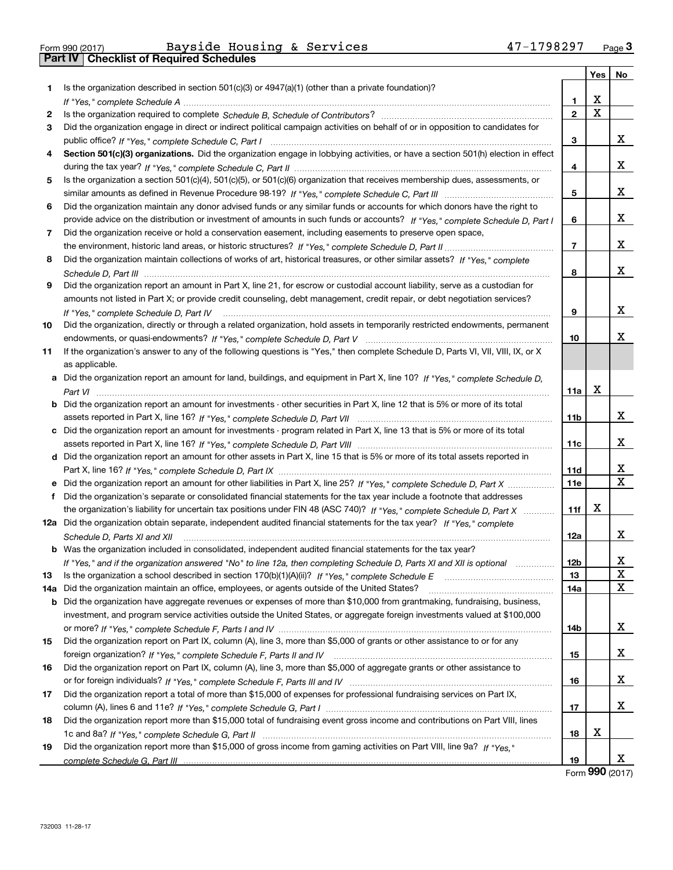|  | Form 990 (2017) |
|--|-----------------|

Form 990 (2017) Page **3Part IV Checklist of Required Schedules** Bayside Housing & Services 47-1798297

|     |                                                                                                                                      |                | Yes | No |
|-----|--------------------------------------------------------------------------------------------------------------------------------------|----------------|-----|----|
| 1.  | Is the organization described in section $501(c)(3)$ or $4947(a)(1)$ (other than a private foundation)?                              |                |     |    |
|     |                                                                                                                                      | 1.             | Χ   |    |
| 2   |                                                                                                                                      | $\overline{2}$ | X   |    |
| 3   | Did the organization engage in direct or indirect political campaign activities on behalf of or in opposition to candidates for      |                |     |    |
|     |                                                                                                                                      | 3              |     | x  |
| 4   | Section 501(c)(3) organizations. Did the organization engage in lobbying activities, or have a section 501(h) election in effect     |                |     |    |
|     |                                                                                                                                      | 4              |     | x  |
| 5   | Is the organization a section 501(c)(4), 501(c)(5), or 501(c)(6) organization that receives membership dues, assessments, or         |                |     |    |
|     |                                                                                                                                      | 5              |     | х  |
| 6   | Did the organization maintain any donor advised funds or any similar funds or accounts for which donors have the right to            |                |     |    |
|     | provide advice on the distribution or investment of amounts in such funds or accounts? If "Yes," complete Schedule D, Part I         | 6              |     | x  |
| 7   | Did the organization receive or hold a conservation easement, including easements to preserve open space,                            |                |     |    |
|     |                                                                                                                                      | $\overline{7}$ |     | x  |
| 8   | Did the organization maintain collections of works of art, historical treasures, or other similar assets? If "Yes," complete         |                |     |    |
|     |                                                                                                                                      | 8              |     | x  |
| 9   | Did the organization report an amount in Part X, line 21, for escrow or custodial account liability, serve as a custodian for        |                |     |    |
|     | amounts not listed in Part X; or provide credit counseling, debt management, credit repair, or debt negotiation services?            |                |     |    |
|     | If "Yes," complete Schedule D, Part IV                                                                                               | 9              |     | х  |
| 10  | Did the organization, directly or through a related organization, hold assets in temporarily restricted endowments, permanent        |                |     |    |
|     |                                                                                                                                      | 10             |     | x  |
| 11  | If the organization's answer to any of the following questions is "Yes," then complete Schedule D, Parts VI, VIII, VIII, IX, or X    |                |     |    |
|     | as applicable.                                                                                                                       |                |     |    |
|     | a Did the organization report an amount for land, buildings, and equipment in Part X, line 10? If "Yes," complete Schedule D,        |                |     |    |
|     |                                                                                                                                      | 11a            | X   |    |
|     | <b>b</b> Did the organization report an amount for investments - other securities in Part X, line 12 that is 5% or more of its total |                |     |    |
|     |                                                                                                                                      | 11b            |     | х  |
|     | c Did the organization report an amount for investments - program related in Part X, line 13 that is 5% or more of its total         |                |     |    |
|     |                                                                                                                                      | 11c            |     | x  |
|     | d Did the organization report an amount for other assets in Part X, line 15 that is 5% or more of its total assets reported in       |                |     |    |
|     |                                                                                                                                      | 11d            |     | х  |
|     | e Did the organization report an amount for other liabilities in Part X, line 25? If "Yes," complete Schedule D, Part X              | 11e            |     | x  |
|     | Did the organization's separate or consolidated financial statements for the tax year include a footnote that addresses              |                |     |    |
|     | the organization's liability for uncertain tax positions under FIN 48 (ASC 740)? If "Yes," complete Schedule D, Part X               | 11f            | X   |    |
|     | 12a Did the organization obtain separate, independent audited financial statements for the tax year? If "Yes," complete              |                |     |    |
|     | Schedule D, Parts XI and XII                                                                                                         | 12a            |     | x  |
|     | <b>b</b> Was the organization included in consolidated, independent audited financial statements for the tax year?                   |                |     |    |
|     | If "Yes," and if the organization answered "No" to line 12a, then completing Schedule D, Parts XI and XII is optional metallion      | 12b            |     | X  |
| 13  |                                                                                                                                      | 13             |     | X  |
| 14a | Did the organization maintain an office, employees, or agents outside of the United States?                                          | 14a            |     | x  |
|     | b Did the organization have aggregate revenues or expenses of more than \$10,000 from grantmaking, fundraising, business,            |                |     |    |
|     | investment, and program service activities outside the United States, or aggregate foreign investments valued at \$100,000           |                |     |    |
|     |                                                                                                                                      | 14b            |     | x  |
| 15  | Did the organization report on Part IX, column (A), line 3, more than \$5,000 of grants or other assistance to or for any            |                |     |    |
|     |                                                                                                                                      | 15             |     | x  |
| 16  | Did the organization report on Part IX, column (A), line 3, more than \$5,000 of aggregate grants or other assistance to             |                |     |    |
|     |                                                                                                                                      | 16             |     | x  |
| 17  | Did the organization report a total of more than \$15,000 of expenses for professional fundraising services on Part IX,              |                |     |    |
|     |                                                                                                                                      | 17             |     | x  |
| 18  | Did the organization report more than \$15,000 total of fundraising event gross income and contributions on Part VIII, lines         |                |     |    |
|     |                                                                                                                                      | 18             | х   |    |
| 19  | Did the organization report more than \$15,000 of gross income from gaming activities on Part VIII, line 9a? If "Yes."               |                |     |    |
|     |                                                                                                                                      | 19             |     | x  |

Form (2017) **990**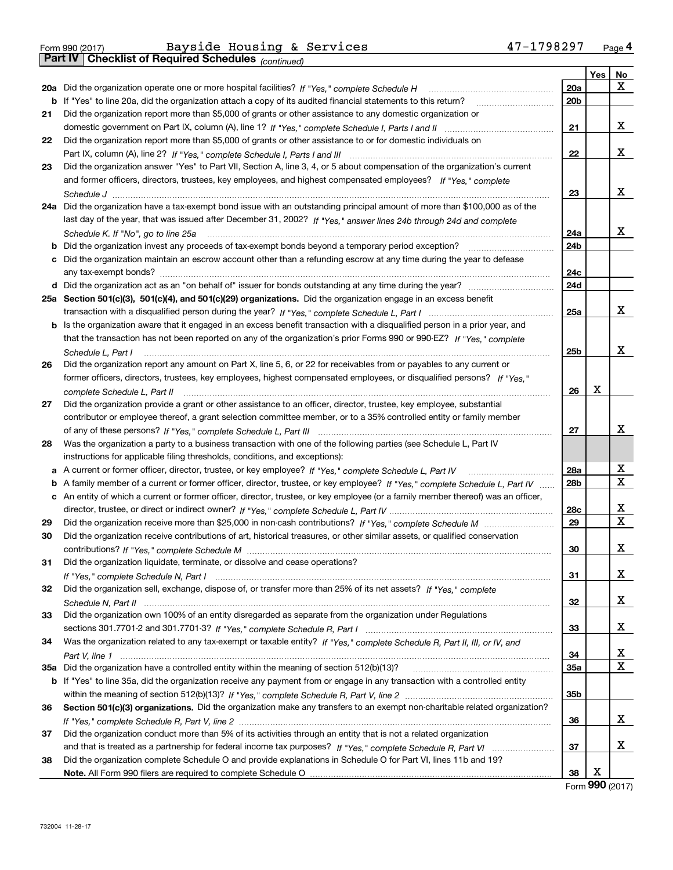|  | Form 990 (2017) |
|--|-----------------|

*(continued)*

|    |                                                                                                                                   |                 | Yes $ $ | No |
|----|-----------------------------------------------------------------------------------------------------------------------------------|-----------------|---------|----|
|    | 20a Did the organization operate one or more hospital facilities? If "Yes," complete Schedule H                                   | <b>20a</b>      |         | x  |
|    | b If "Yes" to line 20a, did the organization attach a copy of its audited financial statements to this return?                    | 20 <sub>b</sub> |         |    |
| 21 | Did the organization report more than \$5,000 of grants or other assistance to any domestic organization or                       |                 |         |    |
|    |                                                                                                                                   | 21              |         | х  |
| 22 | Did the organization report more than \$5,000 of grants or other assistance to or for domestic individuals on                     |                 |         |    |
|    |                                                                                                                                   | 22              |         | x  |
| 23 | Did the organization answer "Yes" to Part VII, Section A, line 3, 4, or 5 about compensation of the organization's current        |                 |         |    |
|    | and former officers, directors, trustees, key employees, and highest compensated employees? If "Yes," complete                    |                 |         |    |
|    |                                                                                                                                   | 23              |         | х  |
|    | 24a Did the organization have a tax-exempt bond issue with an outstanding principal amount of more than \$100,000 as of the       |                 |         |    |
|    | last day of the year, that was issued after December 31, 2002? If "Yes," answer lines 24b through 24d and complete                |                 |         |    |
|    | Schedule K. If "No", go to line 25a                                                                                               | 24a             |         | x  |
| b  | Did the organization invest any proceeds of tax-exempt bonds beyond a temporary period exception?                                 | 24b             |         |    |
| c  | Did the organization maintain an escrow account other than a refunding escrow at any time during the year to defease              |                 |         |    |
|    | any tax-exempt bonds?                                                                                                             | 24c             |         |    |
|    |                                                                                                                                   | 24d             |         |    |
|    | 25a Section 501(c)(3), 501(c)(4), and 501(c)(29) organizations. Did the organization engage in an excess benefit                  |                 |         |    |
|    |                                                                                                                                   | 25a             |         | x  |
| b  | Is the organization aware that it engaged in an excess benefit transaction with a disqualified person in a prior year, and        |                 |         |    |
|    | that the transaction has not been reported on any of the organization's prior Forms 990 or 990-EZ? If "Yes," complete             |                 |         |    |
|    | Schedule L, Part I                                                                                                                | 25b             |         | x  |
| 26 | Did the organization report any amount on Part X, line 5, 6, or 22 for receivables from or payables to any current or             |                 |         |    |
|    | former officers, directors, trustees, key employees, highest compensated employees, or disqualified persons? If "Yes "            |                 |         |    |
|    | complete Schedule L, Part II                                                                                                      | 26              | х       |    |
| 27 | Did the organization provide a grant or other assistance to an officer, director, trustee, key employee, substantial              |                 |         |    |
|    | contributor or employee thereof, a grant selection committee member, or to a 35% controlled entity or family member               |                 |         |    |
|    |                                                                                                                                   | 27              |         | x  |
| 28 | Was the organization a party to a business transaction with one of the following parties (see Schedule L, Part IV                 |                 |         |    |
|    | instructions for applicable filing thresholds, conditions, and exceptions):                                                       |                 |         |    |
|    | a A current or former officer, director, trustee, or key employee? If "Yes," complete Schedule L, Part IV                         | 28a             |         | х  |
| b  | A family member of a current or former officer, director, trustee, or key employee? If "Yes," complete Schedule L, Part IV        | 28b             |         | X  |
|    | c An entity of which a current or former officer, director, trustee, or key employee (or a family member thereof) was an officer, |                 |         |    |
|    |                                                                                                                                   | 28c             |         | х  |
| 29 |                                                                                                                                   | 29              |         | х  |
| 30 | Did the organization receive contributions of art, historical treasures, or other similar assets, or qualified conservation       |                 |         |    |
|    |                                                                                                                                   | 30              |         | х  |
| 31 | Did the organization liquidate, terminate, or dissolve and cease operations?                                                      |                 |         |    |
|    |                                                                                                                                   | 31              |         | х  |
| 32 | Did the organization sell, exchange, dispose of, or transfer more than 25% of its net assets? If "Yes," complete                  |                 |         |    |
|    |                                                                                                                                   | 32              |         | х  |
| 33 | Did the organization own 100% of an entity disregarded as separate from the organization under Regulations                        |                 |         |    |
|    |                                                                                                                                   | 33              |         | х  |
| 34 | Was the organization related to any tax-exempt or taxable entity? If "Yes," complete Schedule R, Part II, III, or IV, and         |                 |         |    |
|    |                                                                                                                                   | 34              |         | х  |
|    |                                                                                                                                   | <b>35a</b>      |         | Х  |
|    | b If "Yes" to line 35a, did the organization receive any payment from or engage in any transaction with a controlled entity       |                 |         |    |
|    |                                                                                                                                   | 35b             |         |    |
| 36 | Section 501(c)(3) organizations. Did the organization make any transfers to an exempt non-charitable related organization?        |                 |         |    |
|    |                                                                                                                                   | 36              |         | x  |
| 37 | Did the organization conduct more than 5% of its activities through an entity that is not a related organization                  |                 |         |    |
|    |                                                                                                                                   | 37              |         | х  |
| 38 | Did the organization complete Schedule O and provide explanations in Schedule O for Part VI, lines 11b and 19?                    |                 |         |    |
|    |                                                                                                                                   | 38              | х       |    |

Form (2017) **990**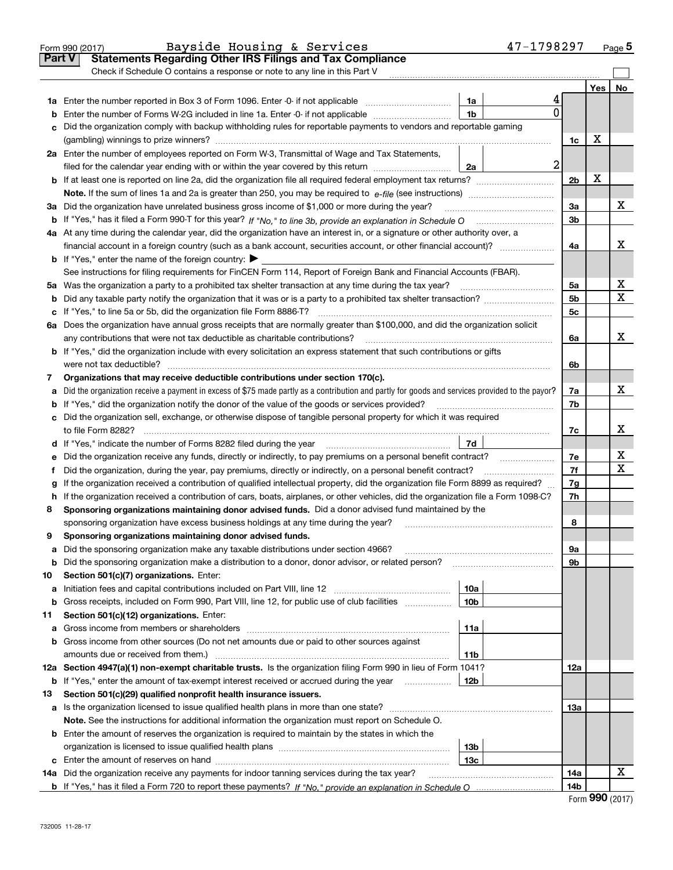|               | Bayside Housing & Services<br>Form 990 (2017)                                                                                                   |                 | 47-1798297 |                |     | <u>Pag</u> e 5 |
|---------------|-------------------------------------------------------------------------------------------------------------------------------------------------|-----------------|------------|----------------|-----|----------------|
| <b>Part V</b> | <b>Statements Regarding Other IRS Filings and Tax Compliance</b>                                                                                |                 |            |                |     |                |
|               | Check if Schedule O contains a response or note to any line in this Part V                                                                      |                 |            |                |     |                |
|               |                                                                                                                                                 |                 |            |                | Yes | No             |
|               |                                                                                                                                                 | 1a              |            |                |     |                |
| b             | Enter the number of Forms W-2G included in line 1a. Enter -0- if not applicable                                                                 | 1 <sub>b</sub>  | 0          |                |     |                |
| с             | Did the organization comply with backup withholding rules for reportable payments to vendors and reportable gaming                              |                 |            |                |     |                |
|               |                                                                                                                                                 |                 |            | 1c             | х   |                |
|               | 2a Enter the number of employees reported on Form W-3, Transmittal of Wage and Tax Statements,                                                  |                 |            |                |     |                |
|               | filed for the calendar year ending with or within the year covered by this return                                                               | 2a              | 2          |                |     |                |
|               |                                                                                                                                                 |                 |            | 2 <sub>b</sub> | X   |                |
|               |                                                                                                                                                 |                 |            |                |     |                |
| За            | Did the organization have unrelated business gross income of \$1,000 or more during the year?                                                   |                 |            | 3a             |     | х              |
| b             |                                                                                                                                                 |                 |            | 3b             |     |                |
|               | 4a At any time during the calendar year, did the organization have an interest in, or a signature or other authority over, a                    |                 |            |                |     |                |
|               |                                                                                                                                                 |                 |            | 4a             |     | х              |
|               | <b>b</b> If "Yes," enter the name of the foreign country: $\blacktriangleright$                                                                 |                 |            |                |     |                |
|               | See instructions for filing requirements for FinCEN Form 114, Report of Foreign Bank and Financial Accounts (FBAR).                             |                 |            |                |     |                |
|               | 5a Was the organization a party to a prohibited tax shelter transaction at any time during the tax year? <i>marrouumarrouum</i>                 |                 |            | 5a             |     | х              |
| b             |                                                                                                                                                 |                 |            | 5 <sub>b</sub> |     | x              |
| с             |                                                                                                                                                 |                 |            | 5c             |     |                |
|               | 6a Does the organization have annual gross receipts that are normally greater than \$100,000, and did the organization solicit                  |                 |            |                |     |                |
|               |                                                                                                                                                 |                 |            | 6a             |     | х              |
|               | <b>b</b> If "Yes," did the organization include with every solicitation an express statement that such contributions or gifts                   |                 |            |                |     |                |
|               | were not tax deductible?                                                                                                                        |                 |            | 6b             |     |                |
| 7             | Organizations that may receive deductible contributions under section 170(c).                                                                   |                 |            |                |     | x              |
| а             | Did the organization receive a payment in excess of \$75 made partly as a contribution and partly for goods and services provided to the payor? |                 |            | 7a             |     |                |
| b             | If "Yes," did the organization notify the donor of the value of the goods or services provided?                                                 |                 |            | 7b             |     |                |
|               | c Did the organization sell, exchange, or otherwise dispose of tangible personal property for which it was required                             |                 |            |                |     | x              |
|               |                                                                                                                                                 | 7d              |            | 7c             |     |                |
|               | Did the organization receive any funds, directly or indirectly, to pay premiums on a personal benefit contract?                                 |                 |            | 7е             |     | х              |
| е<br>f        | Did the organization, during the year, pay premiums, directly or indirectly, on a personal benefit contract?                                    |                 |            | 7f             |     | х              |
| g             | If the organization received a contribution of qualified intellectual property, did the organization file Form 8899 as required?                |                 |            | 7g             |     |                |
| h             | If the organization received a contribution of cars, boats, airplanes, or other vehicles, did the organization file a Form 1098-C?              |                 |            | 7h             |     |                |
| 8             | Sponsoring organizations maintaining donor advised funds. Did a donor advised fund maintained by the                                            |                 |            |                |     |                |
|               | sponsoring organization have excess business holdings at any time during the year?                                                              |                 |            | 8              |     |                |
|               | Sponsoring organizations maintaining donor advised funds.                                                                                       |                 |            |                |     |                |
| а             | Did the sponsoring organization make any taxable distributions under section 4966?                                                              |                 |            | 9а             |     |                |
| b             | Did the sponsoring organization make a distribution to a donor, donor advisor, or related person?                                               |                 |            | 9b             |     |                |
| 10            | Section 501(c)(7) organizations. Enter:                                                                                                         |                 |            |                |     |                |
| а             | Initiation fees and capital contributions included on Part VIII, line 12 <i>manuarrouus</i> manuations of the lates                             | 10a             |            |                |     |                |
| b             | Gross receipts, included on Form 990, Part VIII, line 12, for public use of club facilities                                                     | 10 <sub>b</sub> |            |                |     |                |
| 11            | Section 501(c)(12) organizations. Enter:                                                                                                        |                 |            |                |     |                |
| а             |                                                                                                                                                 | 11a             |            |                |     |                |
| b             | Gross income from other sources (Do not net amounts due or paid to other sources against                                                        |                 |            |                |     |                |
|               |                                                                                                                                                 | 11b             |            |                |     |                |
|               | 12a Section 4947(a)(1) non-exempt charitable trusts. Is the organization filing Form 990 in lieu of Form 1041?                                  |                 |            | 12a            |     |                |
| b             | If "Yes," enter the amount of tax-exempt interest received or accrued during the year <i>manuming</i>                                           | 12b             |            |                |     |                |
| 13            | Section 501(c)(29) qualified nonprofit health insurance issuers.                                                                                |                 |            |                |     |                |
| а             | Is the organization licensed to issue qualified health plans in more than one state?                                                            |                 |            | 13a            |     |                |
|               | Note. See the instructions for additional information the organization must report on Schedule O.                                               |                 |            |                |     |                |
|               | <b>b</b> Enter the amount of reserves the organization is required to maintain by the states in which the                                       |                 |            |                |     |                |
|               |                                                                                                                                                 | 13b             |            |                |     |                |
|               |                                                                                                                                                 | 13c             |            |                |     |                |
|               | 14a Did the organization receive any payments for indoor tanning services during the tax year?                                                  |                 |            | 14a            |     | х              |
|               |                                                                                                                                                 |                 |            | 14b            |     |                |

| Form 990 (2017) |  |  |
|-----------------|--|--|
|-----------------|--|--|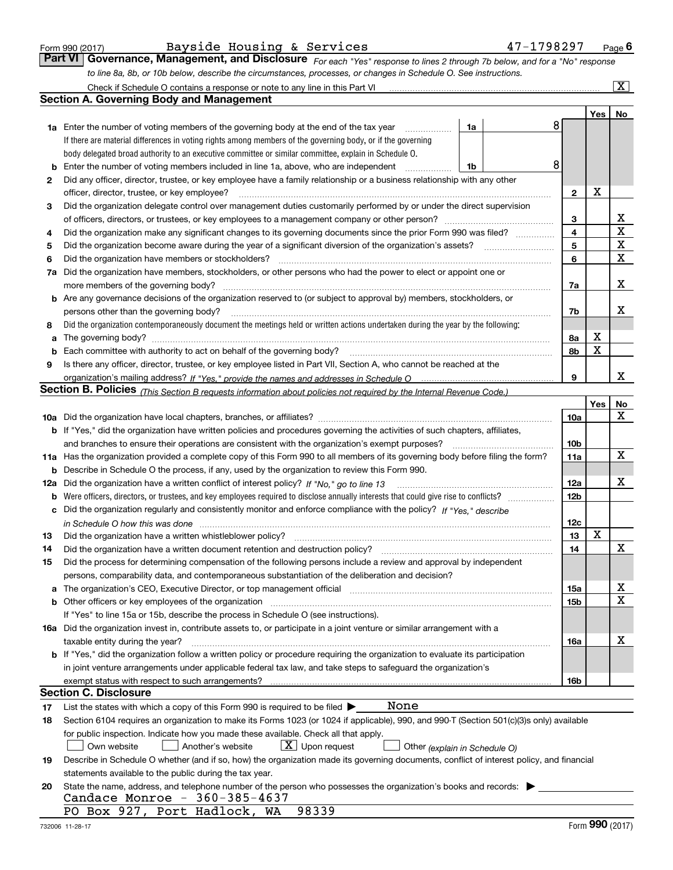|  | Form 990 (2017) |
|--|-----------------|
|  |                 |

| Form 990 (2017) | Bayside Housing & Services | 47-1798297                                                                                                                    | $P$ <sub>age</sub> $6$ |
|-----------------|----------------------------|-------------------------------------------------------------------------------------------------------------------------------|------------------------|
|                 |                            | Part VI   Governance, Management, and Disclosure For each "Yes" response to lines 2 through 7b below, and for a "No" response |                        |
|                 |                            | to line 8a, 8b, or 10b below, describe the circumstances, processes, or changes in Schedule O. See instructions.              |                        |

|     |                                                                                                                                              |              |     | $\overline{\mathbf{x}}$ |
|-----|----------------------------------------------------------------------------------------------------------------------------------------------|--------------|-----|-------------------------|
|     | Section A. Governing Body and Management                                                                                                     |              |     |                         |
|     |                                                                                                                                              |              | Yes | No                      |
|     | 8<br><b>1a</b> Enter the number of voting members of the governing body at the end of the tax year<br>1a                                     |              |     |                         |
|     | If there are material differences in voting rights among members of the governing body, or if the governing                                  |              |     |                         |
|     | body delegated broad authority to an executive committee or similar committee, explain in Schedule O.                                        |              |     |                         |
| b   | 8<br>Enter the number of voting members included in line 1a, above, who are independent<br>1b                                                |              |     |                         |
| 2   | Did any officer, director, trustee, or key employee have a family relationship or a business relationship with any other                     |              |     |                         |
|     | officer, director, trustee, or key employee?                                                                                                 | $\mathbf{2}$ | X   |                         |
| 3   | Did the organization delegate control over management duties customarily performed by or under the direct supervision                        |              |     |                         |
|     | of officers, directors, or trustees, or key employees to a management company or other person?                                               | 3            |     | х                       |
| 4   | Did the organization make any significant changes to its governing documents since the prior Form 990 was filed?                             | 4            |     | х                       |
| 5   |                                                                                                                                              | 5            |     | X                       |
| 6   | Did the organization have members or stockholders?                                                                                           | 6            |     | X                       |
| 7a  | Did the organization have members, stockholders, or other persons who had the power to elect or appoint one or                               |              |     |                         |
|     | more members of the governing body?                                                                                                          | 7a           |     | x                       |
|     | <b>b</b> Are any governance decisions of the organization reserved to (or subject to approval by) members, stockholders, or                  |              |     |                         |
|     | persons other than the governing body?                                                                                                       | 7b           |     | x                       |
| 8   | Did the organization contemporaneously document the meetings held or written actions undertaken during the year by the following:            |              |     |                         |
| a   | The governing body?                                                                                                                          | 8а           | X   |                         |
| b   | Each committee with authority to act on behalf of the governing body?                                                                        | 8b           | X   |                         |
| 9   | Is there any officer, director, trustee, or key employee listed in Part VII, Section A, who cannot be reached at the                         |              |     |                         |
|     |                                                                                                                                              | 9            |     | x                       |
|     | Section B. Policies <sub>(This Section B requests information about policies not required by the Internal Revenue Code.)</sub>               |              |     |                         |
|     |                                                                                                                                              |              | Yes | No                      |
|     |                                                                                                                                              | 10a          |     | x                       |
|     | <b>b</b> If "Yes," did the organization have written policies and procedures governing the activities of such chapters, affiliates,          |              |     |                         |
|     | and branches to ensure their operations are consistent with the organization's exempt purposes?                                              | 10b          |     |                         |
|     | 11a Has the organization provided a complete copy of this Form 990 to all members of its governing body before filing the form?              | 11a          |     | x                       |
|     | <b>b</b> Describe in Schedule O the process, if any, used by the organization to review this Form 990.                                       |              |     |                         |
| 12a | Did the organization have a written conflict of interest policy? If "No," go to line 13                                                      | 12a          |     | x                       |
|     | <b>b</b> Were officers, directors, or trustees, and key employees required to disclose annually interests that could give rise to conflicts? | 12b          |     |                         |
|     | c Did the organization regularly and consistently monitor and enforce compliance with the policy? If "Yes," describe                         |              |     |                         |
|     | in Schedule O how this was done <i>manually contained account of the contained to how this was done</i>                                      | 12c          |     |                         |
| 13  | Did the organization have a written whistleblower policy?                                                                                    | 13           | X   |                         |
| 14  | Did the organization have a written document retention and destruction policy?                                                               | 14           |     | X                       |
| 15  | Did the process for determining compensation of the following persons include a review and approval by independent                           |              |     |                         |
|     | persons, comparability data, and contemporaneous substantiation of the deliberation and decision?                                            |              |     |                         |
|     |                                                                                                                                              | 15a          |     | х                       |
|     | <b>b</b> Other officers or key employees of the organization                                                                                 | 15b          |     | $\mathbf X$             |
|     | If "Yes" to line 15a or 15b, describe the process in Schedule O (see instructions).                                                          |              |     |                         |
|     | 16a Did the organization invest in, contribute assets to, or participate in a joint venture or similar arrangement with a                    |              |     |                         |
|     | taxable entity during the year?                                                                                                              | 16a          |     | х                       |
|     | <b>b</b> If "Yes," did the organization follow a written policy or procedure requiring the organization to evaluate its participation        |              |     |                         |
|     | in joint venture arrangements under applicable federal tax law, and take steps to safequard the organization's                               |              |     |                         |
|     | exempt status with respect to such arrangements?                                                                                             | 16b          |     |                         |
|     | Section C. Disclosure                                                                                                                        |              |     |                         |
| 17  | None<br>List the states with which a copy of this Form 990 is required to be filed $\blacktriangleright$                                     |              |     |                         |
| 18  | Section 6104 requires an organization to make its Forms 1023 (or 1024 if applicable), 990, and 990-T (Section 501(c)(3)s only) available     |              |     |                         |
|     | for public inspection. Indicate how you made these available. Check all that apply.                                                          |              |     |                         |
|     | $X$ Upon request<br>Own website<br>Another's website<br>Other (explain in Schedule O)                                                        |              |     |                         |
| 19  | Describe in Schedule O whether (and if so, how) the organization made its governing documents, conflict of interest policy, and financial    |              |     |                         |
|     | statements available to the public during the tax year.                                                                                      |              |     |                         |
| 20  | State the name, address, and telephone number of the person who possesses the organization's books and records:                              |              |     |                         |
|     | Candace Monroe - 360-385-4637                                                                                                                |              |     |                         |
|     | 98339<br>PO Box 927, Port Hadlock, WA                                                                                                        |              |     |                         |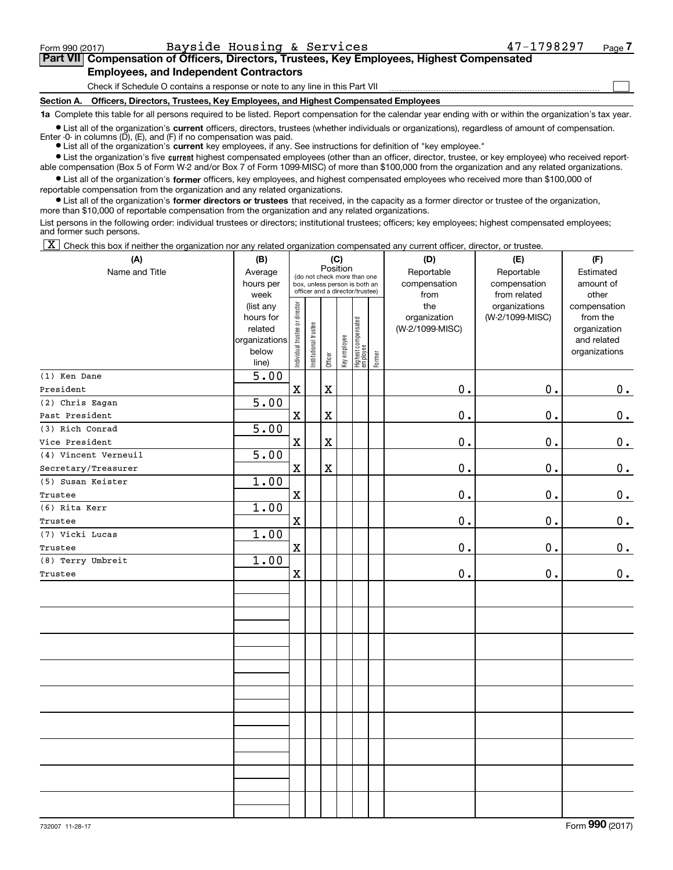$\mathcal{L}^{\text{max}}$ 

# **7Part VII Compensation of Officers, Directors, Trustees, Key Employees, Highest Compensated Employees, and Independent Contractors**

Check if Schedule O contains a response or note to any line in this Part VII

**Section A. Officers, Directors, Trustees, Key Employees, and Highest Compensated Employees**

**1a**  Complete this table for all persons required to be listed. Report compensation for the calendar year ending with or within the organization's tax year.

**•** List all of the organization's current officers, directors, trustees (whether individuals or organizations), regardless of amount of compensation. Enter  $-0$ - in columns  $(D)$ ,  $(E)$ , and  $(F)$  if no compensation was paid.

● List all of the organization's **current** key employees, if any. See instructions for definition of "key employee."

**•** List the organization's five current highest compensated employees (other than an officer, director, trustee, or key employee) who received reportable compensation (Box 5 of Form W-2 and/or Box 7 of Form 1099-MISC) of more than \$100,000 from the organization and any related organizations.

 $\bullet$  List all of the organization's **former** officers, key employees, and highest compensated employees who received more than \$100,000 of reportable compensation from the organization and any related organizations.

**•** List all of the organization's former directors or trustees that received, in the capacity as a former director or trustee of the organization, more than \$10,000 of reportable compensation from the organization and any related organizations.

List persons in the following order: individual trustees or directors; institutional trustees; officers; key employees; highest compensated employees; and former such persons.

 $\boxed{\textbf{X}}$  Check this box if neither the organization nor any related organization compensated any current officer, director, or trustee.

| (A)                  | (B)               | (C)                            |                                                                                                 |             |  |                                                 |        | (D)             | (E)             | (F)           |  |  |  |
|----------------------|-------------------|--------------------------------|-------------------------------------------------------------------------------------------------|-------------|--|-------------------------------------------------|--------|-----------------|-----------------|---------------|--|--|--|
| Name and Title       | Average           | Position                       |                                                                                                 |             |  |                                                 |        | Reportable      | Reportable      | Estimated     |  |  |  |
|                      | hours per         |                                | (do not check more than one<br>box, unless person is both an<br>officer and a director/trustee) |             |  |                                                 |        | compensation    | compensation    | amount of     |  |  |  |
|                      | week              |                                |                                                                                                 |             |  |                                                 |        | from            | from related    | other         |  |  |  |
|                      | (list any         |                                |                                                                                                 |             |  |                                                 |        | the             | organizations   | compensation  |  |  |  |
|                      | hours for         |                                |                                                                                                 |             |  |                                                 |        | organization    | (W-2/1099-MISC) | from the      |  |  |  |
|                      | related           |                                |                                                                                                 |             |  |                                                 |        | (W-2/1099-MISC) |                 | organization  |  |  |  |
|                      | organizations     |                                |                                                                                                 |             |  |                                                 |        |                 |                 | and related   |  |  |  |
|                      | below             | Individual trustee or director | Institutional trustee                                                                           | Officer     |  | Key employee<br>Highest compensated<br>employee | Former |                 |                 | organizations |  |  |  |
|                      | line)             |                                |                                                                                                 |             |  |                                                 |        |                 |                 |               |  |  |  |
| (1) Ken Dane         | $\overline{5.00}$ |                                |                                                                                                 |             |  |                                                 |        |                 |                 |               |  |  |  |
| President            |                   | $\mathbf X$                    |                                                                                                 | $\rm X$     |  |                                                 |        | 0.              | 0.              | $\mathbf 0$ . |  |  |  |
| $(2)$ Chris Eagan    | 5.00              |                                |                                                                                                 |             |  |                                                 |        |                 |                 |               |  |  |  |
| Past President       |                   | $\mathbf X$                    |                                                                                                 | $\mathbf X$ |  |                                                 |        | 0.              | 0.              | $\mathbf 0$ . |  |  |  |
| (3) Rich Conrad      | 5.00              |                                |                                                                                                 |             |  |                                                 |        |                 |                 |               |  |  |  |
| Vice President       |                   | $\mathbf X$                    |                                                                                                 | $\rm X$     |  |                                                 |        | 0.              | $\mathbf 0$ .   | $\mathbf 0$ . |  |  |  |
| (4) Vincent Verneuil | 5.00              |                                |                                                                                                 |             |  |                                                 |        |                 |                 |               |  |  |  |
| Secretary/Treasurer  |                   | $\mathbf X$                    |                                                                                                 | $\rm X$     |  |                                                 |        | 0.              | $\mathbf 0$ .   | $\mathbf 0$ . |  |  |  |
| (5) Susan Keister    | 1.00              |                                |                                                                                                 |             |  |                                                 |        |                 |                 |               |  |  |  |
| Trustee              |                   | $\mathbf X$                    |                                                                                                 |             |  |                                                 |        | $\mathbf 0$ .   | 0.              | 0.            |  |  |  |
| (6) Rita Kerr        | 1.00              |                                |                                                                                                 |             |  |                                                 |        |                 |                 |               |  |  |  |
| Trustee              |                   | $\mathbf x$                    |                                                                                                 |             |  |                                                 |        | $0$ .           | 0.              | 0.            |  |  |  |
| (7) Vicki Lucas      | 1.00              |                                |                                                                                                 |             |  |                                                 |        |                 |                 |               |  |  |  |
| Trustee              |                   | $\mathbf X$                    |                                                                                                 |             |  |                                                 |        | $0$ .           | 0.              | 0.            |  |  |  |
| (8) Terry Umbreit    | 1.00              |                                |                                                                                                 |             |  |                                                 |        |                 |                 |               |  |  |  |
| Trustee              |                   | $\mathbf x$                    |                                                                                                 |             |  |                                                 |        | $\mathbf 0$ .   | 0.              | 0.            |  |  |  |
|                      |                   |                                |                                                                                                 |             |  |                                                 |        |                 |                 |               |  |  |  |
|                      |                   |                                |                                                                                                 |             |  |                                                 |        |                 |                 |               |  |  |  |
|                      |                   |                                |                                                                                                 |             |  |                                                 |        |                 |                 |               |  |  |  |
|                      |                   |                                |                                                                                                 |             |  |                                                 |        |                 |                 |               |  |  |  |
|                      |                   |                                |                                                                                                 |             |  |                                                 |        |                 |                 |               |  |  |  |
|                      |                   |                                |                                                                                                 |             |  |                                                 |        |                 |                 |               |  |  |  |
|                      |                   |                                |                                                                                                 |             |  |                                                 |        |                 |                 |               |  |  |  |
|                      |                   |                                |                                                                                                 |             |  |                                                 |        |                 |                 |               |  |  |  |
|                      |                   |                                |                                                                                                 |             |  |                                                 |        |                 |                 |               |  |  |  |
|                      |                   |                                |                                                                                                 |             |  |                                                 |        |                 |                 |               |  |  |  |
|                      |                   |                                |                                                                                                 |             |  |                                                 |        |                 |                 |               |  |  |  |
|                      |                   |                                |                                                                                                 |             |  |                                                 |        |                 |                 |               |  |  |  |
|                      |                   |                                |                                                                                                 |             |  |                                                 |        |                 |                 |               |  |  |  |
|                      |                   |                                |                                                                                                 |             |  |                                                 |        |                 |                 |               |  |  |  |
|                      |                   |                                |                                                                                                 |             |  |                                                 |        |                 |                 |               |  |  |  |
|                      |                   |                                |                                                                                                 |             |  |                                                 |        |                 |                 |               |  |  |  |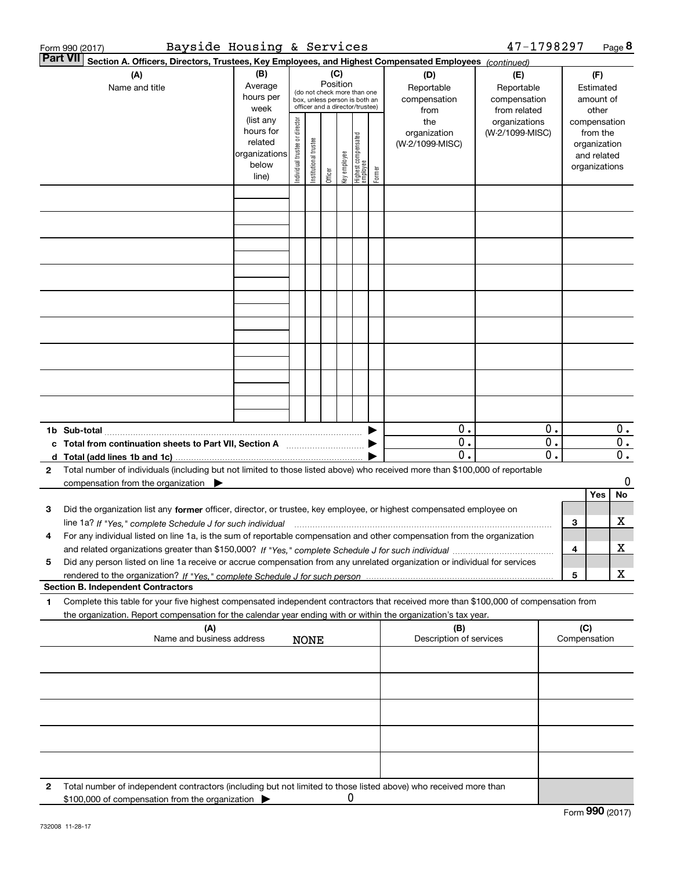|   | Bayside Housing & Services<br>Form 990 (2017)                                                                                                                                                                                                                               |                                                                              |                                                                                 |                       |         |              |                                                                    |                                   |                                                | 47-1798297                                       |                               |                     |                                                                                   | Page 8           |
|---|-----------------------------------------------------------------------------------------------------------------------------------------------------------------------------------------------------------------------------------------------------------------------------|------------------------------------------------------------------------------|---------------------------------------------------------------------------------|-----------------------|---------|--------------|--------------------------------------------------------------------|-----------------------------------|------------------------------------------------|--------------------------------------------------|-------------------------------|---------------------|-----------------------------------------------------------------------------------|------------------|
|   | <b>Part VII</b><br>Section A. Officers, Directors, Trustees, Key Employees, and Highest Compensated Employees (continued)<br>(A)<br>Name and title                                                                                                                          | (B)<br>Average<br>hours per                                                  | (C)<br>Position<br>(do not check more than one<br>box, unless person is both an |                       |         |              | (D)<br>Reportable<br>compensation                                  | (E)<br>Reportable<br>compensation |                                                |                                                  | (F)<br>Estimated<br>amount of |                     |                                                                                   |                  |
|   |                                                                                                                                                                                                                                                                             | week<br>(list any<br>hours for<br>related<br>organizations<br>below<br>line) | Individual trustee or director                                                  | Institutional trustee | Officer | key employee | officer and a director/trustee)<br>Highest compensated<br>employee | Former                            | from<br>the<br>organization<br>(W-2/1099-MISC) | from related<br>organizations<br>(W-2/1099-MISC) |                               |                     | other<br>compensation<br>from the<br>organization<br>and related<br>organizations |                  |
|   |                                                                                                                                                                                                                                                                             |                                                                              |                                                                                 |                       |         |              |                                                                    |                                   |                                                |                                                  |                               |                     |                                                                                   |                  |
|   |                                                                                                                                                                                                                                                                             |                                                                              |                                                                                 |                       |         |              |                                                                    |                                   |                                                |                                                  |                               |                     |                                                                                   |                  |
|   |                                                                                                                                                                                                                                                                             |                                                                              |                                                                                 |                       |         |              |                                                                    |                                   |                                                |                                                  |                               |                     |                                                                                   |                  |
|   |                                                                                                                                                                                                                                                                             |                                                                              |                                                                                 |                       |         |              |                                                                    |                                   |                                                |                                                  |                               |                     |                                                                                   |                  |
|   |                                                                                                                                                                                                                                                                             |                                                                              |                                                                                 |                       |         |              |                                                                    |                                   |                                                |                                                  |                               |                     |                                                                                   |                  |
|   |                                                                                                                                                                                                                                                                             |                                                                              |                                                                                 |                       |         |              |                                                                    |                                   |                                                |                                                  |                               |                     |                                                                                   |                  |
|   |                                                                                                                                                                                                                                                                             |                                                                              |                                                                                 |                       |         |              |                                                                    |                                   |                                                |                                                  |                               |                     |                                                                                   |                  |
|   |                                                                                                                                                                                                                                                                             |                                                                              |                                                                                 |                       |         |              |                                                                    |                                   |                                                |                                                  |                               |                     |                                                                                   |                  |
|   |                                                                                                                                                                                                                                                                             |                                                                              |                                                                                 |                       |         |              |                                                                    |                                   |                                                |                                                  |                               |                     |                                                                                   |                  |
|   |                                                                                                                                                                                                                                                                             |                                                                              |                                                                                 |                       |         |              |                                                                    |                                   |                                                |                                                  |                               |                     |                                                                                   |                  |
|   |                                                                                                                                                                                                                                                                             |                                                                              |                                                                                 |                       |         |              |                                                                    |                                   | 0.<br>0.                                       |                                                  | 0.<br>$\overline{0}$ .        |                     |                                                                                   | 0.<br>0.         |
| 2 | Total number of individuals (including but not limited to those listed above) who received more than \$100,000 of reportable                                                                                                                                                |                                                                              |                                                                                 |                       |         |              |                                                                    |                                   | $\overline{0}$ .                               |                                                  | $\overline{0}$ .              |                     |                                                                                   | $\overline{0}$ . |
|   | compensation from the organization $\blacktriangleright$                                                                                                                                                                                                                    |                                                                              |                                                                                 |                       |         |              |                                                                    |                                   |                                                |                                                  |                               |                     | Yes                                                                               | 0<br>No          |
| з | Did the organization list any former officer, director, or trustee, key employee, or highest compensated employee on                                                                                                                                                        |                                                                              |                                                                                 |                       |         |              |                                                                    |                                   |                                                |                                                  |                               |                     |                                                                                   |                  |
| 4 | line 1a? If "Yes," complete Schedule J for such individual manufactured contained and the 1a? If "Yes," complete Schedule J for such individual<br>For any individual listed on line 1a, is the sum of reportable compensation and other compensation from the organization |                                                                              |                                                                                 |                       |         |              |                                                                    |                                   |                                                |                                                  |                               | 3                   |                                                                                   | х                |
| 5 | Did any person listed on line 1a receive or accrue compensation from any unrelated organization or individual for services                                                                                                                                                  |                                                                              |                                                                                 |                       |         |              |                                                                    |                                   |                                                |                                                  |                               | 4                   |                                                                                   | х                |
|   | <b>Section B. Independent Contractors</b>                                                                                                                                                                                                                                   |                                                                              |                                                                                 |                       |         |              |                                                                    |                                   |                                                |                                                  |                               | 5                   |                                                                                   | X                |
| 1 | Complete this table for your five highest compensated independent contractors that received more than \$100,000 of compensation from                                                                                                                                        |                                                                              |                                                                                 |                       |         |              |                                                                    |                                   |                                                |                                                  |                               |                     |                                                                                   |                  |
|   | the organization. Report compensation for the calendar year ending with or within the organization's tax year.<br>(A)<br>Name and business address                                                                                                                          |                                                                              |                                                                                 |                       |         |              |                                                                    |                                   | (B)<br>Description of services                 |                                                  |                               | (C)<br>Compensation |                                                                                   |                  |
|   |                                                                                                                                                                                                                                                                             |                                                                              |                                                                                 | <b>NONE</b>           |         |              |                                                                    |                                   |                                                |                                                  |                               |                     |                                                                                   |                  |
|   |                                                                                                                                                                                                                                                                             |                                                                              |                                                                                 |                       |         |              |                                                                    |                                   |                                                |                                                  |                               |                     |                                                                                   |                  |
|   |                                                                                                                                                                                                                                                                             |                                                                              |                                                                                 |                       |         |              |                                                                    |                                   |                                                |                                                  |                               |                     |                                                                                   |                  |
|   |                                                                                                                                                                                                                                                                             |                                                                              |                                                                                 |                       |         |              |                                                                    |                                   |                                                |                                                  |                               |                     |                                                                                   |                  |
|   |                                                                                                                                                                                                                                                                             |                                                                              |                                                                                 |                       |         |              |                                                                    |                                   |                                                |                                                  |                               |                     |                                                                                   |                  |
|   |                                                                                                                                                                                                                                                                             |                                                                              |                                                                                 |                       |         |              |                                                                    |                                   |                                                |                                                  |                               |                     |                                                                                   |                  |
| 2 | Total number of independent contractors (including but not limited to those listed above) who received more than<br>\$100,000 of compensation from the organization                                                                                                         |                                                                              |                                                                                 |                       |         | 0            |                                                                    |                                   |                                                |                                                  |                               |                     |                                                                                   |                  |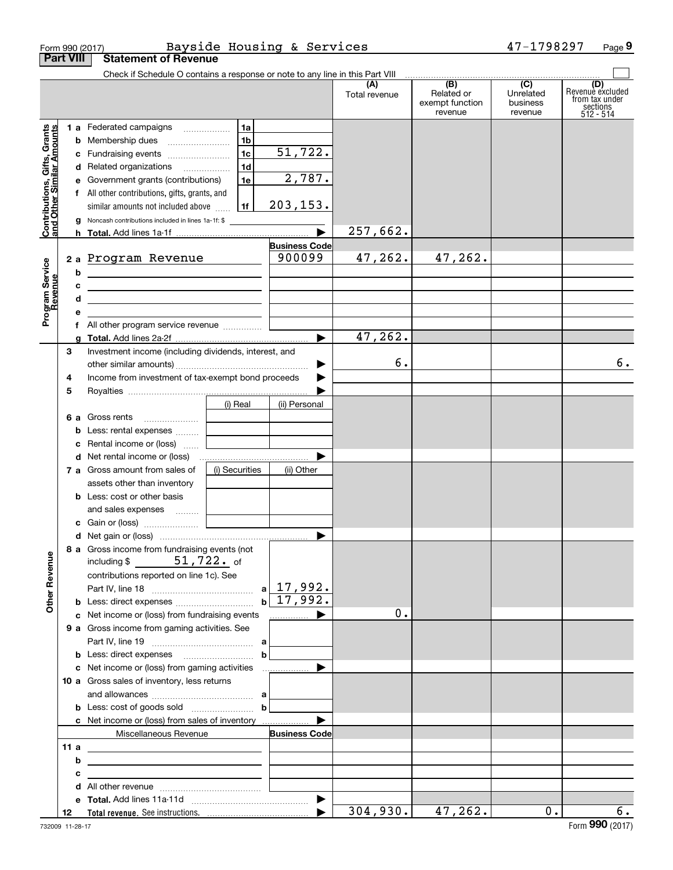|                                                           | Form 990 (2017)  |                                                                                                                                                                                                                                                                                           |                                              | Bayside Housing & Services      |                      |                                                 | 47-1798297                                           | Page 9                                                             |
|-----------------------------------------------------------|------------------|-------------------------------------------------------------------------------------------------------------------------------------------------------------------------------------------------------------------------------------------------------------------------------------------|----------------------------------------------|---------------------------------|----------------------|-------------------------------------------------|------------------------------------------------------|--------------------------------------------------------------------|
|                                                           | <b>Part VIII</b> | <b>Statement of Revenue</b>                                                                                                                                                                                                                                                               |                                              |                                 |                      |                                                 |                                                      |                                                                    |
|                                                           |                  | Check if Schedule O contains a response or note to any line in this Part VIII                                                                                                                                                                                                             |                                              |                                 | (A)<br>Total revenue | (B)<br>Related or<br>exempt function<br>revenue | $\overline{(C)}$<br>Unrelated<br>business<br>revenue | (D)<br>Revenue excluded<br>from tax under<br>sections<br>512 - 514 |
| Contributions, Gifts, Grants<br>and Other Similar Amounts | g                | 1 a Federated campaigns<br><b>b</b> Membership dues<br>c Fundraising events<br>d Related organizations<br>e Government grants (contributions)<br>f All other contributions, gifts, grants, and<br>similar amounts not included above<br>Noncash contributions included in lines 1a-1f: \$ | 1a<br>1 <sub>b</sub><br>1c<br>1d<br>1e<br>1f | 51, 722.<br>2,787.<br>203, 153. | 257,662.             |                                                 |                                                      |                                                                    |
|                                                           |                  |                                                                                                                                                                                                                                                                                           |                                              | <b>Business Code</b>            |                      |                                                 |                                                      |                                                                    |
| Program Service<br>Revenue                                | b<br>c<br>d      | 2 a Program Revenue<br><u> 1989 - Johann Barn, fransk politik amerikansk politik (</u><br><u> 2000 - Jan James James Barnett, amerikansk politik (</u><br><u> 1989 - Johann Barn, mars and de Brasilian (b. 1989)</u>                                                                     |                                              | 900099                          | 47,262.              | 47,262.                                         |                                                      |                                                                    |
|                                                           | е                | <u> 1980 - Jan Stein Harry Harry Harry Harry Harry Harry Harry Harry Harry Harry Harry Harry Harry Harry Harry</u>                                                                                                                                                                        |                                              |                                 |                      |                                                 |                                                      |                                                                    |
|                                                           |                  | f All other program service revenue                                                                                                                                                                                                                                                       |                                              |                                 |                      |                                                 |                                                      |                                                                    |
|                                                           | a                |                                                                                                                                                                                                                                                                                           |                                              |                                 | 47,262.              |                                                 |                                                      |                                                                    |
|                                                           | З<br>4           | Investment income (including dividends, interest, and<br>Income from investment of tax-exempt bond proceeds                                                                                                                                                                               |                                              |                                 | 6.                   |                                                 |                                                      | б.                                                                 |
|                                                           | 5                |                                                                                                                                                                                                                                                                                           |                                              |                                 |                      |                                                 |                                                      |                                                                    |
|                                                           |                  |                                                                                                                                                                                                                                                                                           | (i) Real                                     | (ii) Personal                   |                      |                                                 |                                                      |                                                                    |
|                                                           | b<br>c           | <b>6 a</b> Gross rents<br>Less: rental expenses<br>Rental income or (loss)                                                                                                                                                                                                                | and the control of the control of            |                                 |                      |                                                 |                                                      |                                                                    |
|                                                           |                  |                                                                                                                                                                                                                                                                                           |                                              |                                 |                      |                                                 |                                                      |                                                                    |
|                                                           |                  | 7 a Gross amount from sales of                                                                                                                                                                                                                                                            | (i) Securities                               | (ii) Other                      |                      |                                                 |                                                      |                                                                    |
|                                                           |                  | assets other than inventory<br><b>b</b> Less: cost or other basis<br>and sales expenses                                                                                                                                                                                                   |                                              |                                 |                      |                                                 |                                                      |                                                                    |
|                                                           |                  |                                                                                                                                                                                                                                                                                           |                                              |                                 |                      |                                                 |                                                      |                                                                    |
|                                                           |                  |                                                                                                                                                                                                                                                                                           |                                              |                                 |                      |                                                 |                                                      |                                                                    |
| <b>Other Revenue</b>                                      |                  | 8 a Gross income from fundraising events (not<br>including \$ $51,722$ of<br>contributions reported on line 1c). See                                                                                                                                                                      |                                              | $a$   17,992.                   |                      |                                                 |                                                      |                                                                    |
|                                                           |                  |                                                                                                                                                                                                                                                                                           |                                              | $b \mid 17,992.$                |                      |                                                 |                                                      |                                                                    |
|                                                           |                  | c Net income or (loss) from fundraising events<br>9 a Gross income from gaming activities. See                                                                                                                                                                                            |                                              | .                               | 0.                   |                                                 |                                                      |                                                                    |
|                                                           |                  |                                                                                                                                                                                                                                                                                           | $\mathbf b$                                  |                                 |                      |                                                 |                                                      |                                                                    |
|                                                           |                  | 10 a Gross sales of inventory, less returns                                                                                                                                                                                                                                               |                                              |                                 |                      |                                                 |                                                      |                                                                    |
|                                                           |                  |                                                                                                                                                                                                                                                                                           | $\mathbf b$                                  |                                 |                      |                                                 |                                                      |                                                                    |
|                                                           |                  | c Net income or (loss) from sales of inventory                                                                                                                                                                                                                                            |                                              |                                 |                      |                                                 |                                                      |                                                                    |
|                                                           | 11a              | Miscellaneous Revenue                                                                                                                                                                                                                                                                     |                                              | <b>Business Code</b>            |                      |                                                 |                                                      |                                                                    |
|                                                           | b                | <u> 1989 - Johann Barn, mars eta bainar eta baina eta baina eta baina eta baina eta baina eta baina eta baina e</u> ta<br><u> 1989 - Johann Barbara, martxa eta idazlea (h. 1989).</u>                                                                                                    |                                              |                                 |                      |                                                 |                                                      |                                                                    |
|                                                           | с                | the control of the control of the control of the control of the control of                                                                                                                                                                                                                |                                              |                                 |                      |                                                 |                                                      |                                                                    |
|                                                           |                  |                                                                                                                                                                                                                                                                                           |                                              |                                 |                      |                                                 |                                                      |                                                                    |
|                                                           |                  |                                                                                                                                                                                                                                                                                           |                                              |                                 |                      |                                                 |                                                      |                                                                    |
|                                                           | 12               |                                                                                                                                                                                                                                                                                           |                                              |                                 | 304,930.             | 47,262.                                         | $0$ .                                                | 6.                                                                 |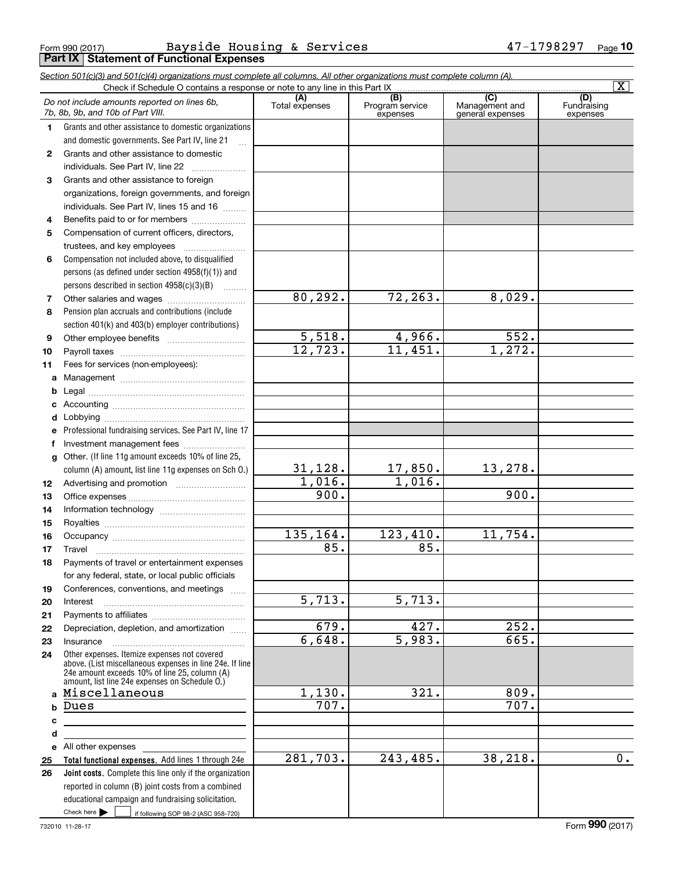Form 990 (2017) Page **Part IX Statement of Functional Expenses** Bayside Housing & Services 47-1798297

|              | Section 501(c)(3) and 501(c)(4) organizations must complete all columns. All other organizations must complete column (A).<br>Check if Schedule O contains a response or note to any line in this Part IX   |                       |                                    |                                           | $\overline{\mathbf{x}}$        |
|--------------|-------------------------------------------------------------------------------------------------------------------------------------------------------------------------------------------------------------|-----------------------|------------------------------------|-------------------------------------------|--------------------------------|
|              | Do not include amounts reported on lines 6b,<br>7b, 8b, 9b, and 10b of Part VIII.                                                                                                                           | (A)<br>Total expenses | (B)<br>Program service<br>expenses | (C)<br>Management and<br>general expenses | (D)<br>Fundraising<br>expenses |
| 1.           | Grants and other assistance to domestic organizations                                                                                                                                                       |                       |                                    |                                           |                                |
|              | and domestic governments. See Part IV, line 21                                                                                                                                                              |                       |                                    |                                           |                                |
| $\mathbf{2}$ | Grants and other assistance to domestic                                                                                                                                                                     |                       |                                    |                                           |                                |
|              | individuals. See Part IV, line 22                                                                                                                                                                           |                       |                                    |                                           |                                |
| 3            | Grants and other assistance to foreign                                                                                                                                                                      |                       |                                    |                                           |                                |
|              | organizations, foreign governments, and foreign                                                                                                                                                             |                       |                                    |                                           |                                |
|              | individuals. See Part IV, lines 15 and 16                                                                                                                                                                   |                       |                                    |                                           |                                |
| 4            | Benefits paid to or for members                                                                                                                                                                             |                       |                                    |                                           |                                |
| 5            | Compensation of current officers, directors,                                                                                                                                                                |                       |                                    |                                           |                                |
|              | trustees, and key employees                                                                                                                                                                                 |                       |                                    |                                           |                                |
| 6            | Compensation not included above, to disqualified                                                                                                                                                            |                       |                                    |                                           |                                |
|              | persons (as defined under section 4958(f)(1)) and                                                                                                                                                           |                       |                                    |                                           |                                |
|              | persons described in section 4958(c)(3)(B)                                                                                                                                                                  |                       |                                    |                                           |                                |
| 7            |                                                                                                                                                                                                             | 80, 292.              | 72,263.                            | 8,029.                                    |                                |
| 8            | Pension plan accruals and contributions (include                                                                                                                                                            |                       |                                    |                                           |                                |
|              | section 401(k) and 403(b) employer contributions)                                                                                                                                                           |                       |                                    |                                           |                                |
| 9            |                                                                                                                                                                                                             | 5,518.                | 4,966.                             | 552.                                      |                                |
| 10           |                                                                                                                                                                                                             | 12,723.               | 11,451.                            | 1,272.                                    |                                |
| 11           | Fees for services (non-employees):                                                                                                                                                                          |                       |                                    |                                           |                                |
|              |                                                                                                                                                                                                             |                       |                                    |                                           |                                |
| b            |                                                                                                                                                                                                             |                       |                                    |                                           |                                |
| c            |                                                                                                                                                                                                             |                       |                                    |                                           |                                |
| d            |                                                                                                                                                                                                             |                       |                                    |                                           |                                |
| е            | Professional fundraising services. See Part IV, line 17                                                                                                                                                     |                       |                                    |                                           |                                |
| f            | Investment management fees                                                                                                                                                                                  |                       |                                    |                                           |                                |
| g            | Other. (If line 11g amount exceeds 10% of line 25,                                                                                                                                                          |                       |                                    |                                           |                                |
|              | column (A) amount, list line 11g expenses on Sch O.)                                                                                                                                                        | 31, 128.              | 17,850.                            | 13,278.                                   |                                |
| 12           |                                                                                                                                                                                                             | 1,016.                | 1,016.                             |                                           |                                |
| 13           |                                                                                                                                                                                                             | 900.                  |                                    | 900.                                      |                                |
| 14           |                                                                                                                                                                                                             |                       |                                    |                                           |                                |
| 15           |                                                                                                                                                                                                             |                       |                                    |                                           |                                |
| 16           |                                                                                                                                                                                                             | 135,164.              | 123,410.                           | 11,754.                                   |                                |
| 17           |                                                                                                                                                                                                             | 85.                   | 85.                                |                                           |                                |
| 18           | Payments of travel or entertainment expenses                                                                                                                                                                |                       |                                    |                                           |                                |
|              | for any federal, state, or local public officials                                                                                                                                                           |                       |                                    |                                           |                                |
| 19           | Conferences, conventions, and meetings                                                                                                                                                                      |                       |                                    |                                           |                                |
| 20           | Interest                                                                                                                                                                                                    | 5,713.                | 5,713.                             |                                           |                                |
| 21           |                                                                                                                                                                                                             | 679.                  | 427.                               | 252.                                      |                                |
| 22           | Depreciation, depletion, and amortization                                                                                                                                                                   | 6,648.                | 5,983.                             | 665.                                      |                                |
| 23           | Insurance                                                                                                                                                                                                   |                       |                                    |                                           |                                |
| 24           | Other expenses. Itemize expenses not covered<br>above. (List miscellaneous expenses in line 24e. If line<br>24e amount exceeds 10% of line 25, column (A)<br>amount, list line 24e expenses on Schedule O.) |                       |                                    |                                           |                                |
|              | a Miscellaneous                                                                                                                                                                                             | 1,130.                | 321.                               | 809.                                      |                                |
| b            | Dues                                                                                                                                                                                                        | 707.                  |                                    | 707.                                      |                                |
| c            |                                                                                                                                                                                                             |                       |                                    |                                           |                                |
| d            |                                                                                                                                                                                                             |                       |                                    |                                           |                                |
|              | e All other expenses                                                                                                                                                                                        |                       |                                    |                                           |                                |
| 25           | Total functional expenses. Add lines 1 through 24e                                                                                                                                                          | 281,703.              | 243,485.                           | 38,218.                                   | 0.                             |
| 26           | Joint costs. Complete this line only if the organization                                                                                                                                                    |                       |                                    |                                           |                                |
|              | reported in column (B) joint costs from a combined                                                                                                                                                          |                       |                                    |                                           |                                |
|              | educational campaign and fundraising solicitation.                                                                                                                                                          |                       |                                    |                                           |                                |
|              | Check here $\blacktriangleright$<br>if following SOP 98-2 (ASC 958-720)                                                                                                                                     |                       |                                    |                                           |                                |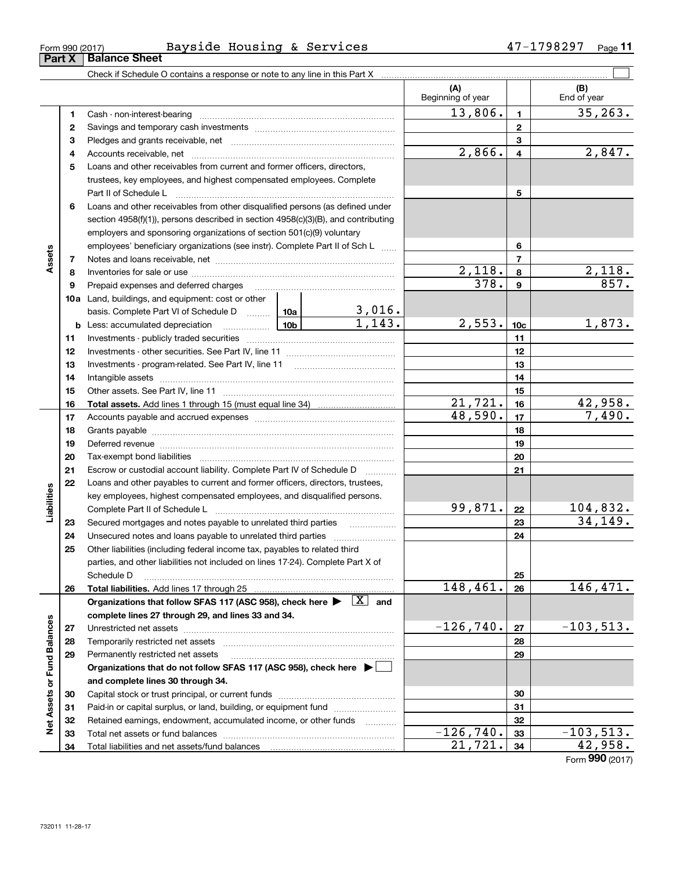| -orm 990 (2017) | $- -$<br>Bavside<br>Housing | $\boldsymbol{\alpha}$ | Services | ד ס כ<br>oz. | Page |
|-----------------|-----------------------------|-----------------------|----------|--------------|------|
|                 |                             |                       |          |              |      |

|                             |    |                                                                                                                                                          |                    |                         | (A)<br>Beginning of year |                 | (B)<br>End of year |
|-----------------------------|----|----------------------------------------------------------------------------------------------------------------------------------------------------------|--------------------|-------------------------|--------------------------|-----------------|--------------------|
|                             | 1  |                                                                                                                                                          |                    |                         | 13,806.                  | $\mathbf{1}$    | 35, 263.           |
|                             | 2  |                                                                                                                                                          |                    |                         | $\mathbf{2}$             |                 |                    |
|                             | З  |                                                                                                                                                          |                    |                         |                          | 3               |                    |
|                             | 4  |                                                                                                                                                          |                    |                         | 2,866.                   | $\overline{4}$  | 2,847.             |
|                             | 5  | Loans and other receivables from current and former officers, directors,                                                                                 |                    |                         |                          |                 |                    |
|                             |    | trustees, key employees, and highest compensated employees. Complete                                                                                     |                    |                         |                          |                 |                    |
|                             |    | Part II of Schedule L                                                                                                                                    |                    |                         |                          | 5               |                    |
|                             | 6  | Loans and other receivables from other disqualified persons (as defined under                                                                            |                    |                         |                          |                 |                    |
|                             |    | section $4958(f)(1)$ , persons described in section $4958(c)(3)(B)$ , and contributing                                                                   |                    |                         |                          |                 |                    |
|                             |    | employers and sponsoring organizations of section 501(c)(9) voluntary                                                                                    |                    |                         |                          |                 |                    |
|                             |    | employees' beneficiary organizations (see instr). Complete Part II of Sch L                                                                              |                    |                         |                          | 6               |                    |
| Assets                      | 7  |                                                                                                                                                          |                    |                         |                          | $\overline{7}$  |                    |
|                             | 8  |                                                                                                                                                          |                    |                         | 2,118.                   | 8               | 2,118.             |
|                             | 9  |                                                                                                                                                          |                    |                         | 378.                     | 9               | 857.               |
|                             |    | 10a Land, buildings, and equipment: cost or other                                                                                                        |                    |                         |                          |                 |                    |
|                             |    | basis. Complete Part VI of Schedule D  10a                                                                                                               |                    | $\frac{3,016}{1,143}$ . |                          |                 |                    |
|                             |    | <b>b</b> Less: accumulated depreciation                                                                                                                  |                    |                         | 2,553.                   | 10 <sub>c</sub> | 1,873.             |
|                             | 11 |                                                                                                                                                          |                    | 11                      |                          |                 |                    |
|                             | 12 |                                                                                                                                                          |                    | 12                      |                          |                 |                    |
|                             | 13 |                                                                                                                                                          |                    |                         | 13                       |                 |                    |
|                             | 14 |                                                                                                                                                          |                    |                         |                          | 14              |                    |
|                             | 15 |                                                                                                                                                          |                    |                         |                          | 15              |                    |
|                             | 16 |                                                                                                                                                          | 21,721.<br>48,590. | 16                      | 42,958.<br>7,490.        |                 |                    |
|                             | 17 |                                                                                                                                                          |                    |                         | 17                       |                 |                    |
|                             | 18 |                                                                                                                                                          |                    |                         |                          | 18              |                    |
|                             | 19 |                                                                                                                                                          |                    |                         |                          | 19              |                    |
|                             | 20 |                                                                                                                                                          |                    |                         |                          | 20              |                    |
|                             | 21 | Escrow or custodial account liability. Complete Part IV of Schedule D                                                                                    |                    |                         |                          | 21              |                    |
| Liabilities                 | 22 | Loans and other payables to current and former officers, directors, trustees,<br>key employees, highest compensated employees, and disqualified persons. |                    |                         |                          |                 |                    |
|                             |    |                                                                                                                                                          |                    |                         | 99,871.                  | 22              | <u> 104,832.</u>   |
|                             | 23 | Secured mortgages and notes payable to unrelated third parties                                                                                           |                    |                         |                          | 23              | 34, 149.           |
|                             | 24 |                                                                                                                                                          |                    |                         |                          | 24              |                    |
|                             | 25 | Other liabilities (including federal income tax, payables to related third                                                                               |                    |                         |                          |                 |                    |
|                             |    | parties, and other liabilities not included on lines 17-24). Complete Part X of                                                                          |                    |                         |                          |                 |                    |
|                             |    | Schedule D                                                                                                                                               |                    |                         |                          | 25              |                    |
|                             | 26 |                                                                                                                                                          |                    |                         | 148,461.                 | 26              | 146,471.           |
|                             |    | Organizations that follow SFAS 117 (ASC 958), check here $\blacktriangleright \begin{array}{ c } \hline X & \text{and} \end{array}$                      |                    |                         |                          |                 |                    |
|                             |    | complete lines 27 through 29, and lines 33 and 34.                                                                                                       |                    |                         |                          |                 |                    |
|                             | 27 |                                                                                                                                                          |                    |                         | $-126,740.$              | 27              | $-103,513.$        |
|                             | 28 | Temporarily restricted net assets                                                                                                                        |                    |                         |                          | 28              |                    |
|                             | 29 | Permanently restricted net assets                                                                                                                        |                    |                         |                          | 29              |                    |
|                             |    | Organizations that do not follow SFAS 117 (ASC 958), check here $\blacktriangleright$                                                                    |                    |                         |                          |                 |                    |
| Net Assets or Fund Balances |    | and complete lines 30 through 34.                                                                                                                        |                    |                         |                          |                 |                    |
|                             | 30 |                                                                                                                                                          |                    |                         | 30                       |                 |                    |
|                             | 31 | Paid-in or capital surplus, or land, building, or equipment fund                                                                                         |                    |                         |                          | 31              |                    |
|                             | 32 | Retained earnings, endowment, accumulated income, or other funds                                                                                         |                    | 1.1.1.1.1.1.1.1.1       |                          | 32              |                    |
|                             | 33 |                                                                                                                                                          |                    |                         | $-126,740.$              | 33              | $-103,513.$        |
|                             | 34 |                                                                                                                                                          |                    | 21,721.                 | 34                       | 42,958.         |                    |

Form (2017) **990**

## **Part X Balance Sheet**

| Form 990 (2017) |  |
|-----------------|--|
|                 |  |

L,

L,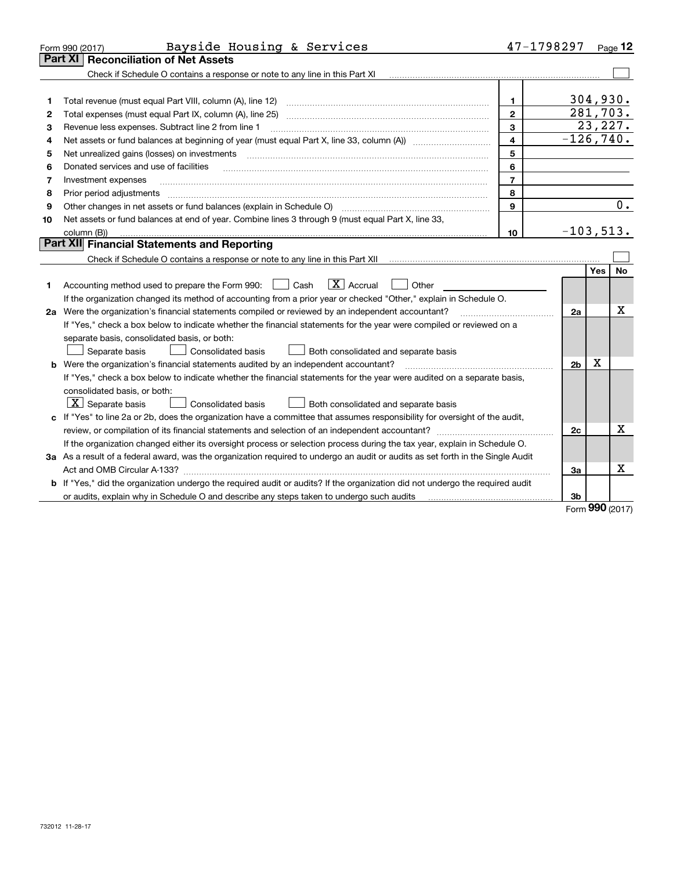|    | Bayside Housing & Services<br>Form 990 (2017)                                                                                                                                      | 47-1798297     |                |     | Page 12  |
|----|------------------------------------------------------------------------------------------------------------------------------------------------------------------------------------|----------------|----------------|-----|----------|
|    | <b>Part XI</b><br><b>Reconciliation of Net Assets</b>                                                                                                                              |                |                |     |          |
|    | Check if Schedule O contains a response or note to any line in this Part XI                                                                                                        |                |                |     |          |
|    |                                                                                                                                                                                    |                |                |     |          |
| 1  | Total revenue (must equal Part VIII, column (A), line 12)                                                                                                                          | 1              |                |     | 304,930. |
| 2  | Total expenses (must equal Part IX, column (A), line 25)                                                                                                                           | $\overline{2}$ |                |     | 281,703. |
| З  | Revenue less expenses. Subtract line 2 from line 1                                                                                                                                 | 3              |                |     | 23, 227. |
| 4  | Net assets or fund balances at beginning of year (must equal Part X, line 33, column (A)) manured manu-                                                                            | 4              | $-126,740.$    |     |          |
| 5  | Net unrealized gains (losses) on investments                                                                                                                                       | 5              |                |     |          |
| 6  | Donated services and use of facilities                                                                                                                                             | 6              |                |     |          |
| 7  | Investment expenses                                                                                                                                                                | $\overline{7}$ |                |     |          |
| 8  | Prior period adjustments                                                                                                                                                           | 8              |                |     |          |
| 9  | Other changes in net assets or fund balances (explain in Schedule O)                                                                                                               | 9              |                |     | 0.       |
| 10 | Net assets or fund balances at end of year. Combine lines 3 through 9 (must equal Part X, line 33,                                                                                 |                |                |     |          |
|    | column (B))                                                                                                                                                                        | 10             | $-103,513.$    |     |          |
|    | <b>Part XII</b> Financial Statements and Reporting                                                                                                                                 |                |                |     |          |
|    | Check if Schedule O contains a response or note to any line in this Part XII [11] [11] [11] [11] [11] Check if Schedule O contains a response or note to any line in this Part XII |                |                |     |          |
|    |                                                                                                                                                                                    |                |                | Yes | No       |
| 1  | $\boxed{\mathbf{X}}$ Accrual<br>Accounting method used to prepare the Form 990: <u>[</u> Cash<br>Other                                                                             |                |                |     |          |
|    | If the organization changed its method of accounting from a prior year or checked "Other," explain in Schedule O.                                                                  |                |                |     |          |
|    | 2a Were the organization's financial statements compiled or reviewed by an independent accountant?                                                                                 |                | 2a             |     | х        |
|    | If "Yes," check a box below to indicate whether the financial statements for the year were compiled or reviewed on a                                                               |                |                |     |          |
|    | separate basis, consolidated basis, or both:                                                                                                                                       |                |                |     |          |
|    | Separate basis<br>Consolidated basis<br>Both consolidated and separate basis                                                                                                       |                |                |     |          |
|    | Were the organization's financial statements audited by an independent accountant?                                                                                                 |                | 2 <sub>b</sub> | X   |          |
|    | If "Yes," check a box below to indicate whether the financial statements for the year were audited on a separate basis,                                                            |                |                |     |          |
|    | consolidated basis, or both:                                                                                                                                                       |                |                |     |          |
|    | $\lfloor x \rfloor$ Separate basis<br><b>Consolidated basis</b><br>Both consolidated and separate basis                                                                            |                |                |     |          |
|    | c If "Yes" to line 2a or 2b, does the organization have a committee that assumes responsibility for oversight of the audit,                                                        |                |                |     |          |
|    |                                                                                                                                                                                    |                | 2c             |     | x        |
|    | If the organization changed either its oversight process or selection process during the tax year, explain in Schedule O.                                                          |                |                |     |          |
|    | 3a As a result of a federal award, was the organization required to undergo an audit or audits as set forth in the Single Audit                                                    |                |                |     |          |
|    |                                                                                                                                                                                    |                | За             |     | х        |
|    | <b>b</b> If "Yes," did the organization undergo the required audit or audits? If the organization did not undergo the required audit                                               |                |                |     |          |
|    | or audits, explain why in Schedule O and describe any steps taken to undergo such audits matures and the matur                                                                     |                | 3b             |     |          |
|    |                                                                                                                                                                                    |                |                | nnn |          |

Form (2017) **990**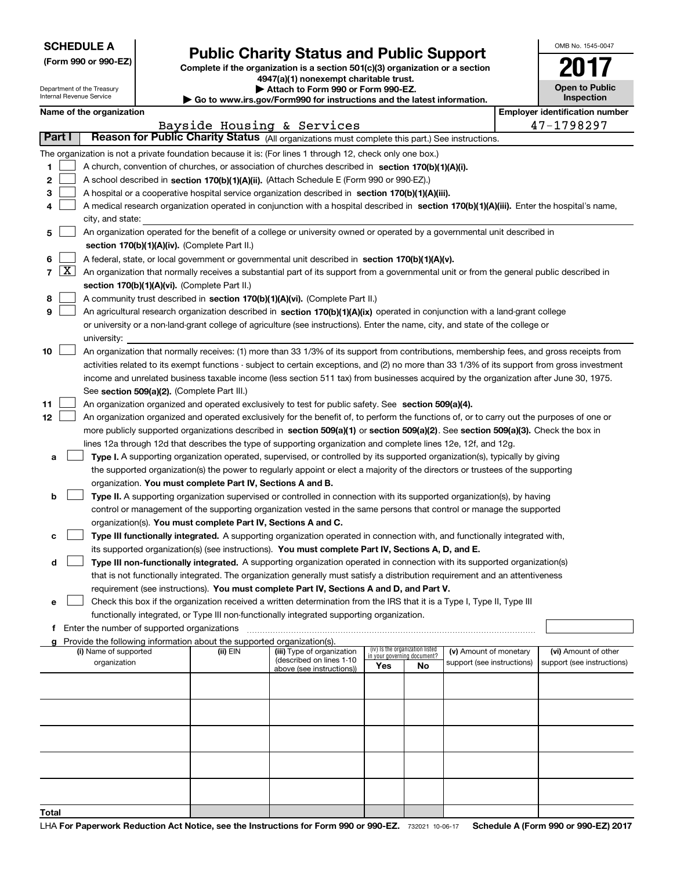|  | <b>SCHEDULE A</b> |
|--|-------------------|
|--|-------------------|

Department of the Treasury Internal Revenue Service

|  |  |  | (Form 990 or 990-EZ) |  |
|--|--|--|----------------------|--|
|--|--|--|----------------------|--|

## **Public Charity Status and Public Support**

**Complete if the organization is a section 501(c)(3) organization or a section 4947(a)(1) nonexempt charitable trust. | Attach to Form 990 or Form 990-EZ.** 

| Go to www.irs.gov/Form990 for instructions and the latest informa |
|-------------------------------------------------------------------|
|                                                                   |

| for instructions and the latest information. |  |
|----------------------------------------------|--|
|----------------------------------------------|--|

OMB No. 1545-0047

**2017**

**Open to Public Inspection**

|        | Name of the organization<br><b>Employer identification number</b>                                                                          |                                                                                                                                               |          |                                                        |     |                                                                |                            |  |                            |  |
|--------|--------------------------------------------------------------------------------------------------------------------------------------------|-----------------------------------------------------------------------------------------------------------------------------------------------|----------|--------------------------------------------------------|-----|----------------------------------------------------------------|----------------------------|--|----------------------------|--|
|        |                                                                                                                                            |                                                                                                                                               |          | Bayside Housing & Services                             |     |                                                                |                            |  | 47-1798297                 |  |
| Part I |                                                                                                                                            | Reason for Public Charity Status (All organizations must complete this part.) See instructions.                                               |          |                                                        |     |                                                                |                            |  |                            |  |
|        |                                                                                                                                            | The organization is not a private foundation because it is: (For lines 1 through 12, check only one box.)                                     |          |                                                        |     |                                                                |                            |  |                            |  |
| 1      |                                                                                                                                            | A church, convention of churches, or association of churches described in section 170(b)(1)(A)(i).                                            |          |                                                        |     |                                                                |                            |  |                            |  |
| 2      |                                                                                                                                            | A school described in section 170(b)(1)(A)(ii). (Attach Schedule E (Form 990 or 990-EZ).)                                                     |          |                                                        |     |                                                                |                            |  |                            |  |
| 3      |                                                                                                                                            | A hospital or a cooperative hospital service organization described in section 170(b)(1)(A)(iii).                                             |          |                                                        |     |                                                                |                            |  |                            |  |
| 4      | A medical research organization operated in conjunction with a hospital described in section 170(b)(1)(A)(iii). Enter the hospital's name, |                                                                                                                                               |          |                                                        |     |                                                                |                            |  |                            |  |
|        |                                                                                                                                            | city, and state:                                                                                                                              |          |                                                        |     |                                                                |                            |  |                            |  |
| 5      |                                                                                                                                            | An organization operated for the benefit of a college or university owned or operated by a governmental unit described in                     |          |                                                        |     |                                                                |                            |  |                            |  |
|        |                                                                                                                                            | section 170(b)(1)(A)(iv). (Complete Part II.)                                                                                                 |          |                                                        |     |                                                                |                            |  |                            |  |
| 6      |                                                                                                                                            | A federal, state, or local government or governmental unit described in section 170(b)(1)(A)(v).                                              |          |                                                        |     |                                                                |                            |  |                            |  |
| 7      | $\lfloor x \rfloor$                                                                                                                        | An organization that normally receives a substantial part of its support from a governmental unit or from the general public described in     |          |                                                        |     |                                                                |                            |  |                            |  |
|        |                                                                                                                                            | section 170(b)(1)(A)(vi). (Complete Part II.)                                                                                                 |          |                                                        |     |                                                                |                            |  |                            |  |
| 8      |                                                                                                                                            | A community trust described in section 170(b)(1)(A)(vi). (Complete Part II.)                                                                  |          |                                                        |     |                                                                |                            |  |                            |  |
| 9      |                                                                                                                                            | An agricultural research organization described in section 170(b)(1)(A)(ix) operated in conjunction with a land-grant college                 |          |                                                        |     |                                                                |                            |  |                            |  |
|        |                                                                                                                                            | or university or a non-land-grant college of agriculture (see instructions). Enter the name, city, and state of the college or                |          |                                                        |     |                                                                |                            |  |                            |  |
|        |                                                                                                                                            | university:                                                                                                                                   |          |                                                        |     |                                                                |                            |  |                            |  |
| 10     |                                                                                                                                            | An organization that normally receives: (1) more than 33 1/3% of its support from contributions, membership fees, and gross receipts from     |          |                                                        |     |                                                                |                            |  |                            |  |
|        |                                                                                                                                            | activities related to its exempt functions - subject to certain exceptions, and (2) no more than 33 1/3% of its support from gross investment |          |                                                        |     |                                                                |                            |  |                            |  |
|        |                                                                                                                                            | income and unrelated business taxable income (less section 511 tax) from businesses acquired by the organization after June 30, 1975.         |          |                                                        |     |                                                                |                            |  |                            |  |
|        |                                                                                                                                            | See section 509(a)(2). (Complete Part III.)                                                                                                   |          |                                                        |     |                                                                |                            |  |                            |  |
| 11     |                                                                                                                                            | An organization organized and operated exclusively to test for public safety. See section 509(a)(4).                                          |          |                                                        |     |                                                                |                            |  |                            |  |
| 12     |                                                                                                                                            | An organization organized and operated exclusively for the benefit of, to perform the functions of, or to carry out the purposes of one or    |          |                                                        |     |                                                                |                            |  |                            |  |
|        |                                                                                                                                            | more publicly supported organizations described in section 509(a)(1) or section 509(a)(2). See section 509(a)(3). Check the box in            |          |                                                        |     |                                                                |                            |  |                            |  |
|        |                                                                                                                                            | lines 12a through 12d that describes the type of supporting organization and complete lines 12e, 12f, and 12g.                                |          |                                                        |     |                                                                |                            |  |                            |  |
| а      |                                                                                                                                            | Type I. A supporting organization operated, supervised, or controlled by its supported organization(s), typically by giving                   |          |                                                        |     |                                                                |                            |  |                            |  |
|        |                                                                                                                                            | the supported organization(s) the power to regularly appoint or elect a majority of the directors or trustees of the supporting               |          |                                                        |     |                                                                |                            |  |                            |  |
|        |                                                                                                                                            | organization. You must complete Part IV, Sections A and B.                                                                                    |          |                                                        |     |                                                                |                            |  |                            |  |
| b      |                                                                                                                                            | Type II. A supporting organization supervised or controlled in connection with its supported organization(s), by having                       |          |                                                        |     |                                                                |                            |  |                            |  |
|        |                                                                                                                                            | control or management of the supporting organization vested in the same persons that control or manage the supported                          |          |                                                        |     |                                                                |                            |  |                            |  |
|        |                                                                                                                                            | organization(s). You must complete Part IV, Sections A and C.                                                                                 |          |                                                        |     |                                                                |                            |  |                            |  |
| c      |                                                                                                                                            | Type III functionally integrated. A supporting organization operated in connection with, and functionally integrated with,                    |          |                                                        |     |                                                                |                            |  |                            |  |
|        |                                                                                                                                            | its supported organization(s) (see instructions). You must complete Part IV, Sections A, D, and E.                                            |          |                                                        |     |                                                                |                            |  |                            |  |
| d      |                                                                                                                                            | Type III non-functionally integrated. A supporting organization operated in connection with its supported organization(s)                     |          |                                                        |     |                                                                |                            |  |                            |  |
|        |                                                                                                                                            | that is not functionally integrated. The organization generally must satisfy a distribution requirement and an attentiveness                  |          |                                                        |     |                                                                |                            |  |                            |  |
|        |                                                                                                                                            | requirement (see instructions). You must complete Part IV, Sections A and D, and Part V.                                                      |          |                                                        |     |                                                                |                            |  |                            |  |
| е      |                                                                                                                                            | Check this box if the organization received a written determination from the IRS that it is a Type I, Type II, Type III                       |          |                                                        |     |                                                                |                            |  |                            |  |
|        |                                                                                                                                            | functionally integrated, or Type III non-functionally integrated supporting organization.                                                     |          |                                                        |     |                                                                |                            |  |                            |  |
|        |                                                                                                                                            | f Enter the number of supported organizations                                                                                                 |          |                                                        |     |                                                                |                            |  |                            |  |
|        |                                                                                                                                            | g Provide the following information about the supported organization(s).                                                                      |          |                                                        |     |                                                                |                            |  |                            |  |
|        |                                                                                                                                            | (i) Name of supported                                                                                                                         | (ii) EIN | (iii) Type of organization<br>(described on lines 1-10 |     | (iv) Is the organization listed<br>in your governing document? | (v) Amount of monetary     |  | (vi) Amount of other       |  |
|        |                                                                                                                                            | organization                                                                                                                                  |          | above (see instructions))                              | Yes | No                                                             | support (see instructions) |  | support (see instructions) |  |
|        |                                                                                                                                            |                                                                                                                                               |          |                                                        |     |                                                                |                            |  |                            |  |
|        |                                                                                                                                            |                                                                                                                                               |          |                                                        |     |                                                                |                            |  |                            |  |
|        |                                                                                                                                            |                                                                                                                                               |          |                                                        |     |                                                                |                            |  |                            |  |
|        |                                                                                                                                            |                                                                                                                                               |          |                                                        |     |                                                                |                            |  |                            |  |
|        |                                                                                                                                            |                                                                                                                                               |          |                                                        |     |                                                                |                            |  |                            |  |
|        |                                                                                                                                            |                                                                                                                                               |          |                                                        |     |                                                                |                            |  |                            |  |
|        |                                                                                                                                            |                                                                                                                                               |          |                                                        |     |                                                                |                            |  |                            |  |
|        |                                                                                                                                            |                                                                                                                                               |          |                                                        |     |                                                                |                            |  |                            |  |
|        |                                                                                                                                            |                                                                                                                                               |          |                                                        |     |                                                                |                            |  |                            |  |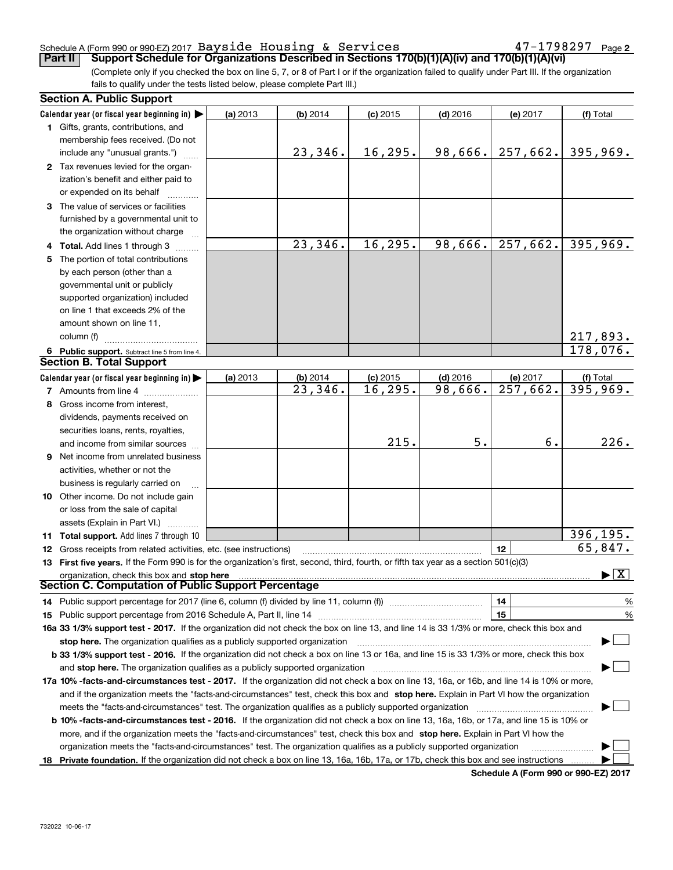#### Schedule A (Form 990 or 990-EZ) 2017 <code>Bayside Housing & Services</code>  $47-1798297$  <code>Page</code>

**2**

(Complete only if you checked the box on line 5, 7, or 8 of Part I or if the organization failed to qualify under Part III. If the organization fails to qualify under the tests listed below, please complete Part III.) **Part II Support Schedule for Organizations Described in Sections 170(b)(1)(A)(iv) and 170(b)(1)(A)(vi)** 

| <b>Section A. Public Support</b>                                                                                                               |          |            |            |            |          |                                          |
|------------------------------------------------------------------------------------------------------------------------------------------------|----------|------------|------------|------------|----------|------------------------------------------|
| Calendar year (or fiscal year beginning in) $\blacktriangleright$                                                                              | (a) 2013 | $(b)$ 2014 | $(c)$ 2015 | $(d)$ 2016 | (e) 2017 | (f) Total                                |
| <b>1</b> Gifts, grants, contributions, and                                                                                                     |          |            |            |            |          |                                          |
| membership fees received. (Do not                                                                                                              |          |            |            |            |          |                                          |
| include any "unusual grants.")                                                                                                                 |          | 23,346.    | 16, 295.   | 98,666.    | 257,662. | 395,969.                                 |
| 2 Tax revenues levied for the organ-                                                                                                           |          |            |            |            |          |                                          |
| ization's benefit and either paid to                                                                                                           |          |            |            |            |          |                                          |
| or expended on its behalf                                                                                                                      |          |            |            |            |          |                                          |
| 3 The value of services or facilities                                                                                                          |          |            |            |            |          |                                          |
| furnished by a governmental unit to                                                                                                            |          |            |            |            |          |                                          |
| the organization without charge                                                                                                                |          |            |            |            |          |                                          |
| 4 Total. Add lines 1 through 3                                                                                                                 |          | 23,346.    | 16, 295.   | 98,666.    | 257,662. | 395,969.                                 |
| 5 The portion of total contributions                                                                                                           |          |            |            |            |          |                                          |
| by each person (other than a                                                                                                                   |          |            |            |            |          |                                          |
| governmental unit or publicly                                                                                                                  |          |            |            |            |          |                                          |
| supported organization) included                                                                                                               |          |            |            |            |          |                                          |
| on line 1 that exceeds 2% of the                                                                                                               |          |            |            |            |          |                                          |
| amount shown on line 11,                                                                                                                       |          |            |            |            |          |                                          |
| column (f)                                                                                                                                     |          |            |            |            |          | 217,893.                                 |
| 6 Public support. Subtract line 5 from line 4.                                                                                                 |          |            |            |            |          | 178,076.                                 |
| <b>Section B. Total Support</b>                                                                                                                |          |            |            |            |          |                                          |
| Calendar year (or fiscal year beginning in) $\blacktriangleright$                                                                              | (a) 2013 | (b) 2014   | $(c)$ 2015 | $(d)$ 2016 | (e) 2017 | (f) Total                                |
| 7 Amounts from line 4                                                                                                                          |          | 23,346.    | 16, 295.   | 98,666.    | 257,662. | 395,969.                                 |
| 8 Gross income from interest,                                                                                                                  |          |            |            |            |          |                                          |
| dividends, payments received on                                                                                                                |          |            |            |            |          |                                          |
| securities loans, rents, royalties,                                                                                                            |          |            |            |            |          |                                          |
| and income from similar sources                                                                                                                |          |            | 215.       | 5.         | б.       | 226.                                     |
| 9 Net income from unrelated business                                                                                                           |          |            |            |            |          |                                          |
| activities, whether or not the                                                                                                                 |          |            |            |            |          |                                          |
| business is regularly carried on                                                                                                               |          |            |            |            |          |                                          |
| <b>10</b> Other income. Do not include gain                                                                                                    |          |            |            |            |          |                                          |
| or loss from the sale of capital                                                                                                               |          |            |            |            |          |                                          |
| assets (Explain in Part VI.)                                                                                                                   |          |            |            |            |          |                                          |
| 11 Total support. Add lines 7 through 10                                                                                                       |          |            |            |            |          | 396,195.                                 |
| <b>12</b> Gross receipts from related activities, etc. (see instructions)                                                                      |          |            |            |            | 12       | 65,847.                                  |
| 13 First five years. If the Form 990 is for the organization's first, second, third, fourth, or fifth tax year as a section 501(c)(3)          |          |            |            |            |          |                                          |
| organization, check this box and stop here                                                                                                     |          |            |            |            |          | $\blacktriangleright$ $\boxed{\text{X}}$ |
| Section C. Computation of Public Support Percentage                                                                                            |          |            |            |            |          |                                          |
| 14 Public support percentage for 2017 (line 6, column (f) divided by line 11, column (f) <i>mummention</i>                                     |          |            |            |            | 14       | %                                        |
|                                                                                                                                                |          |            |            |            | 15       | $\%$                                     |
| 16a 33 1/3% support test - 2017. If the organization did not check the box on line 13, and line 14 is 33 1/3% or more, check this box and      |          |            |            |            |          |                                          |
| stop here. The organization qualifies as a publicly supported organization                                                                     |          |            |            |            |          |                                          |
| b 33 1/3% support test - 2016. If the organization did not check a box on line 13 or 16a, and line 15 is 33 1/3% or more, check this box       |          |            |            |            |          |                                          |
| and stop here. The organization qualifies as a publicly supported organization                                                                 |          |            |            |            |          |                                          |
| 17a 10% -facts-and-circumstances test - 2017. If the organization did not check a box on line 13, 16a, or 16b, and line 14 is 10% or more,     |          |            |            |            |          |                                          |
| and if the organization meets the "facts-and-circumstances" test, check this box and stop here. Explain in Part VI how the organization        |          |            |            |            |          |                                          |
| meets the "facts-and-circumstances" test. The organization qualifies as a publicly supported organization                                      |          |            |            |            |          |                                          |
| <b>b 10% -facts-and-circumstances test - 2016.</b> If the organization did not check a box on line 13, 16a, 16b, or 17a, and line 15 is 10% or |          |            |            |            |          |                                          |
| more, and if the organization meets the "facts-and-circumstances" test, check this box and stop here. Explain in Part VI how the               |          |            |            |            |          |                                          |
| organization meets the "facts-and-circumstances" test. The organization qualifies as a publicly supported organization                         |          |            |            |            |          |                                          |
| 18 Private foundation. If the organization did not check a box on line 13, 16a, 16b, 17a, or 17b, check this box and see instructions          |          |            |            |            |          |                                          |
|                                                                                                                                                |          |            |            |            |          |                                          |

**Schedule A (Form 990 or 990-EZ) 2017**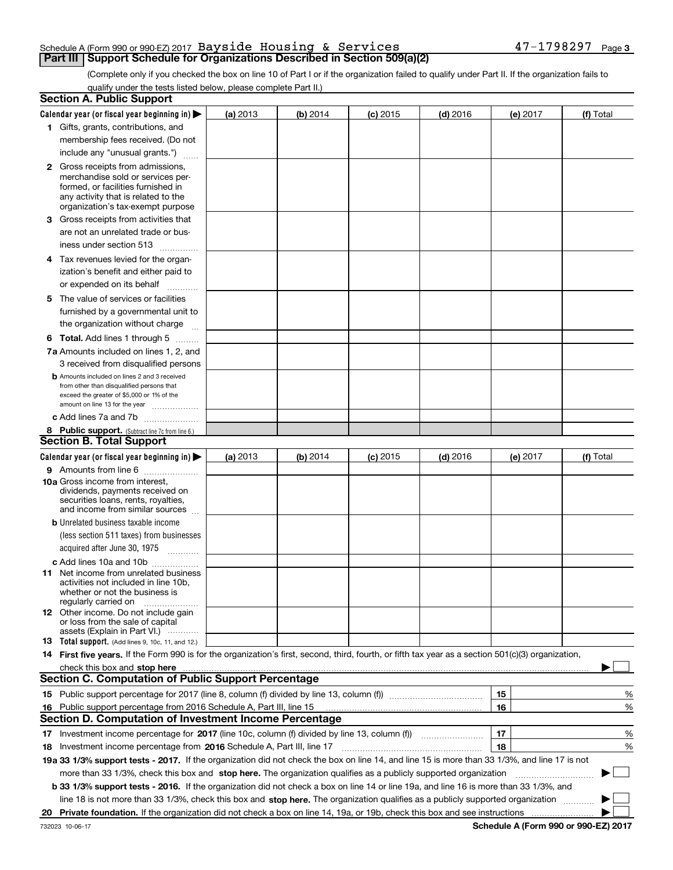#### Schedule A (Form 990 or 990-EZ) 2017 <code>Bayside Housing & Services</code>  $47-1798297$  <code>Page</code> **Part III Support Schedule for Organizations Described in Section 509(a)(2)**

(Complete only if you checked the box on line 10 of Part I or if the organization failed to qualify under Part II. If the organization fails to qualify under the tests listed below, please complete Part II.)

|    | <b>Section A. Public Support</b>                                                                                                                                                                                               |          |          |            |            |    |          |             |   |
|----|--------------------------------------------------------------------------------------------------------------------------------------------------------------------------------------------------------------------------------|----------|----------|------------|------------|----|----------|-------------|---|
|    | Calendar year (or fiscal year beginning in) $\blacktriangleright$                                                                                                                                                              | (a) 2013 | (b) 2014 | $(c)$ 2015 | $(d)$ 2016 |    | (e) 2017 | (f) Total   |   |
|    | 1 Gifts, grants, contributions, and                                                                                                                                                                                            |          |          |            |            |    |          |             |   |
|    | membership fees received. (Do not                                                                                                                                                                                              |          |          |            |            |    |          |             |   |
|    | include any "unusual grants.")                                                                                                                                                                                                 |          |          |            |            |    |          |             |   |
|    | <b>2</b> Gross receipts from admissions,                                                                                                                                                                                       |          |          |            |            |    |          |             |   |
|    | merchandise sold or services per-                                                                                                                                                                                              |          |          |            |            |    |          |             |   |
|    | formed, or facilities furnished in                                                                                                                                                                                             |          |          |            |            |    |          |             |   |
|    | any activity that is related to the<br>organization's tax-exempt purpose                                                                                                                                                       |          |          |            |            |    |          |             |   |
|    | 3 Gross receipts from activities that                                                                                                                                                                                          |          |          |            |            |    |          |             |   |
|    | are not an unrelated trade or bus-                                                                                                                                                                                             |          |          |            |            |    |          |             |   |
|    |                                                                                                                                                                                                                                |          |          |            |            |    |          |             |   |
|    | iness under section 513                                                                                                                                                                                                        |          |          |            |            |    |          |             |   |
|    | 4 Tax revenues levied for the organ-                                                                                                                                                                                           |          |          |            |            |    |          |             |   |
|    | ization's benefit and either paid to                                                                                                                                                                                           |          |          |            |            |    |          |             |   |
|    | or expended on its behalf<br>.                                                                                                                                                                                                 |          |          |            |            |    |          |             |   |
|    | 5 The value of services or facilities                                                                                                                                                                                          |          |          |            |            |    |          |             |   |
|    | furnished by a governmental unit to                                                                                                                                                                                            |          |          |            |            |    |          |             |   |
|    | the organization without charge                                                                                                                                                                                                |          |          |            |            |    |          |             |   |
|    | <b>6 Total.</b> Add lines 1 through 5                                                                                                                                                                                          |          |          |            |            |    |          |             |   |
|    | 7a Amounts included on lines 1, 2, and                                                                                                                                                                                         |          |          |            |            |    |          |             |   |
|    | 3 received from disqualified persons                                                                                                                                                                                           |          |          |            |            |    |          |             |   |
|    | <b>b</b> Amounts included on lines 2 and 3 received                                                                                                                                                                            |          |          |            |            |    |          |             |   |
|    | from other than disqualified persons that                                                                                                                                                                                      |          |          |            |            |    |          |             |   |
|    | exceed the greater of \$5,000 or 1% of the<br>amount on line 13 for the year                                                                                                                                                   |          |          |            |            |    |          |             |   |
|    | c Add lines 7a and 7b                                                                                                                                                                                                          |          |          |            |            |    |          |             |   |
|    | 8 Public support. (Subtract line 7c from line 6.)                                                                                                                                                                              |          |          |            |            |    |          |             |   |
|    | <b>Section B. Total Support</b>                                                                                                                                                                                                |          |          |            |            |    |          |             |   |
|    | Calendar year (or fiscal year beginning in)                                                                                                                                                                                    | (a) 2013 | (b) 2014 | $(c)$ 2015 | $(d)$ 2016 |    | (e) 2017 | (f) Total   |   |
|    | 9 Amounts from line 6                                                                                                                                                                                                          |          |          |            |            |    |          |             |   |
|    | <b>10a</b> Gross income from interest,                                                                                                                                                                                         |          |          |            |            |    |          |             |   |
|    | dividends, payments received on                                                                                                                                                                                                |          |          |            |            |    |          |             |   |
|    | securities loans, rents, royalties,<br>and income from similar sources                                                                                                                                                         |          |          |            |            |    |          |             |   |
|    | <b>b</b> Unrelated business taxable income                                                                                                                                                                                     |          |          |            |            |    |          |             |   |
|    | (less section 511 taxes) from businesses                                                                                                                                                                                       |          |          |            |            |    |          |             |   |
|    |                                                                                                                                                                                                                                |          |          |            |            |    |          |             |   |
|    | acquired after June 30, 1975 [10001]                                                                                                                                                                                           |          |          |            |            |    |          |             |   |
|    | c Add lines 10a and 10b                                                                                                                                                                                                        |          |          |            |            |    |          |             |   |
|    | 11 Net income from unrelated business<br>activities not included in line 10b,                                                                                                                                                  |          |          |            |            |    |          |             |   |
|    | whether or not the business is                                                                                                                                                                                                 |          |          |            |            |    |          |             |   |
|    | regularly carried on                                                                                                                                                                                                           |          |          |            |            |    |          |             |   |
|    | <b>12</b> Other income. Do not include gain<br>or loss from the sale of capital                                                                                                                                                |          |          |            |            |    |          |             |   |
|    | assets (Explain in Part VI.)                                                                                                                                                                                                   |          |          |            |            |    |          |             |   |
|    | <b>13</b> Total support. (Add lines 9, 10c, 11, and 12.)                                                                                                                                                                       |          |          |            |            |    |          |             |   |
|    | 14 First five years. If the Form 990 is for the organization's first, second, third, fourth, or fifth tax year as a section 501(c)(3) organization,                                                                            |          |          |            |            |    |          |             |   |
|    | check this box and stop here manufactured and control to the state of the state of the state of the state of the state of the state of the state of the state of the state of the state of the state of the state of the state |          |          |            |            |    |          |             |   |
|    | <b>Section C. Computation of Public Support Percentage</b>                                                                                                                                                                     |          |          |            |            |    |          |             |   |
|    |                                                                                                                                                                                                                                |          |          |            |            | 15 |          |             | % |
|    | 16 Public support percentage from 2016 Schedule A, Part III, line 15                                                                                                                                                           |          |          |            |            | 16 |          |             | % |
|    | <b>Section D. Computation of Investment Income Percentage</b>                                                                                                                                                                  |          |          |            |            |    |          |             |   |
|    | 17 Investment income percentage for 2017 (line 10c, column (f) divided by line 13, column (f))                                                                                                                                 |          |          |            |            | 17 |          |             | % |
|    | <b>18</b> Investment income percentage from <b>2016</b> Schedule A, Part III, line 17                                                                                                                                          |          |          |            |            | 18 |          |             | % |
|    | 19a 33 1/3% support tests - 2017. If the organization did not check the box on line 14, and line 15 is more than 33 1/3%, and line 17 is not                                                                                   |          |          |            |            |    |          |             |   |
|    | more than 33 1/3%, check this box and stop here. The organization qualifies as a publicly supported organization                                                                                                               |          |          |            |            |    |          | $\sim$<br>▶ |   |
|    | b 33 1/3% support tests - 2016. If the organization did not check a box on line 14 or line 19a, and line 16 is more than 33 1/3%, and                                                                                          |          |          |            |            |    |          |             |   |
|    | line 18 is not more than 33 1/3%, check this box and stop here. The organization qualifies as a publicly supported organization                                                                                                |          |          |            |            |    |          |             |   |
| 20 |                                                                                                                                                                                                                                |          |          |            |            |    |          |             |   |
|    |                                                                                                                                                                                                                                |          |          |            |            |    |          |             |   |

**Schedule A (Form 990 or 990-EZ) 2017**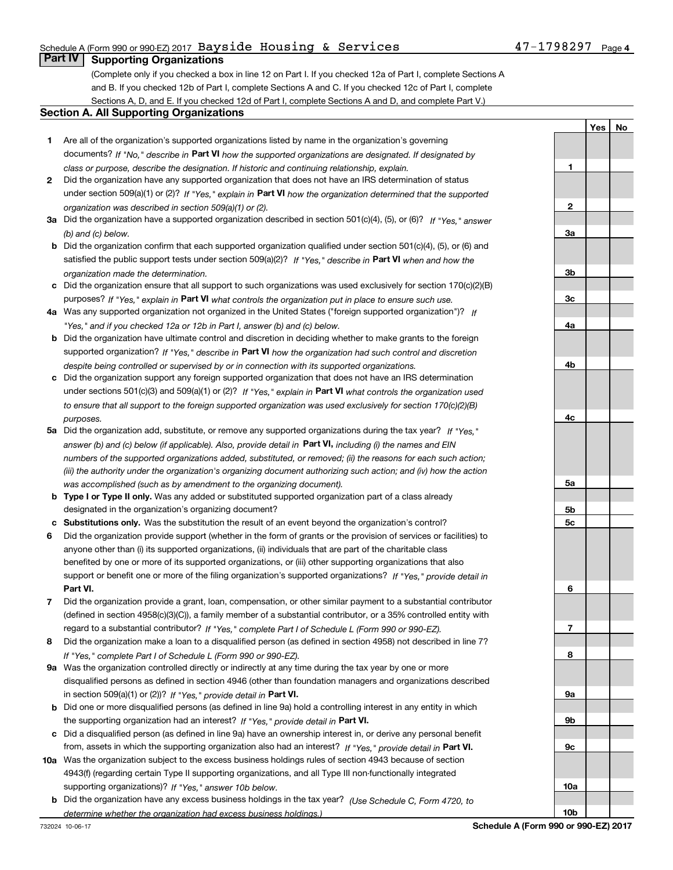### Schedule A (Form 990 or 990-EZ) 2017 <code>Bayside Housing & Services</code>  $47-1798297$  <code>Page</code>

## **Part IV Supporting Organizations**

(Complete only if you checked a box in line 12 on Part I. If you checked 12a of Part I, complete Sections A and B. If you checked 12b of Part I, complete Sections A and C. If you checked 12c of Part I, complete Sections A, D, and E. If you checked 12d of Part I, complete Sections A and D, and complete Part V.)

#### **Section A. All Supporting Organizations**

- **1** Are all of the organization's supported organizations listed by name in the organization's governing documents? If "No," describe in **Part VI** how the supported organizations are designated. If designated by *class or purpose, describe the designation. If historic and continuing relationship, explain.*
- **2** Did the organization have any supported organization that does not have an IRS determination of status under section 509(a)(1) or (2)? If "Yes," explain in Part VI how the organization determined that the supported *organization was described in section 509(a)(1) or (2).*
- **3a** Did the organization have a supported organization described in section 501(c)(4), (5), or (6)? If "Yes," answer *(b) and (c) below.*
- **b** Did the organization confirm that each supported organization qualified under section 501(c)(4), (5), or (6) and satisfied the public support tests under section 509(a)(2)? If "Yes," describe in **Part VI** when and how the *organization made the determination.*
- **c**Did the organization ensure that all support to such organizations was used exclusively for section 170(c)(2)(B) purposes? If "Yes," explain in **Part VI** what controls the organization put in place to ensure such use.
- **4a***If* Was any supported organization not organized in the United States ("foreign supported organization")? *"Yes," and if you checked 12a or 12b in Part I, answer (b) and (c) below.*
- **b** Did the organization have ultimate control and discretion in deciding whether to make grants to the foreign supported organization? If "Yes," describe in **Part VI** how the organization had such control and discretion *despite being controlled or supervised by or in connection with its supported organizations.*
- **c** Did the organization support any foreign supported organization that does not have an IRS determination under sections 501(c)(3) and 509(a)(1) or (2)? If "Yes," explain in **Part VI** what controls the organization used *to ensure that all support to the foreign supported organization was used exclusively for section 170(c)(2)(B) purposes.*
- **5a***If "Yes,"* Did the organization add, substitute, or remove any supported organizations during the tax year? answer (b) and (c) below (if applicable). Also, provide detail in **Part VI,** including (i) the names and EIN *numbers of the supported organizations added, substituted, or removed; (ii) the reasons for each such action; (iii) the authority under the organization's organizing document authorizing such action; and (iv) how the action was accomplished (such as by amendment to the organizing document).*
- **b** Type I or Type II only. Was any added or substituted supported organization part of a class already designated in the organization's organizing document?
- **cSubstitutions only.**  Was the substitution the result of an event beyond the organization's control?
- **6** Did the organization provide support (whether in the form of grants or the provision of services or facilities) to **Part VI.** *If "Yes," provide detail in* support or benefit one or more of the filing organization's supported organizations? anyone other than (i) its supported organizations, (ii) individuals that are part of the charitable class benefited by one or more of its supported organizations, or (iii) other supporting organizations that also
- **7**Did the organization provide a grant, loan, compensation, or other similar payment to a substantial contributor *If "Yes," complete Part I of Schedule L (Form 990 or 990-EZ).* regard to a substantial contributor? (defined in section 4958(c)(3)(C)), a family member of a substantial contributor, or a 35% controlled entity with
- **8** Did the organization make a loan to a disqualified person (as defined in section 4958) not described in line 7? *If "Yes," complete Part I of Schedule L (Form 990 or 990-EZ).*
- **9a** Was the organization controlled directly or indirectly at any time during the tax year by one or more in section 509(a)(1) or (2))? If "Yes," *provide detail in* <code>Part VI.</code> disqualified persons as defined in section 4946 (other than foundation managers and organizations described
- **b** Did one or more disqualified persons (as defined in line 9a) hold a controlling interest in any entity in which the supporting organization had an interest? If "Yes," provide detail in P**art VI**.
- **c**Did a disqualified person (as defined in line 9a) have an ownership interest in, or derive any personal benefit from, assets in which the supporting organization also had an interest? If "Yes," provide detail in P**art VI.**
- **10a** Was the organization subject to the excess business holdings rules of section 4943 because of section supporting organizations)? If "Yes," answer 10b below. 4943(f) (regarding certain Type II supporting organizations, and all Type III non-functionally integrated
- **b** Did the organization have any excess business holdings in the tax year? (Use Schedule C, Form 4720, to *determine whether the organization had excess business holdings.)*

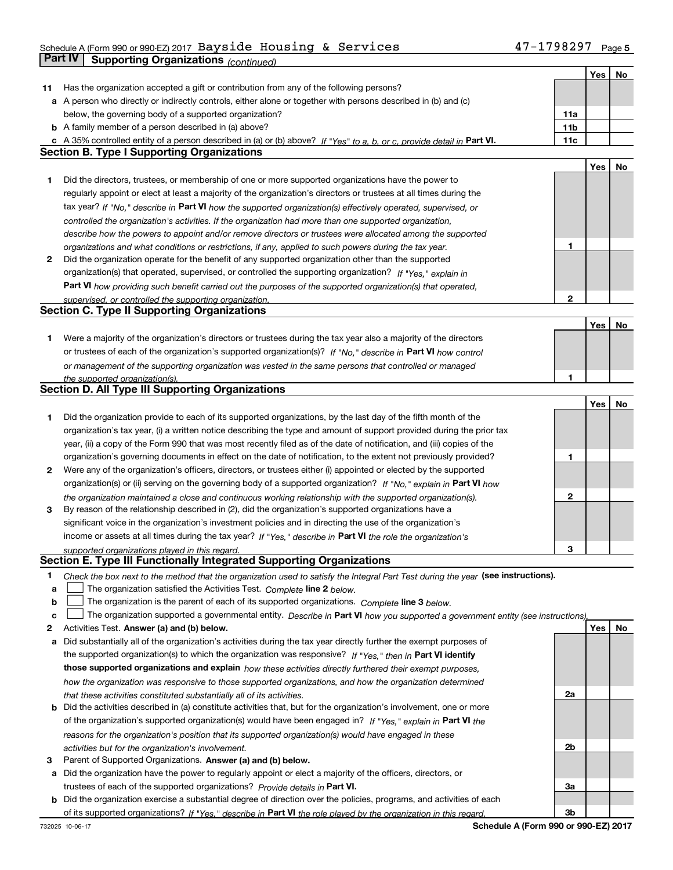## Schedule A (Form 990 or 990-EZ) 2017 <code>Bayside Housing & Services</code>  $47-1798297$  <code>Page</code> **Part IV** Supporting Organizations (*continued*)

|    |                                                                                                                                   |     | Yes | No |
|----|-----------------------------------------------------------------------------------------------------------------------------------|-----|-----|----|
| 11 | Has the organization accepted a gift or contribution from any of the following persons?                                           |     |     |    |
|    | a A person who directly or indirectly controls, either alone or together with persons described in (b) and (c)                    |     |     |    |
|    | below, the governing body of a supported organization?                                                                            | 11a |     |    |
|    | <b>b</b> A family member of a person described in (a) above?                                                                      | 11b |     |    |
|    | c A 35% controlled entity of a person described in (a) or (b) above? If "Yes" to a, b, or c, provide detail in Part VI.           | 11c |     |    |
|    | <b>Section B. Type I Supporting Organizations</b>                                                                                 |     |     |    |
|    |                                                                                                                                   |     | Yes | No |
| 1  | Did the directors, trustees, or membership of one or more supported organizations have the power to                               |     |     |    |
|    | regularly appoint or elect at least a majority of the organization's directors or trustees at all times during the                |     |     |    |
|    | tax year? If "No," describe in Part VI how the supported organization(s) effectively operated, supervised, or                     |     |     |    |
|    | controlled the organization's activities. If the organization had more than one supported organization,                           |     |     |    |
|    | describe how the powers to appoint and/or remove directors or trustees were allocated among the supported                         |     |     |    |
|    | organizations and what conditions or restrictions, if any, applied to such powers during the tax year.                            | 1   |     |    |
| 2  | Did the organization operate for the benefit of any supported organization other than the supported                               |     |     |    |
|    | organization(s) that operated, supervised, or controlled the supporting organization? If "Yes," explain in                        |     |     |    |
|    |                                                                                                                                   |     |     |    |
|    | Part VI how providing such benefit carried out the purposes of the supported organization(s) that operated,                       | 2   |     |    |
|    | supervised, or controlled the supporting organization.<br><b>Section C. Type II Supporting Organizations</b>                      |     |     |    |
|    |                                                                                                                                   |     |     |    |
|    |                                                                                                                                   |     | Yes | No |
| 1. | Were a majority of the organization's directors or trustees during the tax year also a majority of the directors                  |     |     |    |
|    | or trustees of each of the organization's supported organization(s)? If "No," describe in Part VI how control                     |     |     |    |
|    | or management of the supporting organization was vested in the same persons that controlled or managed                            |     |     |    |
|    | the supported organization(s).<br>Section D. All Type III Supporting Organizations                                                | 1   |     |    |
|    |                                                                                                                                   |     |     |    |
|    |                                                                                                                                   |     | Yes | No |
| 1  | Did the organization provide to each of its supported organizations, by the last day of the fifth month of the                    |     |     |    |
|    | organization's tax year, (i) a written notice describing the type and amount of support provided during the prior tax             |     |     |    |
|    | year, (ii) a copy of the Form 990 that was most recently filed as of the date of notification, and (iii) copies of the            |     |     |    |
|    | organization's governing documents in effect on the date of notification, to the extent not previously provided?                  | 1   |     |    |
| 2  | Were any of the organization's officers, directors, or trustees either (i) appointed or elected by the supported                  |     |     |    |
|    | organization(s) or (ii) serving on the governing body of a supported organization? If "No," explain in Part VI how                |     |     |    |
|    | the organization maintained a close and continuous working relationship with the supported organization(s).                       | 2   |     |    |
| 3  | By reason of the relationship described in (2), did the organization's supported organizations have a                             |     |     |    |
|    | significant voice in the organization's investment policies and in directing the use of the organization's                        |     |     |    |
|    | income or assets at all times during the tax year? If "Yes," describe in Part VI the role the organization's                      |     |     |    |
|    | supported organizations played in this regard.                                                                                    | 3   |     |    |
|    | Section E. Type III Functionally Integrated Supporting Organizations                                                              |     |     |    |
| 1  | Check the box next to the method that the organization used to satisfy the Integral Part Test during the year (see instructions). |     |     |    |
| a  | The organization satisfied the Activities Test. Complete line 2 below.                                                            |     |     |    |
| b  | The organization is the parent of each of its supported organizations. Complete line 3 below.                                     |     |     |    |
| с  | The organization supported a governmental entity. Describe in Part VI how you supported a government entity (see instructions),   |     |     |    |
| 2  | Activities Test. Answer (a) and (b) below.                                                                                        |     | Yes | No |
| а  | Did substantially all of the organization's activities during the tax year directly further the exempt purposes of                |     |     |    |
|    | the supported organization(s) to which the organization was responsive? If "Yes," then in Part VI identify                        |     |     |    |
|    | those supported organizations and explain how these activities directly furthered their exempt purposes,                          |     |     |    |
|    | how the organization was responsive to those supported organizations, and how the organization determined                         |     |     |    |
|    | that these activities constituted substantially all of its activities.                                                            | 2a  |     |    |
| b  | Did the activities described in (a) constitute activities that, but for the organization's involvement, one or more               |     |     |    |
|    | of the organization's supported organization(s) would have been engaged in? If "Yes," explain in Part VI the                      |     |     |    |
|    | reasons for the organization's position that its supported organization(s) would have engaged in these                            |     |     |    |
|    | activities but for the organization's involvement.                                                                                | 2b  |     |    |
| З  | Parent of Supported Organizations. Answer (a) and (b) below.                                                                      |     |     |    |
|    | a Did the organization have the power to regularly appoint or elect a majority of the officers, directors, or                     |     |     |    |
|    | trustees of each of the supported organizations? Provide details in Part VI.                                                      | За  |     |    |
|    | <b>b</b> Did the organization exercise a substantial degree of direction over the policies, programs, and activities of each      |     |     |    |
|    | of its supported organizations? If "Yes," describe in Part VI the role played by the organization in this regard.                 | 3b  |     |    |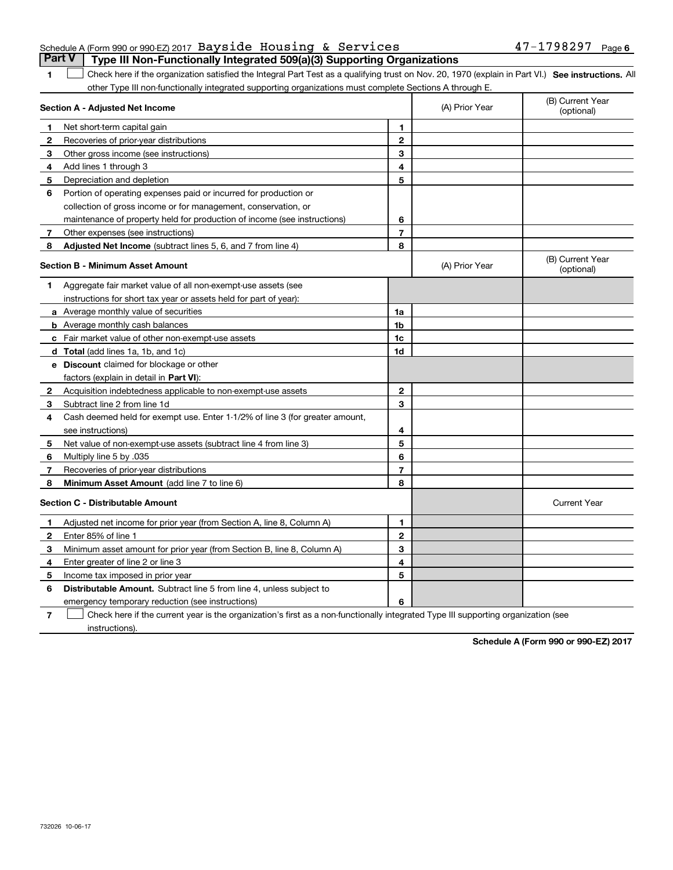### Schedule A (Form 990 or 990-EZ) 2017 <code>Bayside Housing & Services</code>  $47-1798297$  <code>Page</code> **Part V Type III Non-Functionally Integrated 509(a)(3) Supporting Organizations**

**SEP 10. See instructions.** All antegral Part Test as a qualifying trust on Nov. 20, 1970 (explain in Part VI.) See instructions. All other Type III non-functionally integrated supporting organizations must complete Sections A through E. ×.

|              | Section A - Adjusted Net Income                                              |                | (A) Prior Year | (B) Current Year<br>(optional) |
|--------------|------------------------------------------------------------------------------|----------------|----------------|--------------------------------|
| 1            | Net short-term capital gain                                                  | 1              |                |                                |
| 2            | Recoveries of prior-year distributions                                       | $\mathbf{2}$   |                |                                |
| 3            | Other gross income (see instructions)                                        | 3              |                |                                |
| 4            | Add lines 1 through 3                                                        | 4              |                |                                |
| 5            | Depreciation and depletion                                                   | 5              |                |                                |
| 6            | Portion of operating expenses paid or incurred for production or             |                |                |                                |
|              | collection of gross income or for management, conservation, or               |                |                |                                |
|              | maintenance of property held for production of income (see instructions)     | 6              |                |                                |
| 7            | Other expenses (see instructions)                                            | $\overline{7}$ |                |                                |
| 8            | <b>Adjusted Net Income</b> (subtract lines 5, 6, and 7 from line 4)          | 8              |                |                                |
|              | <b>Section B - Minimum Asset Amount</b>                                      |                | (A) Prior Year | (B) Current Year<br>(optional) |
| 1            | Aggregate fair market value of all non-exempt-use assets (see                |                |                |                                |
|              | instructions for short tax year or assets held for part of year):            |                |                |                                |
|              | a Average monthly value of securities                                        | 1a             |                |                                |
|              | <b>b</b> Average monthly cash balances                                       | 1b             |                |                                |
|              | c Fair market value of other non-exempt-use assets                           | 1c             |                |                                |
|              | <b>d</b> Total (add lines 1a, 1b, and 1c)                                    | 1d             |                |                                |
|              | e Discount claimed for blockage or other                                     |                |                |                                |
|              | factors (explain in detail in <b>Part VI</b> ):                              |                |                |                                |
| $\mathbf{2}$ | Acquisition indebtedness applicable to non-exempt-use assets                 | $\mathbf{2}$   |                |                                |
| 3            | Subtract line 2 from line 1d                                                 | 3              |                |                                |
| 4            | Cash deemed held for exempt use. Enter 1-1/2% of line 3 (for greater amount, |                |                |                                |
|              | see instructions)                                                            | 4              |                |                                |
| 5            | Net value of non-exempt-use assets (subtract line 4 from line 3)             | 5              |                |                                |
| 6            | Multiply line 5 by .035                                                      | 6              |                |                                |
| 7            | Recoveries of prior-year distributions                                       | $\overline{7}$ |                |                                |
| 8            | Minimum Asset Amount (add line 7 to line 6)                                  | 8              |                |                                |
|              | <b>Section C - Distributable Amount</b>                                      |                |                | <b>Current Year</b>            |
| 1            | Adjusted net income for prior year (from Section A, line 8, Column A)        | 1              |                |                                |
| 2            | Enter 85% of line 1                                                          | $\mathbf{2}$   |                |                                |
| 3            | Minimum asset amount for prior year (from Section B, line 8, Column A)       | 3              |                |                                |
| 4            | Enter greater of line 2 or line 3                                            | 4              |                |                                |
| 5            | Income tax imposed in prior year                                             | 5              |                |                                |
| 6            | <b>Distributable Amount.</b> Subtract line 5 from line 4, unless subject to  |                |                |                                |
|              | emergency temporary reduction (see instructions)                             | 6              |                |                                |

**7**Check here if the current year is the organization's first as a non-functionally integrated Type III supporting organization (see instructions).

**Schedule A (Form 990 or 990-EZ) 2017**

**1**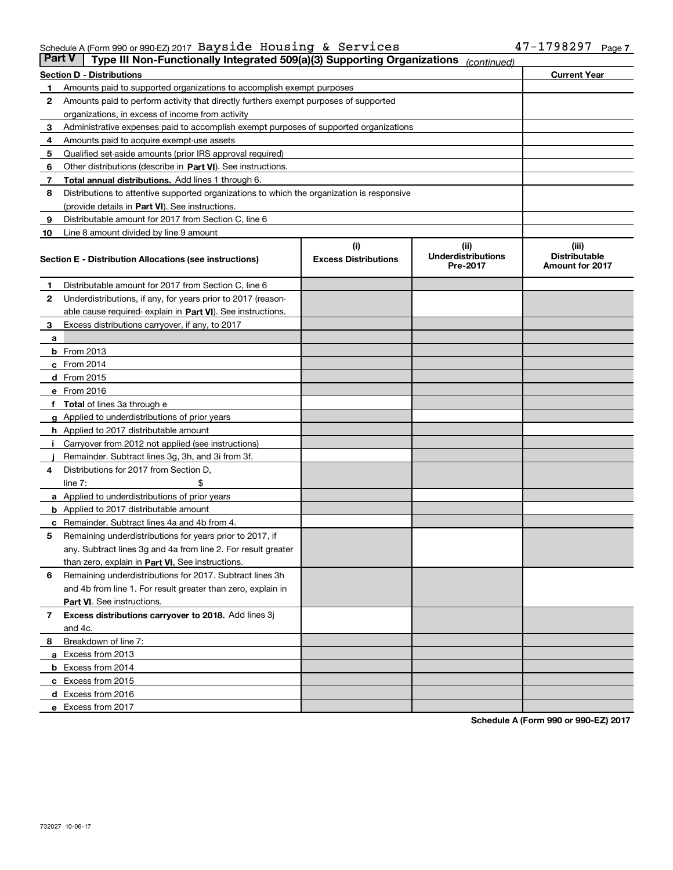#### Schedule A (Form 990 or 990-EZ) 2017 <code>Bayside Housing & Services</code>  $47-1798297$  <code>Page</code>

| <b>Part V</b> | Type III Non-Functionally Integrated 509(a)(3) Supporting Organizations                    |                             | (continued)                           |                                                |
|---------------|--------------------------------------------------------------------------------------------|-----------------------------|---------------------------------------|------------------------------------------------|
|               | <b>Section D - Distributions</b>                                                           |                             |                                       | <b>Current Year</b>                            |
| 1             | Amounts paid to supported organizations to accomplish exempt purposes                      |                             |                                       |                                                |
| 2             | Amounts paid to perform activity that directly furthers exempt purposes of supported       |                             |                                       |                                                |
|               | organizations, in excess of income from activity                                           |                             |                                       |                                                |
| з             | Administrative expenses paid to accomplish exempt purposes of supported organizations      |                             |                                       |                                                |
| 4             | Amounts paid to acquire exempt-use assets                                                  |                             |                                       |                                                |
| 5             | Qualified set-aside amounts (prior IRS approval required)                                  |                             |                                       |                                                |
| 6             | Other distributions (describe in Part VI). See instructions.                               |                             |                                       |                                                |
| 7             | <b>Total annual distributions.</b> Add lines 1 through 6.                                  |                             |                                       |                                                |
| 8             | Distributions to attentive supported organizations to which the organization is responsive |                             |                                       |                                                |
|               | (provide details in Part VI). See instructions.                                            |                             |                                       |                                                |
| 9             | Distributable amount for 2017 from Section C, line 6                                       |                             |                                       |                                                |
| 10            | Line 8 amount divided by line 9 amount                                                     |                             |                                       |                                                |
|               |                                                                                            | (i)                         | (iii)                                 | (iii)                                          |
|               | Section E - Distribution Allocations (see instructions)                                    | <b>Excess Distributions</b> | <b>Underdistributions</b><br>Pre-2017 | <b>Distributable</b><br><b>Amount for 2017</b> |
| 1             | Distributable amount for 2017 from Section C, line 6                                       |                             |                                       |                                                |
| 2             | Underdistributions, if any, for years prior to 2017 (reason-                               |                             |                                       |                                                |
|               | able cause required- explain in Part VI). See instructions.                                |                             |                                       |                                                |
| 3             | Excess distributions carryover, if any, to 2017                                            |                             |                                       |                                                |
| а             |                                                                                            |                             |                                       |                                                |
|               | <b>b</b> From 2013                                                                         |                             |                                       |                                                |
|               | c From 2014                                                                                |                             |                                       |                                                |
|               | <b>d</b> From 2015                                                                         |                             |                                       |                                                |
|               | e From 2016                                                                                |                             |                                       |                                                |
|               | Total of lines 3a through e                                                                |                             |                                       |                                                |
|               | <b>g</b> Applied to underdistributions of prior years                                      |                             |                                       |                                                |
|               | <b>h</b> Applied to 2017 distributable amount                                              |                             |                                       |                                                |
|               | Carryover from 2012 not applied (see instructions)                                         |                             |                                       |                                                |
|               | Remainder. Subtract lines 3g, 3h, and 3i from 3f.                                          |                             |                                       |                                                |
| 4             | Distributions for 2017 from Section D,                                                     |                             |                                       |                                                |
|               | line $7:$                                                                                  |                             |                                       |                                                |
|               | <b>a</b> Applied to underdistributions of prior years                                      |                             |                                       |                                                |
|               | <b>b</b> Applied to 2017 distributable amount                                              |                             |                                       |                                                |
| с             | Remainder. Subtract lines 4a and 4b from 4.                                                |                             |                                       |                                                |
| 5             | Remaining underdistributions for years prior to 2017, if                                   |                             |                                       |                                                |
|               | any. Subtract lines 3g and 4a from line 2. For result greater                              |                             |                                       |                                                |
|               | than zero, explain in Part VI. See instructions.                                           |                             |                                       |                                                |
| 6             | Remaining underdistributions for 2017. Subtract lines 3h                                   |                             |                                       |                                                |
|               | and 4b from line 1. For result greater than zero, explain in                               |                             |                                       |                                                |
|               | Part VI. See instructions.                                                                 |                             |                                       |                                                |
| 7             | Excess distributions carryover to 2018. Add lines 3j                                       |                             |                                       |                                                |
|               | and 4c.                                                                                    |                             |                                       |                                                |
| 8             | Breakdown of line 7:                                                                       |                             |                                       |                                                |
|               | a Excess from 2013                                                                         |                             |                                       |                                                |
|               | <b>b</b> Excess from 2014                                                                  |                             |                                       |                                                |
|               | c Excess from 2015                                                                         |                             |                                       |                                                |
|               | d Excess from 2016                                                                         |                             |                                       |                                                |
|               |                                                                                            |                             |                                       |                                                |
|               | e Excess from 2017                                                                         |                             |                                       |                                                |

**Schedule A (Form 990 or 990-EZ) 2017**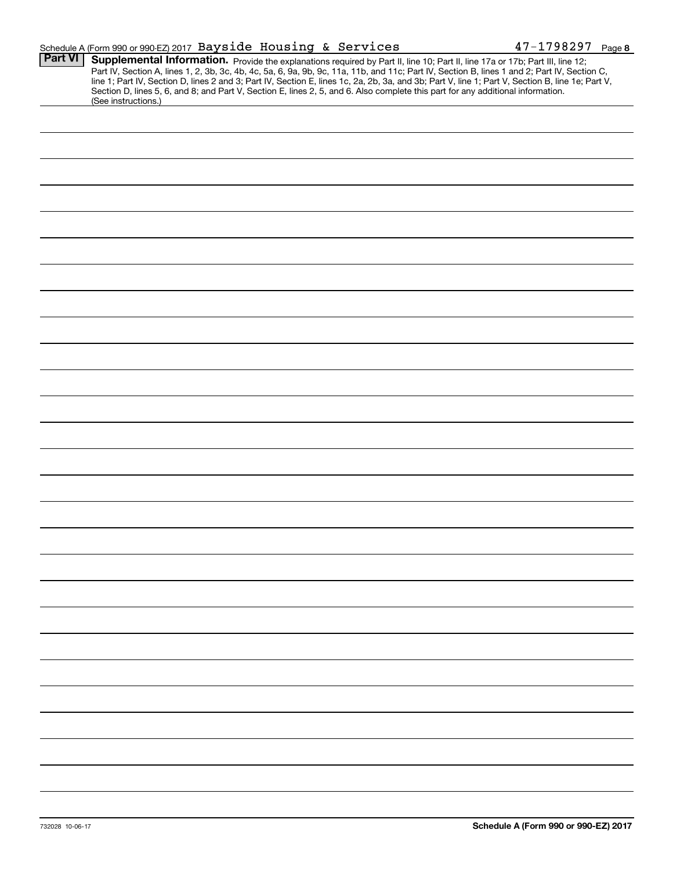|                | Schedule A (Form 990 or 990-EZ) 2017 Bayside Housing & Services                                                                                                                                                                                                                                                                                                                                                                                                                                                                                                                             | $47 - 1798297$ Page 8 |
|----------------|---------------------------------------------------------------------------------------------------------------------------------------------------------------------------------------------------------------------------------------------------------------------------------------------------------------------------------------------------------------------------------------------------------------------------------------------------------------------------------------------------------------------------------------------------------------------------------------------|-----------------------|
| <b>Part VI</b> | Supplemental Information. Provide the explanations required by Part II, line 10; Part II, line 17a or 17b; Part III, line 12;<br>Part IV, Section A, lines 1, 2, 3b, 3c, 4b, 4c, 5a, 6, 9a, 9b, 9c, 11a, 11b, and 11c; Part IV, Section B, lines 1 and 2; Part IV, Section C,<br>line 1; Part IV, Section D, lines 2 and 3; Part IV, Section E, lines 1c, 2a, 2b, 3a, and 3b; Part V, line 1; Part V, Section B, line 1e; Part V,<br>Section D, lines 5, 6, and 8; and Part V, Section E, lines 2, 5, and 6. Also complete this part for any additional information.<br>(See instructions.) |                       |
|                |                                                                                                                                                                                                                                                                                                                                                                                                                                                                                                                                                                                             |                       |
|                |                                                                                                                                                                                                                                                                                                                                                                                                                                                                                                                                                                                             |                       |
|                |                                                                                                                                                                                                                                                                                                                                                                                                                                                                                                                                                                                             |                       |
|                |                                                                                                                                                                                                                                                                                                                                                                                                                                                                                                                                                                                             |                       |
|                |                                                                                                                                                                                                                                                                                                                                                                                                                                                                                                                                                                                             |                       |
|                |                                                                                                                                                                                                                                                                                                                                                                                                                                                                                                                                                                                             |                       |
|                |                                                                                                                                                                                                                                                                                                                                                                                                                                                                                                                                                                                             |                       |
|                |                                                                                                                                                                                                                                                                                                                                                                                                                                                                                                                                                                                             |                       |
|                |                                                                                                                                                                                                                                                                                                                                                                                                                                                                                                                                                                                             |                       |
|                |                                                                                                                                                                                                                                                                                                                                                                                                                                                                                                                                                                                             |                       |
|                |                                                                                                                                                                                                                                                                                                                                                                                                                                                                                                                                                                                             |                       |
|                |                                                                                                                                                                                                                                                                                                                                                                                                                                                                                                                                                                                             |                       |
|                |                                                                                                                                                                                                                                                                                                                                                                                                                                                                                                                                                                                             |                       |
|                |                                                                                                                                                                                                                                                                                                                                                                                                                                                                                                                                                                                             |                       |
|                |                                                                                                                                                                                                                                                                                                                                                                                                                                                                                                                                                                                             |                       |
|                |                                                                                                                                                                                                                                                                                                                                                                                                                                                                                                                                                                                             |                       |
|                |                                                                                                                                                                                                                                                                                                                                                                                                                                                                                                                                                                                             |                       |
|                |                                                                                                                                                                                                                                                                                                                                                                                                                                                                                                                                                                                             |                       |
|                |                                                                                                                                                                                                                                                                                                                                                                                                                                                                                                                                                                                             |                       |
|                |                                                                                                                                                                                                                                                                                                                                                                                                                                                                                                                                                                                             |                       |
|                |                                                                                                                                                                                                                                                                                                                                                                                                                                                                                                                                                                                             |                       |
|                |                                                                                                                                                                                                                                                                                                                                                                                                                                                                                                                                                                                             |                       |
|                |                                                                                                                                                                                                                                                                                                                                                                                                                                                                                                                                                                                             |                       |
|                |                                                                                                                                                                                                                                                                                                                                                                                                                                                                                                                                                                                             |                       |
|                |                                                                                                                                                                                                                                                                                                                                                                                                                                                                                                                                                                                             |                       |
|                |                                                                                                                                                                                                                                                                                                                                                                                                                                                                                                                                                                                             |                       |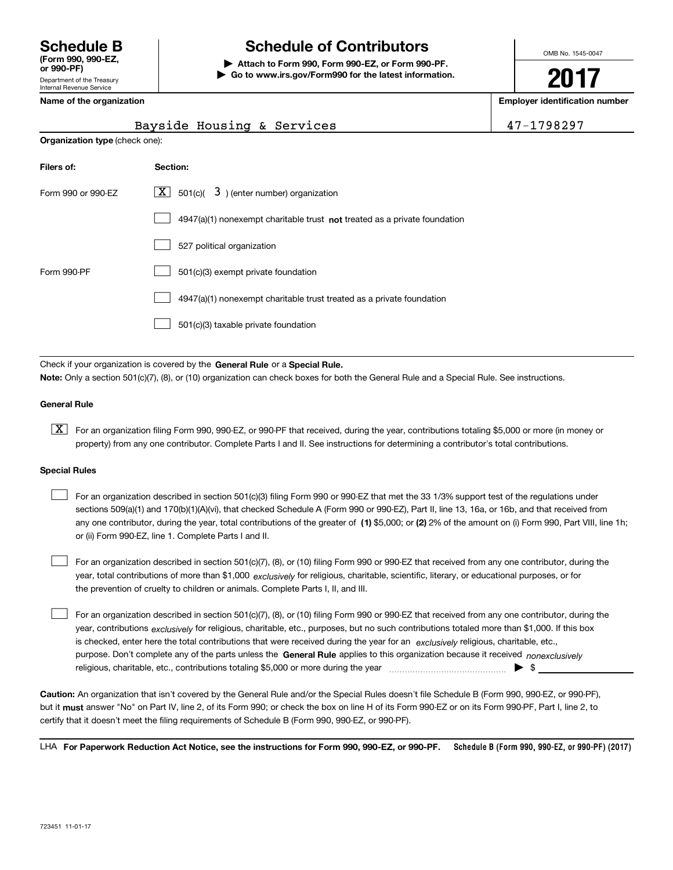# **Schedule B Schedule of Contributors**

**| Attach to Form 990, Form 990-EZ, or Form 990-PF. | Go to www.irs.gov/Form990 for the latest information.** OMB No. 1545-0047

**2017**

**Name of the organization Employer identification number**

|  |  |  |  | Name of the organization |  |
|--|--|--|--|--------------------------|--|
|--|--|--|--|--------------------------|--|

|                                                                             | Bayside Housing & Services                                                         | 47-1798297 |  |  |  |  |  |  |
|-----------------------------------------------------------------------------|------------------------------------------------------------------------------------|------------|--|--|--|--|--|--|
| <b>Organization type (check one):</b>                                       |                                                                                    |            |  |  |  |  |  |  |
| Filers of:                                                                  | <b>Section:</b>                                                                    |            |  |  |  |  |  |  |
| $X \mid$<br>501(c)( $3$ ) (enter number) organization<br>Form 990 or 990-EZ |                                                                                    |            |  |  |  |  |  |  |
|                                                                             | $4947(a)(1)$ nonexempt charitable trust <b>not</b> treated as a private foundation |            |  |  |  |  |  |  |
|                                                                             | 527 political organization                                                         |            |  |  |  |  |  |  |
| Form 990-PF                                                                 | 501(c)(3) exempt private foundation                                                |            |  |  |  |  |  |  |
|                                                                             | 4947(a)(1) nonexempt charitable trust treated as a private foundation              |            |  |  |  |  |  |  |

501(c)(3) taxable private foundation  $\mathcal{L}^{\text{max}}$ 

Check if your organization is covered by the **General Rule** or a **Special Rule. Note:**  Only a section 501(c)(7), (8), or (10) organization can check boxes for both the General Rule and a Special Rule. See instructions.

#### **General Rule**

 $\boxed{\textbf{X}}$  For an organization filing Form 990, 990-EZ, or 990-PF that received, during the year, contributions totaling \$5,000 or more (in money or property) from any one contributor. Complete Parts I and II. See instructions for determining a contributor's total contributions.

#### **Special Rules**

 $\mathcal{L}^{\text{max}}$ 

any one contributor, during the year, total contributions of the greater of  $\,$  (1) \$5,000; or **(2)** 2% of the amount on (i) Form 990, Part VIII, line 1h; For an organization described in section 501(c)(3) filing Form 990 or 990-EZ that met the 33 1/3% support test of the regulations under sections 509(a)(1) and 170(b)(1)(A)(vi), that checked Schedule A (Form 990 or 990-EZ), Part II, line 13, 16a, or 16b, and that received from or (ii) Form 990-EZ, line 1. Complete Parts I and II.  $\mathcal{L}^{\text{max}}$ 

year, total contributions of more than \$1,000 *exclusively* for religious, charitable, scientific, literary, or educational purposes, or for For an organization described in section 501(c)(7), (8), or (10) filing Form 990 or 990-EZ that received from any one contributor, during the the prevention of cruelty to children or animals. Complete Parts I, II, and III.  $\mathcal{L}^{\text{max}}$ 

purpose. Don't complete any of the parts unless the **General Rule** applies to this organization because it received *nonexclusively* year, contributions <sub>exclusively</sub> for religious, charitable, etc., purposes, but no such contributions totaled more than \$1,000. If this box is checked, enter here the total contributions that were received during the year for an  $\;$ exclusively religious, charitable, etc., For an organization described in section 501(c)(7), (8), or (10) filing Form 990 or 990-EZ that received from any one contributor, during the religious, charitable, etc., contributions totaling \$5,000 or more during the year  $\Box$ — $\Box$   $\Box$ 

**Caution:**  An organization that isn't covered by the General Rule and/or the Special Rules doesn't file Schedule B (Form 990, 990-EZ, or 990-PF),  **must** but it answer "No" on Part IV, line 2, of its Form 990; or check the box on line H of its Form 990-EZ or on its Form 990-PF, Part I, line 2, to certify that it doesn't meet the filing requirements of Schedule B (Form 990, 990-EZ, or 990-PF).

**Schedule B (Form 990, 990-EZ, or 990-PF) (2017) For Paperwork Reduction Act Notice, see the instructions for Form 990, 990-EZ, or 990-PF.** LHA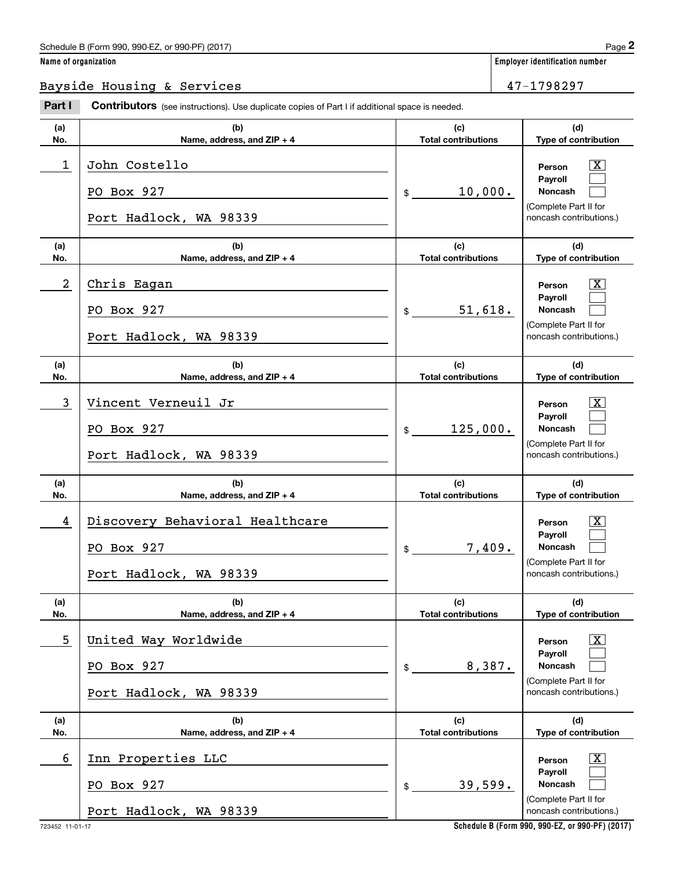#### Schedule B (Form 990, 990-EZ, or 990-PF) (2017)  $Page$  2

**Employer identification number** 

Bayside Housing & Services 47-1798297

#### **(a)No.(b)Name, address, and ZIP + 4 (c)Total contributions (d)Type of contribution PersonPayrollNoncash (a)No.(b)Name, address, and ZIP + 4 (c)Total contributions (d)Type of contribution PersonPayrollNoncash (a)No.(b)Name, address, and ZIP + 4 (c)Total contributions (d)Type of contribution PersonPayrollNoncash (a)No.(b)Name, address, and ZIP + 4 (c) Total contributions (d)Type of contribution PersonPayrollNoncash (a)No.(b)Name, address, and ZIP + 4 (c)Total contributions (d)Type of contribution PersonPayrollNoncash (a)No.(b)Name, address, and ZIP + 4 (c)Total contributions (d)Type of contribution PersonPayrollNoncash Contributors** (see instructions). Use duplicate copies of Part I if additional space is needed. \$(Complete Part II for noncash contributions.) \$(Complete Part II for noncash contributions.)  $$$ (Complete Part II for noncash contributions.) \$(Complete Part II for noncash contributions.) \$(Complete Part II for noncash contributions.)  $$$ (Complete Part II for noncash contributions.) Employer identification Page 2<br> **2** ame of organization<br>
Bayside Housing & Services 1980 Part I **Contributors** (see instructions). Use duplicate copies of Part I if additional space is needed.  $\lceil \text{X} \rceil$  $\mathcal{L}^{\text{max}}$  $\mathcal{L}^{\text{max}}$  $\boxed{\text{X}}$  $\mathcal{L}^{\text{max}}$  $\mathcal{L}^{\text{max}}$  $\lceil \text{X} \rceil$  $\mathcal{L}^{\text{max}}$  $\mathcal{L}^{\text{max}}$  $\lceil \text{X} \rceil$  $\mathcal{L}^{\text{max}}$  $\mathcal{L}^{\text{max}}$  $|X|$  $\mathcal{L}^{\text{max}}$  $\mathcal{L}^{\text{max}}$  $\boxed{\text{X}}$  $\mathcal{L}^{\text{max}}$  $\mathcal{L}^{\text{max}}$ 1 X John Costello 10,000. PO Box 927 Port Hadlock, WA 98339 2 X Chris Eagan 51,618. PO Box 927 Port Hadlock, WA 98339 3 X Vincent Verneuil Jr 125,000. PO Box 927 Port Hadlock, WA 98339 4 Discovery Behavioral Healthcare Theory (Service Service Service Service Service Service Service Service Service S 7,409. PO Box 927 Port Hadlock, WA 98339 5 X United Way Worldwide 8,387. PO Box 927 Port Hadlock, WA 98339 6 X Inn Properties LLC 39,599. PO Box 927 Port Hadlock, WA 98339

**Schedule B (Form 990, 990-EZ, or 990-PF) (2017)**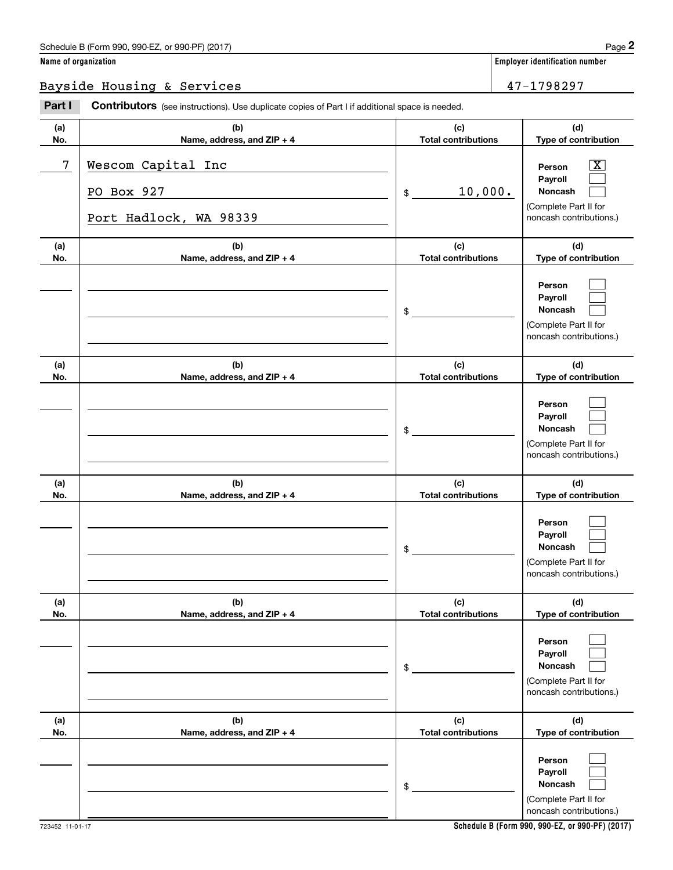#### Schedule B (Form 990, 990-EZ, or 990-PF) (2017) **Page 2** and the state of the state of the state of the state of the state of the state of the state of the state of the state of the state of the state of the state of the s

**Employer identification number** 

**(d)**

 $\lceil \text{X} \rceil$  $\mathcal{L}^{\text{max}}$  $\mathcal{L}^{\text{max}}$ 

 $\mathcal{L}^{\text{max}}$  $\mathcal{L}^{\text{max}}$  $\mathcal{L}^{\text{max}}$ 

 $\mathcal{L}^{\text{max}}$  $\mathcal{L}^{\text{max}}$  $\mathcal{L}^{\text{max}}$ 

 $\mathcal{L}^{\text{max}}$  $\mathcal{L}^{\text{max}}$  $\mathcal{L}^{\text{max}}$ 

 $\mathcal{L}^{\text{max}}$  $\mathcal{L}^{\text{max}}$  $\mathcal{L}^{\text{max}}$ 

 $\mathcal{L}^{\text{max}}$  $\mathcal{L}^{\text{max}}$  $\mathcal{L}^{\text{max}}$ 

**(d)**

**(d)**

**(d)**

**(d)**

**(d)**

Bayside Housing & Services 47-1798297

#### **(a)No.(b)Name, address, and ZIP + 4 (c)Total contributions Type of contribution PersonPayrollNoncash (a)No.(b)Name, address, and ZIP + 4 (c)Total contributions Type of contribution PersonPayrollNoncash (a)No.(b)Name, address, and ZIP + 4 (c)Total contributions Type of contribution PersonPayrollNoncash (a) No.(b)Name, address, and ZIP + 4 (c) Total contributions Type of contribution PersonPayrollNoncash(a) No.(b)Name, address, and ZIP + 4 (c) Total contributions Type of contribution PersonPayrollNoncash (a) No.(b)Name, address, and ZIP + 4 (c) Total contributions Type of contribution PersonPayrollNoncash Contributors** (see instructions). Use duplicate copies of Part I if additional space is needed. \$(Complete Part II for noncash contributions.) \$(Complete Part II for noncash contributions.) \$(Complete Part II for noncash contributions.) \$(Complete Part II for noncash contributions.) \$(Complete Part II for noncash contributions.) \$(Complete Part II for Employer identification Page 2<br> **2** ame of organization<br>
Bayside Housing & Services 1980 Part I **Contributors** (see instructions). Use duplicate copies of Part I if additional space is needed. 7 X Wescom Capital Inc 10,000. PO Box 927 Port Hadlock, WA 98339

noncash contributions.)

**Schedule B (Form 990, 990-EZ, or 990-PF) (2017)**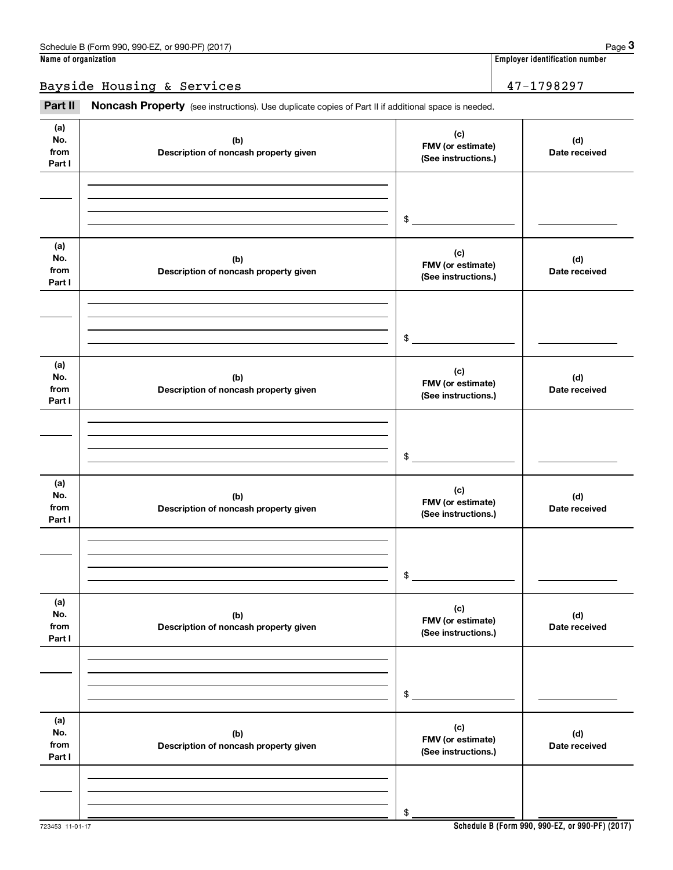Bayside Housing & Services 47-1798297

Employer identification number<br> **3 and the Secult of Organization**<br> **3 ayside Housing & Services**<br> **Part II Noncash Property** (see instructions). Use duplicate copies of Part II if additional space is needed.

| (a)<br>No.<br>from<br>Part I | (b)<br>Description of noncash property given | (c)<br>FMV (or estimate)<br>(See instructions.) | (d)<br>Date received |
|------------------------------|----------------------------------------------|-------------------------------------------------|----------------------|
|                              |                                              | $\$$                                            |                      |
| (a)<br>No.<br>from<br>Part I | (b)<br>Description of noncash property given | (c)<br>FMV (or estimate)<br>(See instructions.) | (d)<br>Date received |
|                              |                                              | $\$$                                            |                      |
| (a)<br>No.<br>from<br>Part I | (b)<br>Description of noncash property given | (c)<br>FMV (or estimate)<br>(See instructions.) | (d)<br>Date received |
|                              |                                              | $\$$                                            |                      |
| (a)<br>No.<br>from<br>Part I | (b)<br>Description of noncash property given | (c)<br>FMV (or estimate)<br>(See instructions.) | (d)<br>Date received |
|                              |                                              | \$                                              |                      |
| (a)<br>No.<br>from<br>Part I | (b)<br>Description of noncash property given | (c)<br>FMV (or estimate)<br>(See instructions.) | (d)<br>Date received |
|                              |                                              | \$                                              |                      |
| (a)<br>No.<br>from<br>Part I | (b)<br>Description of noncash property given | (c)<br>FMV (or estimate)<br>(See instructions.) | (d)<br>Date received |
|                              |                                              | \$                                              |                      |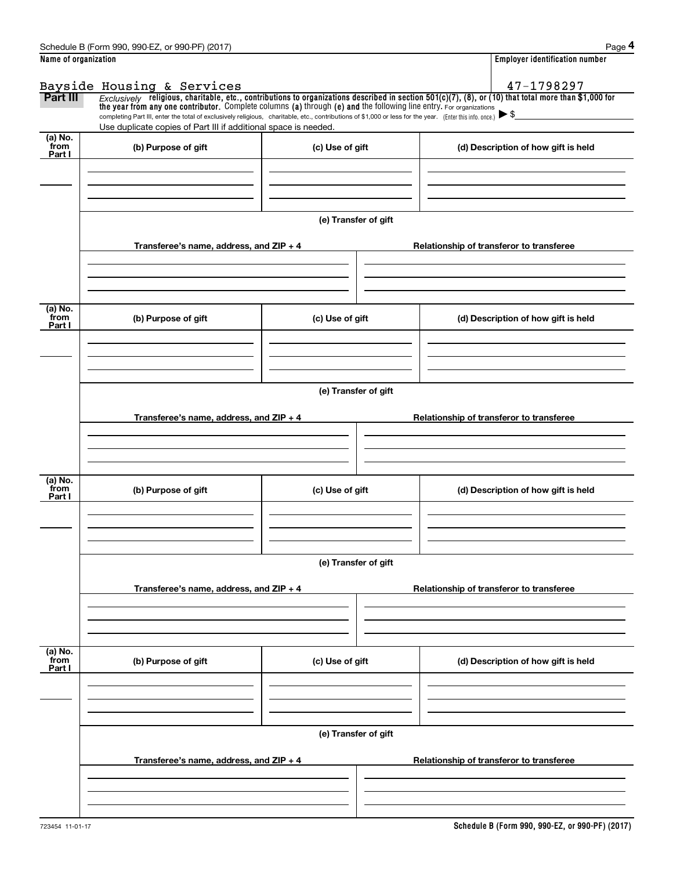|                           | Schedule B (Form 990, 990-EZ, or 990-PF) (2017)                                                                                                                                                                                                                                                          |                      | Page 4                                                                                                                                                  |  |  |  |  |  |  |
|---------------------------|----------------------------------------------------------------------------------------------------------------------------------------------------------------------------------------------------------------------------------------------------------------------------------------------------------|----------------------|---------------------------------------------------------------------------------------------------------------------------------------------------------|--|--|--|--|--|--|
| Name of organization      |                                                                                                                                                                                                                                                                                                          |                      | <b>Employer identification number</b>                                                                                                                   |  |  |  |  |  |  |
|                           |                                                                                                                                                                                                                                                                                                          |                      | 47-1798297                                                                                                                                              |  |  |  |  |  |  |
| Part III                  | Bayside Housing & Services                                                                                                                                                                                                                                                                               |                      | $Exclusively$ religious, charitable, etc., contributions to organizations described in section 501(c)(7), (8), or (10) that total more than \$1,000 for |  |  |  |  |  |  |
|                           | the year from any one contributor. Complete columns (a) through (e) and the following line entry. For organizations<br>completing Part III, enter the total of exclusively religious, charitable, etc., contributions of \$1,000 or less for the year. (Enter this info. once.) $\blacktriangleright$ \$ |                      |                                                                                                                                                         |  |  |  |  |  |  |
|                           | Use duplicate copies of Part III if additional space is needed.                                                                                                                                                                                                                                          |                      |                                                                                                                                                         |  |  |  |  |  |  |
| (a) No.<br>from           | (b) Purpose of gift                                                                                                                                                                                                                                                                                      | (c) Use of gift      | (d) Description of how gift is held                                                                                                                     |  |  |  |  |  |  |
| Part I                    |                                                                                                                                                                                                                                                                                                          |                      |                                                                                                                                                         |  |  |  |  |  |  |
|                           |                                                                                                                                                                                                                                                                                                          |                      |                                                                                                                                                         |  |  |  |  |  |  |
|                           |                                                                                                                                                                                                                                                                                                          |                      |                                                                                                                                                         |  |  |  |  |  |  |
|                           |                                                                                                                                                                                                                                                                                                          |                      |                                                                                                                                                         |  |  |  |  |  |  |
|                           |                                                                                                                                                                                                                                                                                                          | (e) Transfer of gift |                                                                                                                                                         |  |  |  |  |  |  |
|                           | Transferee's name, address, and $ZIP + 4$                                                                                                                                                                                                                                                                |                      | Relationship of transferor to transferee                                                                                                                |  |  |  |  |  |  |
|                           |                                                                                                                                                                                                                                                                                                          |                      |                                                                                                                                                         |  |  |  |  |  |  |
|                           |                                                                                                                                                                                                                                                                                                          |                      |                                                                                                                                                         |  |  |  |  |  |  |
|                           |                                                                                                                                                                                                                                                                                                          |                      |                                                                                                                                                         |  |  |  |  |  |  |
| (a) No.                   |                                                                                                                                                                                                                                                                                                          |                      |                                                                                                                                                         |  |  |  |  |  |  |
| from<br>Part I            | (b) Purpose of gift                                                                                                                                                                                                                                                                                      | (c) Use of gift      | (d) Description of how gift is held                                                                                                                     |  |  |  |  |  |  |
|                           |                                                                                                                                                                                                                                                                                                          |                      |                                                                                                                                                         |  |  |  |  |  |  |
|                           |                                                                                                                                                                                                                                                                                                          |                      |                                                                                                                                                         |  |  |  |  |  |  |
|                           |                                                                                                                                                                                                                                                                                                          |                      |                                                                                                                                                         |  |  |  |  |  |  |
|                           | (e) Transfer of gift                                                                                                                                                                                                                                                                                     |                      |                                                                                                                                                         |  |  |  |  |  |  |
|                           |                                                                                                                                                                                                                                                                                                          |                      |                                                                                                                                                         |  |  |  |  |  |  |
|                           | Transferee's name, address, and $ZIP + 4$                                                                                                                                                                                                                                                                |                      | Relationship of transferor to transferee                                                                                                                |  |  |  |  |  |  |
|                           |                                                                                                                                                                                                                                                                                                          |                      |                                                                                                                                                         |  |  |  |  |  |  |
|                           |                                                                                                                                                                                                                                                                                                          |                      |                                                                                                                                                         |  |  |  |  |  |  |
| (a) No.                   |                                                                                                                                                                                                                                                                                                          |                      |                                                                                                                                                         |  |  |  |  |  |  |
| from<br>Part I            | (b) Purpose of gift                                                                                                                                                                                                                                                                                      | (c) Use of gift      | (d) Description of how gift is held                                                                                                                     |  |  |  |  |  |  |
|                           |                                                                                                                                                                                                                                                                                                          |                      |                                                                                                                                                         |  |  |  |  |  |  |
|                           |                                                                                                                                                                                                                                                                                                          |                      |                                                                                                                                                         |  |  |  |  |  |  |
|                           |                                                                                                                                                                                                                                                                                                          |                      |                                                                                                                                                         |  |  |  |  |  |  |
|                           |                                                                                                                                                                                                                                                                                                          | (e) Transfer of gift |                                                                                                                                                         |  |  |  |  |  |  |
|                           |                                                                                                                                                                                                                                                                                                          |                      |                                                                                                                                                         |  |  |  |  |  |  |
|                           | Transferee's name, address, and $ZIP + 4$                                                                                                                                                                                                                                                                |                      | Relationship of transferor to transferee                                                                                                                |  |  |  |  |  |  |
|                           |                                                                                                                                                                                                                                                                                                          |                      |                                                                                                                                                         |  |  |  |  |  |  |
|                           |                                                                                                                                                                                                                                                                                                          |                      |                                                                                                                                                         |  |  |  |  |  |  |
|                           |                                                                                                                                                                                                                                                                                                          |                      |                                                                                                                                                         |  |  |  |  |  |  |
| (a) No.<br>from<br>Part I | (b) Purpose of gift                                                                                                                                                                                                                                                                                      | (c) Use of gift      | (d) Description of how gift is held                                                                                                                     |  |  |  |  |  |  |
|                           |                                                                                                                                                                                                                                                                                                          |                      |                                                                                                                                                         |  |  |  |  |  |  |
|                           |                                                                                                                                                                                                                                                                                                          |                      |                                                                                                                                                         |  |  |  |  |  |  |
|                           |                                                                                                                                                                                                                                                                                                          |                      |                                                                                                                                                         |  |  |  |  |  |  |
|                           |                                                                                                                                                                                                                                                                                                          | (e) Transfer of gift |                                                                                                                                                         |  |  |  |  |  |  |
|                           |                                                                                                                                                                                                                                                                                                          |                      |                                                                                                                                                         |  |  |  |  |  |  |
|                           | Transferee's name, address, and $ZIP + 4$                                                                                                                                                                                                                                                                |                      | Relationship of transferor to transferee                                                                                                                |  |  |  |  |  |  |
|                           |                                                                                                                                                                                                                                                                                                          |                      |                                                                                                                                                         |  |  |  |  |  |  |
|                           |                                                                                                                                                                                                                                                                                                          |                      |                                                                                                                                                         |  |  |  |  |  |  |
|                           |                                                                                                                                                                                                                                                                                                          |                      |                                                                                                                                                         |  |  |  |  |  |  |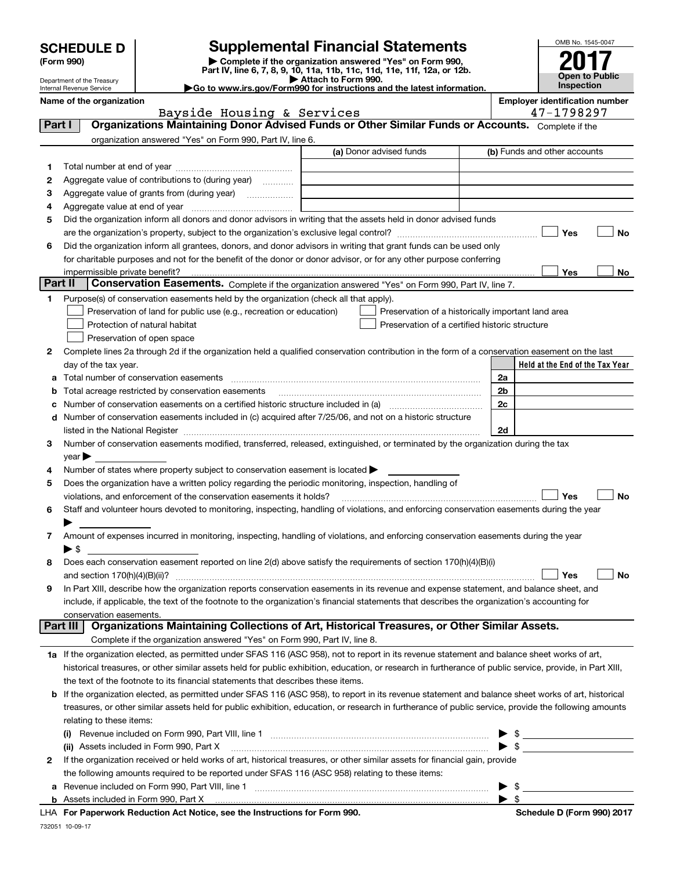| <b>SCHEDULE D</b> |  |
|-------------------|--|
|-------------------|--|

Department of the Treasury Internal Revenue Service

| (Form 990) |  |
|------------|--|
|------------|--|

## **SCHEDULE D Supplemental Financial Statements**

(Form 990)<br>
Pepartment of the Treasury<br>
Department of the Treasury<br>
Department of the Treasury<br>
Department of the Treasury<br> **Co to www.irs.gov/Form990 for instructions and the latest information.**<br> **Co to www.irs.gov/Form9** 

| OMB No. 1545-0047     |
|-----------------------|
| ۰<br>N                |
| <b>Open to Public</b> |
| Inspection            |

|          | Name of the organization<br>Bayside Housing & Services                                                                                                     |                                                    | <b>Employer identification number</b><br>47-1798297 |  |  |  |  |
|----------|------------------------------------------------------------------------------------------------------------------------------------------------------------|----------------------------------------------------|-----------------------------------------------------|--|--|--|--|
| Part I   | Organizations Maintaining Donor Advised Funds or Other Similar Funds or Accounts. Complete if the                                                          |                                                    |                                                     |  |  |  |  |
|          | organization answered "Yes" on Form 990, Part IV, line 6.                                                                                                  |                                                    |                                                     |  |  |  |  |
|          |                                                                                                                                                            | (a) Donor advised funds                            | (b) Funds and other accounts                        |  |  |  |  |
| 1.       |                                                                                                                                                            |                                                    |                                                     |  |  |  |  |
| 2        | Aggregate value of contributions to (during year)                                                                                                          |                                                    |                                                     |  |  |  |  |
| з        | Aggregate value of grants from (during year)                                                                                                               |                                                    |                                                     |  |  |  |  |
| 4        |                                                                                                                                                            |                                                    |                                                     |  |  |  |  |
| 5        | Did the organization inform all donors and donor advisors in writing that the assets held in donor advised funds                                           |                                                    |                                                     |  |  |  |  |
|          |                                                                                                                                                            |                                                    | Yes<br>No                                           |  |  |  |  |
| 6        | Did the organization inform all grantees, donors, and donor advisors in writing that grant funds can be used only                                          |                                                    |                                                     |  |  |  |  |
|          | for charitable purposes and not for the benefit of the donor or donor advisor, or for any other purpose conferring                                         |                                                    |                                                     |  |  |  |  |
|          |                                                                                                                                                            |                                                    | <b>Yes</b><br>No                                    |  |  |  |  |
| Part II  | Conservation Easements. Complete if the organization answered "Yes" on Form 990, Part IV, line 7.                                                          |                                                    |                                                     |  |  |  |  |
| 1        | Purpose(s) of conservation easements held by the organization (check all that apply).                                                                      |                                                    |                                                     |  |  |  |  |
|          | Preservation of land for public use (e.g., recreation or education)                                                                                        | Preservation of a historically important land area |                                                     |  |  |  |  |
|          | Protection of natural habitat                                                                                                                              | Preservation of a certified historic structure     |                                                     |  |  |  |  |
|          | Preservation of open space                                                                                                                                 |                                                    |                                                     |  |  |  |  |
| 2        | Complete lines 2a through 2d if the organization held a qualified conservation contribution in the form of a conservation easement on the last             |                                                    |                                                     |  |  |  |  |
|          | day of the tax year.                                                                                                                                       |                                                    | Held at the End of the Tax Year                     |  |  |  |  |
| а        | Total number of conservation easements                                                                                                                     |                                                    | 2a                                                  |  |  |  |  |
| b        | Total acreage restricted by conservation easements                                                                                                         |                                                    | 2 <sub>b</sub>                                      |  |  |  |  |
| с        | Number of conservation easements on a certified historic structure included in (a) manufacture of conservation                                             |                                                    | 2c                                                  |  |  |  |  |
| d        | Number of conservation easements included in (c) acquired after 7/25/06, and not on a historic structure                                                   |                                                    |                                                     |  |  |  |  |
|          |                                                                                                                                                            |                                                    | 2d                                                  |  |  |  |  |
| 3        | Number of conservation easements modified, transferred, released, extinguished, or terminated by the organization during the tax                           |                                                    |                                                     |  |  |  |  |
|          | $\vee$ ear $\blacktriangleright$                                                                                                                           |                                                    |                                                     |  |  |  |  |
| 4        | Number of states where property subject to conservation easement is located >                                                                              |                                                    |                                                     |  |  |  |  |
| 5        | Does the organization have a written policy regarding the periodic monitoring, inspection, handling of                                                     |                                                    |                                                     |  |  |  |  |
|          | violations, and enforcement of the conservation easements it holds?                                                                                        |                                                    | Yes<br>No                                           |  |  |  |  |
| 6        | Staff and volunteer hours devoted to monitoring, inspecting, handling of violations, and enforcing conservation easements during the year                  |                                                    |                                                     |  |  |  |  |
|          |                                                                                                                                                            |                                                    |                                                     |  |  |  |  |
| 7        | Amount of expenses incurred in monitoring, inspecting, handling of violations, and enforcing conservation easements during the year                        |                                                    |                                                     |  |  |  |  |
|          | $\blacktriangleright$ S                                                                                                                                    |                                                    |                                                     |  |  |  |  |
| 8        | Does each conservation easement reported on line 2(d) above satisfy the requirements of section 170(h)(4)(B)(i)                                            |                                                    |                                                     |  |  |  |  |
|          |                                                                                                                                                            |                                                    | Yes<br>No                                           |  |  |  |  |
|          | In Part XIII, describe how the organization reports conservation easements in its revenue and expense statement, and balance sheet, and                    |                                                    |                                                     |  |  |  |  |
|          | include, if applicable, the text of the footnote to the organization's financial statements that describes the organization's accounting for               |                                                    |                                                     |  |  |  |  |
|          | conservation easements.                                                                                                                                    |                                                    |                                                     |  |  |  |  |
| Part III | Organizations Maintaining Collections of Art, Historical Treasures, or Other Similar Assets.                                                               |                                                    |                                                     |  |  |  |  |
|          | Complete if the organization answered "Yes" on Form 990, Part IV, line 8.                                                                                  |                                                    |                                                     |  |  |  |  |
|          | 1a If the organization elected, as permitted under SFAS 116 (ASC 958), not to report in its revenue statement and balance sheet works of art,              |                                                    |                                                     |  |  |  |  |
|          | historical treasures, or other similar assets held for public exhibition, education, or research in furtherance of public service, provide, in Part XIII,  |                                                    |                                                     |  |  |  |  |
|          | the text of the footnote to its financial statements that describes these items.                                                                           |                                                    |                                                     |  |  |  |  |
|          | <b>b</b> If the organization elected, as permitted under SFAS 116 (ASC 958), to report in its revenue statement and balance sheet works of art, historical |                                                    |                                                     |  |  |  |  |
|          | treasures, or other similar assets held for public exhibition, education, or research in furtherance of public service, provide the following amounts      |                                                    |                                                     |  |  |  |  |
|          | relating to these items:                                                                                                                                   |                                                    |                                                     |  |  |  |  |
|          |                                                                                                                                                            |                                                    | $\frac{1}{2}$                                       |  |  |  |  |
|          | (ii) Assets included in Form 990, Part X                                                                                                                   |                                                    | $\triangleright$ \$                                 |  |  |  |  |
| 2        | If the organization received or held works of art, historical treasures, or other similar assets for financial gain, provide                               |                                                    |                                                     |  |  |  |  |
|          | the following amounts required to be reported under SFAS 116 (ASC 958) relating to these items:                                                            |                                                    |                                                     |  |  |  |  |
| a        | Revenue included on Form 990, Part VIII, line 1                                                                                                            |                                                    | $\blacktriangleright$ \$                            |  |  |  |  |

|  | <b>b</b> Assets included in Form 990, Part X |  |  |
|--|----------------------------------------------|--|--|

**For Paperwork Reduction Act Notice, see the Instructions for Form 990. Schedule D (Form 990) 2017** LHA

 $\blacktriangleright$  \$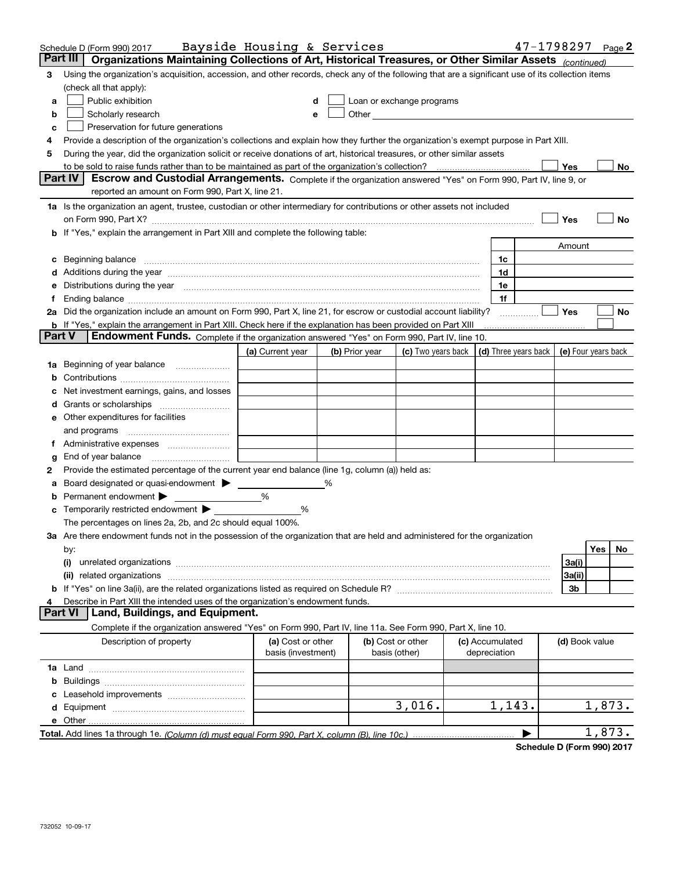| Part III<br>Organizations Maintaining Collections of Art, Historical Treasures, or Other Similar Assets (continued)<br>Using the organization's acquisition, accession, and other records, check any of the following that are a significant use of its collection items<br>з<br>(check all that apply):<br>Public exhibition<br>Loan or exchange programs<br>a<br>Scholarly research<br>b<br>Preservation for future generations<br>с<br>Provide a description of the organization's collections and explain how they further the organization's exempt purpose in Part XIII.<br>4<br>During the year, did the organization solicit or receive donations of art, historical treasures, or other similar assets<br>5<br>to be sold to raise funds rather than to be maintained as part of the organization's collection?<br>Yes<br>No<br><b>Part IV</b><br>Escrow and Custodial Arrangements. Complete if the organization answered "Yes" on Form 990, Part IV, line 9, or<br>reported an amount on Form 990, Part X, line 21.<br>1a Is the organization an agent, trustee, custodian or other intermediary for contributions or other assets not included<br>Yes<br>No<br>on Form 990, Part X? [11] matter and the contract of the contract of the contract of the contract of the contract of the contract of the contract of the contract of the contract of the contract of the contract of the contr<br>b If "Yes," explain the arrangement in Part XIII and complete the following table:<br>Amount<br>1c<br>1d<br>d Additions during the year manufactured and an account of a distribution of Additions during the year manufactured and account of Additions during the year manufactured and account of the state of Additional Additional Ad<br>e Distributions during the year manufactured and contain an account of the state of the state of the state of the state of the state of the state of the state of the state of the state of the state of the state of the stat<br>1e<br>1f<br>2a Did the organization include an amount on Form 990, Part X, line 21, for escrow or custodial account liability?<br>Yes<br>No<br><b>b</b> If "Yes," explain the arrangement in Part XIII. Check here if the explanation has been provided on Part XIII<br><b>Part V</b><br>Endowment Funds. Complete if the organization answered "Yes" on Form 990, Part IV, line 10.<br>$\vert$ (d) Three years back $\vert$ (e) Four years back<br>(a) Current year<br>(c) Two years back  <br>(b) Prior year<br><b>1a</b> Beginning of year balance<br>Net investment earnings, gains, and losses<br>e Other expenditures for facilities<br>and programs<br>f Administrative expenses<br>End of year balance<br>g<br>Provide the estimated percentage of the current year end balance (line 1g, column (a)) held as:<br>2<br>Board designated or quasi-endowment<br>%<br>Permanent endowment $\blacktriangleright$<br>%<br>c Temporarily restricted endowment $\blacktriangleright$<br>%<br>The percentages on lines 2a, 2b, and 2c should equal 100%.<br>3a Are there endowment funds not in the possession of the organization that are held and administered for the organization<br>Yes<br>No.<br>by:<br>3a(i)<br>(i)<br>related organizations<br>3a(ii)<br>(ii)<br>3b<br>Describe in Part XIII the intended uses of the organization's endowment funds.<br>4<br>Land, Buildings, and Equipment.<br><b>Part VI</b><br>Complete if the organization answered "Yes" on Form 990, Part IV, line 11a. See Form 990, Part X, line 10.<br>Description of property<br>(a) Cost or other<br>(b) Cost or other<br>(c) Accumulated<br>(d) Book value<br>basis (investment)<br>basis (other)<br>depreciation<br>3,016.<br>1,143.<br>1,873.<br>e Other<br>1,873. | Schedule D (Form 990) 2017 | Bayside Housing & Services |  |  | $47 - 1798297$ Page 2 |  |  |
|---------------------------------------------------------------------------------------------------------------------------------------------------------------------------------------------------------------------------------------------------------------------------------------------------------------------------------------------------------------------------------------------------------------------------------------------------------------------------------------------------------------------------------------------------------------------------------------------------------------------------------------------------------------------------------------------------------------------------------------------------------------------------------------------------------------------------------------------------------------------------------------------------------------------------------------------------------------------------------------------------------------------------------------------------------------------------------------------------------------------------------------------------------------------------------------------------------------------------------------------------------------------------------------------------------------------------------------------------------------------------------------------------------------------------------------------------------------------------------------------------------------------------------------------------------------------------------------------------------------------------------------------------------------------------------------------------------------------------------------------------------------------------------------------------------------------------------------------------------------------------------------------------------------------------------------------------------------------------------------------------------------------------------------------------------------------------------------------------------------------------------------------------------------------------------------------------------------------------------------------------------------------------------------------------------------------------------------------------------------------------------------------------------------------------------------------------------------------------------------------------------------------------------------------------------------------------------------------------------------------------------------------------------------------------------------------------------------------------------------------------------------------------------------------------------------------------------------------------------------------------------------------------------------------------------------------------------------------------------------------------------------------------------------------------------------------------------------------------------------------------------------------------------------------------------------------------------------------------------------------------------------------------------------------------------------------------------------------------------------------------------------------------------------------------------------------------------------------------------------------------------------------------------------------------------------------------------------------------------------------------------------------------------------------------------------------------------------------------------------------------------|----------------------------|----------------------------|--|--|-----------------------|--|--|
|                                                                                                                                                                                                                                                                                                                                                                                                                                                                                                                                                                                                                                                                                                                                                                                                                                                                                                                                                                                                                                                                                                                                                                                                                                                                                                                                                                                                                                                                                                                                                                                                                                                                                                                                                                                                                                                                                                                                                                                                                                                                                                                                                                                                                                                                                                                                                                                                                                                                                                                                                                                                                                                                                                                                                                                                                                                                                                                                                                                                                                                                                                                                                                                                                                                                                                                                                                                                                                                                                                                                                                                                                                                                                                                                                         |                            |                            |  |  |                       |  |  |
|                                                                                                                                                                                                                                                                                                                                                                                                                                                                                                                                                                                                                                                                                                                                                                                                                                                                                                                                                                                                                                                                                                                                                                                                                                                                                                                                                                                                                                                                                                                                                                                                                                                                                                                                                                                                                                                                                                                                                                                                                                                                                                                                                                                                                                                                                                                                                                                                                                                                                                                                                                                                                                                                                                                                                                                                                                                                                                                                                                                                                                                                                                                                                                                                                                                                                                                                                                                                                                                                                                                                                                                                                                                                                                                                                         |                            |                            |  |  |                       |  |  |
|                                                                                                                                                                                                                                                                                                                                                                                                                                                                                                                                                                                                                                                                                                                                                                                                                                                                                                                                                                                                                                                                                                                                                                                                                                                                                                                                                                                                                                                                                                                                                                                                                                                                                                                                                                                                                                                                                                                                                                                                                                                                                                                                                                                                                                                                                                                                                                                                                                                                                                                                                                                                                                                                                                                                                                                                                                                                                                                                                                                                                                                                                                                                                                                                                                                                                                                                                                                                                                                                                                                                                                                                                                                                                                                                                         |                            |                            |  |  |                       |  |  |
|                                                                                                                                                                                                                                                                                                                                                                                                                                                                                                                                                                                                                                                                                                                                                                                                                                                                                                                                                                                                                                                                                                                                                                                                                                                                                                                                                                                                                                                                                                                                                                                                                                                                                                                                                                                                                                                                                                                                                                                                                                                                                                                                                                                                                                                                                                                                                                                                                                                                                                                                                                                                                                                                                                                                                                                                                                                                                                                                                                                                                                                                                                                                                                                                                                                                                                                                                                                                                                                                                                                                                                                                                                                                                                                                                         |                            |                            |  |  |                       |  |  |
|                                                                                                                                                                                                                                                                                                                                                                                                                                                                                                                                                                                                                                                                                                                                                                                                                                                                                                                                                                                                                                                                                                                                                                                                                                                                                                                                                                                                                                                                                                                                                                                                                                                                                                                                                                                                                                                                                                                                                                                                                                                                                                                                                                                                                                                                                                                                                                                                                                                                                                                                                                                                                                                                                                                                                                                                                                                                                                                                                                                                                                                                                                                                                                                                                                                                                                                                                                                                                                                                                                                                                                                                                                                                                                                                                         |                            |                            |  |  |                       |  |  |
|                                                                                                                                                                                                                                                                                                                                                                                                                                                                                                                                                                                                                                                                                                                                                                                                                                                                                                                                                                                                                                                                                                                                                                                                                                                                                                                                                                                                                                                                                                                                                                                                                                                                                                                                                                                                                                                                                                                                                                                                                                                                                                                                                                                                                                                                                                                                                                                                                                                                                                                                                                                                                                                                                                                                                                                                                                                                                                                                                                                                                                                                                                                                                                                                                                                                                                                                                                                                                                                                                                                                                                                                                                                                                                                                                         |                            |                            |  |  |                       |  |  |
|                                                                                                                                                                                                                                                                                                                                                                                                                                                                                                                                                                                                                                                                                                                                                                                                                                                                                                                                                                                                                                                                                                                                                                                                                                                                                                                                                                                                                                                                                                                                                                                                                                                                                                                                                                                                                                                                                                                                                                                                                                                                                                                                                                                                                                                                                                                                                                                                                                                                                                                                                                                                                                                                                                                                                                                                                                                                                                                                                                                                                                                                                                                                                                                                                                                                                                                                                                                                                                                                                                                                                                                                                                                                                                                                                         |                            |                            |  |  |                       |  |  |
|                                                                                                                                                                                                                                                                                                                                                                                                                                                                                                                                                                                                                                                                                                                                                                                                                                                                                                                                                                                                                                                                                                                                                                                                                                                                                                                                                                                                                                                                                                                                                                                                                                                                                                                                                                                                                                                                                                                                                                                                                                                                                                                                                                                                                                                                                                                                                                                                                                                                                                                                                                                                                                                                                                                                                                                                                                                                                                                                                                                                                                                                                                                                                                                                                                                                                                                                                                                                                                                                                                                                                                                                                                                                                                                                                         |                            |                            |  |  |                       |  |  |
|                                                                                                                                                                                                                                                                                                                                                                                                                                                                                                                                                                                                                                                                                                                                                                                                                                                                                                                                                                                                                                                                                                                                                                                                                                                                                                                                                                                                                                                                                                                                                                                                                                                                                                                                                                                                                                                                                                                                                                                                                                                                                                                                                                                                                                                                                                                                                                                                                                                                                                                                                                                                                                                                                                                                                                                                                                                                                                                                                                                                                                                                                                                                                                                                                                                                                                                                                                                                                                                                                                                                                                                                                                                                                                                                                         |                            |                            |  |  |                       |  |  |
|                                                                                                                                                                                                                                                                                                                                                                                                                                                                                                                                                                                                                                                                                                                                                                                                                                                                                                                                                                                                                                                                                                                                                                                                                                                                                                                                                                                                                                                                                                                                                                                                                                                                                                                                                                                                                                                                                                                                                                                                                                                                                                                                                                                                                                                                                                                                                                                                                                                                                                                                                                                                                                                                                                                                                                                                                                                                                                                                                                                                                                                                                                                                                                                                                                                                                                                                                                                                                                                                                                                                                                                                                                                                                                                                                         |                            |                            |  |  |                       |  |  |
|                                                                                                                                                                                                                                                                                                                                                                                                                                                                                                                                                                                                                                                                                                                                                                                                                                                                                                                                                                                                                                                                                                                                                                                                                                                                                                                                                                                                                                                                                                                                                                                                                                                                                                                                                                                                                                                                                                                                                                                                                                                                                                                                                                                                                                                                                                                                                                                                                                                                                                                                                                                                                                                                                                                                                                                                                                                                                                                                                                                                                                                                                                                                                                                                                                                                                                                                                                                                                                                                                                                                                                                                                                                                                                                                                         |                            |                            |  |  |                       |  |  |
|                                                                                                                                                                                                                                                                                                                                                                                                                                                                                                                                                                                                                                                                                                                                                                                                                                                                                                                                                                                                                                                                                                                                                                                                                                                                                                                                                                                                                                                                                                                                                                                                                                                                                                                                                                                                                                                                                                                                                                                                                                                                                                                                                                                                                                                                                                                                                                                                                                                                                                                                                                                                                                                                                                                                                                                                                                                                                                                                                                                                                                                                                                                                                                                                                                                                                                                                                                                                                                                                                                                                                                                                                                                                                                                                                         |                            |                            |  |  |                       |  |  |
|                                                                                                                                                                                                                                                                                                                                                                                                                                                                                                                                                                                                                                                                                                                                                                                                                                                                                                                                                                                                                                                                                                                                                                                                                                                                                                                                                                                                                                                                                                                                                                                                                                                                                                                                                                                                                                                                                                                                                                                                                                                                                                                                                                                                                                                                                                                                                                                                                                                                                                                                                                                                                                                                                                                                                                                                                                                                                                                                                                                                                                                                                                                                                                                                                                                                                                                                                                                                                                                                                                                                                                                                                                                                                                                                                         |                            |                            |  |  |                       |  |  |
|                                                                                                                                                                                                                                                                                                                                                                                                                                                                                                                                                                                                                                                                                                                                                                                                                                                                                                                                                                                                                                                                                                                                                                                                                                                                                                                                                                                                                                                                                                                                                                                                                                                                                                                                                                                                                                                                                                                                                                                                                                                                                                                                                                                                                                                                                                                                                                                                                                                                                                                                                                                                                                                                                                                                                                                                                                                                                                                                                                                                                                                                                                                                                                                                                                                                                                                                                                                                                                                                                                                                                                                                                                                                                                                                                         |                            |                            |  |  |                       |  |  |
|                                                                                                                                                                                                                                                                                                                                                                                                                                                                                                                                                                                                                                                                                                                                                                                                                                                                                                                                                                                                                                                                                                                                                                                                                                                                                                                                                                                                                                                                                                                                                                                                                                                                                                                                                                                                                                                                                                                                                                                                                                                                                                                                                                                                                                                                                                                                                                                                                                                                                                                                                                                                                                                                                                                                                                                                                                                                                                                                                                                                                                                                                                                                                                                                                                                                                                                                                                                                                                                                                                                                                                                                                                                                                                                                                         |                            |                            |  |  |                       |  |  |
|                                                                                                                                                                                                                                                                                                                                                                                                                                                                                                                                                                                                                                                                                                                                                                                                                                                                                                                                                                                                                                                                                                                                                                                                                                                                                                                                                                                                                                                                                                                                                                                                                                                                                                                                                                                                                                                                                                                                                                                                                                                                                                                                                                                                                                                                                                                                                                                                                                                                                                                                                                                                                                                                                                                                                                                                                                                                                                                                                                                                                                                                                                                                                                                                                                                                                                                                                                                                                                                                                                                                                                                                                                                                                                                                                         |                            |                            |  |  |                       |  |  |
|                                                                                                                                                                                                                                                                                                                                                                                                                                                                                                                                                                                                                                                                                                                                                                                                                                                                                                                                                                                                                                                                                                                                                                                                                                                                                                                                                                                                                                                                                                                                                                                                                                                                                                                                                                                                                                                                                                                                                                                                                                                                                                                                                                                                                                                                                                                                                                                                                                                                                                                                                                                                                                                                                                                                                                                                                                                                                                                                                                                                                                                                                                                                                                                                                                                                                                                                                                                                                                                                                                                                                                                                                                                                                                                                                         |                            |                            |  |  |                       |  |  |
|                                                                                                                                                                                                                                                                                                                                                                                                                                                                                                                                                                                                                                                                                                                                                                                                                                                                                                                                                                                                                                                                                                                                                                                                                                                                                                                                                                                                                                                                                                                                                                                                                                                                                                                                                                                                                                                                                                                                                                                                                                                                                                                                                                                                                                                                                                                                                                                                                                                                                                                                                                                                                                                                                                                                                                                                                                                                                                                                                                                                                                                                                                                                                                                                                                                                                                                                                                                                                                                                                                                                                                                                                                                                                                                                                         |                            |                            |  |  |                       |  |  |
|                                                                                                                                                                                                                                                                                                                                                                                                                                                                                                                                                                                                                                                                                                                                                                                                                                                                                                                                                                                                                                                                                                                                                                                                                                                                                                                                                                                                                                                                                                                                                                                                                                                                                                                                                                                                                                                                                                                                                                                                                                                                                                                                                                                                                                                                                                                                                                                                                                                                                                                                                                                                                                                                                                                                                                                                                                                                                                                                                                                                                                                                                                                                                                                                                                                                                                                                                                                                                                                                                                                                                                                                                                                                                                                                                         |                            |                            |  |  |                       |  |  |
|                                                                                                                                                                                                                                                                                                                                                                                                                                                                                                                                                                                                                                                                                                                                                                                                                                                                                                                                                                                                                                                                                                                                                                                                                                                                                                                                                                                                                                                                                                                                                                                                                                                                                                                                                                                                                                                                                                                                                                                                                                                                                                                                                                                                                                                                                                                                                                                                                                                                                                                                                                                                                                                                                                                                                                                                                                                                                                                                                                                                                                                                                                                                                                                                                                                                                                                                                                                                                                                                                                                                                                                                                                                                                                                                                         |                            |                            |  |  |                       |  |  |
|                                                                                                                                                                                                                                                                                                                                                                                                                                                                                                                                                                                                                                                                                                                                                                                                                                                                                                                                                                                                                                                                                                                                                                                                                                                                                                                                                                                                                                                                                                                                                                                                                                                                                                                                                                                                                                                                                                                                                                                                                                                                                                                                                                                                                                                                                                                                                                                                                                                                                                                                                                                                                                                                                                                                                                                                                                                                                                                                                                                                                                                                                                                                                                                                                                                                                                                                                                                                                                                                                                                                                                                                                                                                                                                                                         |                            |                            |  |  |                       |  |  |
|                                                                                                                                                                                                                                                                                                                                                                                                                                                                                                                                                                                                                                                                                                                                                                                                                                                                                                                                                                                                                                                                                                                                                                                                                                                                                                                                                                                                                                                                                                                                                                                                                                                                                                                                                                                                                                                                                                                                                                                                                                                                                                                                                                                                                                                                                                                                                                                                                                                                                                                                                                                                                                                                                                                                                                                                                                                                                                                                                                                                                                                                                                                                                                                                                                                                                                                                                                                                                                                                                                                                                                                                                                                                                                                                                         |                            |                            |  |  |                       |  |  |
|                                                                                                                                                                                                                                                                                                                                                                                                                                                                                                                                                                                                                                                                                                                                                                                                                                                                                                                                                                                                                                                                                                                                                                                                                                                                                                                                                                                                                                                                                                                                                                                                                                                                                                                                                                                                                                                                                                                                                                                                                                                                                                                                                                                                                                                                                                                                                                                                                                                                                                                                                                                                                                                                                                                                                                                                                                                                                                                                                                                                                                                                                                                                                                                                                                                                                                                                                                                                                                                                                                                                                                                                                                                                                                                                                         |                            |                            |  |  |                       |  |  |
|                                                                                                                                                                                                                                                                                                                                                                                                                                                                                                                                                                                                                                                                                                                                                                                                                                                                                                                                                                                                                                                                                                                                                                                                                                                                                                                                                                                                                                                                                                                                                                                                                                                                                                                                                                                                                                                                                                                                                                                                                                                                                                                                                                                                                                                                                                                                                                                                                                                                                                                                                                                                                                                                                                                                                                                                                                                                                                                                                                                                                                                                                                                                                                                                                                                                                                                                                                                                                                                                                                                                                                                                                                                                                                                                                         |                            |                            |  |  |                       |  |  |
|                                                                                                                                                                                                                                                                                                                                                                                                                                                                                                                                                                                                                                                                                                                                                                                                                                                                                                                                                                                                                                                                                                                                                                                                                                                                                                                                                                                                                                                                                                                                                                                                                                                                                                                                                                                                                                                                                                                                                                                                                                                                                                                                                                                                                                                                                                                                                                                                                                                                                                                                                                                                                                                                                                                                                                                                                                                                                                                                                                                                                                                                                                                                                                                                                                                                                                                                                                                                                                                                                                                                                                                                                                                                                                                                                         |                            |                            |  |  |                       |  |  |
|                                                                                                                                                                                                                                                                                                                                                                                                                                                                                                                                                                                                                                                                                                                                                                                                                                                                                                                                                                                                                                                                                                                                                                                                                                                                                                                                                                                                                                                                                                                                                                                                                                                                                                                                                                                                                                                                                                                                                                                                                                                                                                                                                                                                                                                                                                                                                                                                                                                                                                                                                                                                                                                                                                                                                                                                                                                                                                                                                                                                                                                                                                                                                                                                                                                                                                                                                                                                                                                                                                                                                                                                                                                                                                                                                         |                            |                            |  |  |                       |  |  |
|                                                                                                                                                                                                                                                                                                                                                                                                                                                                                                                                                                                                                                                                                                                                                                                                                                                                                                                                                                                                                                                                                                                                                                                                                                                                                                                                                                                                                                                                                                                                                                                                                                                                                                                                                                                                                                                                                                                                                                                                                                                                                                                                                                                                                                                                                                                                                                                                                                                                                                                                                                                                                                                                                                                                                                                                                                                                                                                                                                                                                                                                                                                                                                                                                                                                                                                                                                                                                                                                                                                                                                                                                                                                                                                                                         |                            |                            |  |  |                       |  |  |
|                                                                                                                                                                                                                                                                                                                                                                                                                                                                                                                                                                                                                                                                                                                                                                                                                                                                                                                                                                                                                                                                                                                                                                                                                                                                                                                                                                                                                                                                                                                                                                                                                                                                                                                                                                                                                                                                                                                                                                                                                                                                                                                                                                                                                                                                                                                                                                                                                                                                                                                                                                                                                                                                                                                                                                                                                                                                                                                                                                                                                                                                                                                                                                                                                                                                                                                                                                                                                                                                                                                                                                                                                                                                                                                                                         |                            |                            |  |  |                       |  |  |
|                                                                                                                                                                                                                                                                                                                                                                                                                                                                                                                                                                                                                                                                                                                                                                                                                                                                                                                                                                                                                                                                                                                                                                                                                                                                                                                                                                                                                                                                                                                                                                                                                                                                                                                                                                                                                                                                                                                                                                                                                                                                                                                                                                                                                                                                                                                                                                                                                                                                                                                                                                                                                                                                                                                                                                                                                                                                                                                                                                                                                                                                                                                                                                                                                                                                                                                                                                                                                                                                                                                                                                                                                                                                                                                                                         |                            |                            |  |  |                       |  |  |
|                                                                                                                                                                                                                                                                                                                                                                                                                                                                                                                                                                                                                                                                                                                                                                                                                                                                                                                                                                                                                                                                                                                                                                                                                                                                                                                                                                                                                                                                                                                                                                                                                                                                                                                                                                                                                                                                                                                                                                                                                                                                                                                                                                                                                                                                                                                                                                                                                                                                                                                                                                                                                                                                                                                                                                                                                                                                                                                                                                                                                                                                                                                                                                                                                                                                                                                                                                                                                                                                                                                                                                                                                                                                                                                                                         |                            |                            |  |  |                       |  |  |
|                                                                                                                                                                                                                                                                                                                                                                                                                                                                                                                                                                                                                                                                                                                                                                                                                                                                                                                                                                                                                                                                                                                                                                                                                                                                                                                                                                                                                                                                                                                                                                                                                                                                                                                                                                                                                                                                                                                                                                                                                                                                                                                                                                                                                                                                                                                                                                                                                                                                                                                                                                                                                                                                                                                                                                                                                                                                                                                                                                                                                                                                                                                                                                                                                                                                                                                                                                                                                                                                                                                                                                                                                                                                                                                                                         |                            |                            |  |  |                       |  |  |
|                                                                                                                                                                                                                                                                                                                                                                                                                                                                                                                                                                                                                                                                                                                                                                                                                                                                                                                                                                                                                                                                                                                                                                                                                                                                                                                                                                                                                                                                                                                                                                                                                                                                                                                                                                                                                                                                                                                                                                                                                                                                                                                                                                                                                                                                                                                                                                                                                                                                                                                                                                                                                                                                                                                                                                                                                                                                                                                                                                                                                                                                                                                                                                                                                                                                                                                                                                                                                                                                                                                                                                                                                                                                                                                                                         |                            |                            |  |  |                       |  |  |
|                                                                                                                                                                                                                                                                                                                                                                                                                                                                                                                                                                                                                                                                                                                                                                                                                                                                                                                                                                                                                                                                                                                                                                                                                                                                                                                                                                                                                                                                                                                                                                                                                                                                                                                                                                                                                                                                                                                                                                                                                                                                                                                                                                                                                                                                                                                                                                                                                                                                                                                                                                                                                                                                                                                                                                                                                                                                                                                                                                                                                                                                                                                                                                                                                                                                                                                                                                                                                                                                                                                                                                                                                                                                                                                                                         |                            |                            |  |  |                       |  |  |
|                                                                                                                                                                                                                                                                                                                                                                                                                                                                                                                                                                                                                                                                                                                                                                                                                                                                                                                                                                                                                                                                                                                                                                                                                                                                                                                                                                                                                                                                                                                                                                                                                                                                                                                                                                                                                                                                                                                                                                                                                                                                                                                                                                                                                                                                                                                                                                                                                                                                                                                                                                                                                                                                                                                                                                                                                                                                                                                                                                                                                                                                                                                                                                                                                                                                                                                                                                                                                                                                                                                                                                                                                                                                                                                                                         |                            |                            |  |  |                       |  |  |
|                                                                                                                                                                                                                                                                                                                                                                                                                                                                                                                                                                                                                                                                                                                                                                                                                                                                                                                                                                                                                                                                                                                                                                                                                                                                                                                                                                                                                                                                                                                                                                                                                                                                                                                                                                                                                                                                                                                                                                                                                                                                                                                                                                                                                                                                                                                                                                                                                                                                                                                                                                                                                                                                                                                                                                                                                                                                                                                                                                                                                                                                                                                                                                                                                                                                                                                                                                                                                                                                                                                                                                                                                                                                                                                                                         |                            |                            |  |  |                       |  |  |
|                                                                                                                                                                                                                                                                                                                                                                                                                                                                                                                                                                                                                                                                                                                                                                                                                                                                                                                                                                                                                                                                                                                                                                                                                                                                                                                                                                                                                                                                                                                                                                                                                                                                                                                                                                                                                                                                                                                                                                                                                                                                                                                                                                                                                                                                                                                                                                                                                                                                                                                                                                                                                                                                                                                                                                                                                                                                                                                                                                                                                                                                                                                                                                                                                                                                                                                                                                                                                                                                                                                                                                                                                                                                                                                                                         |                            |                            |  |  |                       |  |  |
|                                                                                                                                                                                                                                                                                                                                                                                                                                                                                                                                                                                                                                                                                                                                                                                                                                                                                                                                                                                                                                                                                                                                                                                                                                                                                                                                                                                                                                                                                                                                                                                                                                                                                                                                                                                                                                                                                                                                                                                                                                                                                                                                                                                                                                                                                                                                                                                                                                                                                                                                                                                                                                                                                                                                                                                                                                                                                                                                                                                                                                                                                                                                                                                                                                                                                                                                                                                                                                                                                                                                                                                                                                                                                                                                                         |                            |                            |  |  |                       |  |  |
|                                                                                                                                                                                                                                                                                                                                                                                                                                                                                                                                                                                                                                                                                                                                                                                                                                                                                                                                                                                                                                                                                                                                                                                                                                                                                                                                                                                                                                                                                                                                                                                                                                                                                                                                                                                                                                                                                                                                                                                                                                                                                                                                                                                                                                                                                                                                                                                                                                                                                                                                                                                                                                                                                                                                                                                                                                                                                                                                                                                                                                                                                                                                                                                                                                                                                                                                                                                                                                                                                                                                                                                                                                                                                                                                                         |                            |                            |  |  |                       |  |  |
|                                                                                                                                                                                                                                                                                                                                                                                                                                                                                                                                                                                                                                                                                                                                                                                                                                                                                                                                                                                                                                                                                                                                                                                                                                                                                                                                                                                                                                                                                                                                                                                                                                                                                                                                                                                                                                                                                                                                                                                                                                                                                                                                                                                                                                                                                                                                                                                                                                                                                                                                                                                                                                                                                                                                                                                                                                                                                                                                                                                                                                                                                                                                                                                                                                                                                                                                                                                                                                                                                                                                                                                                                                                                                                                                                         |                            |                            |  |  |                       |  |  |
|                                                                                                                                                                                                                                                                                                                                                                                                                                                                                                                                                                                                                                                                                                                                                                                                                                                                                                                                                                                                                                                                                                                                                                                                                                                                                                                                                                                                                                                                                                                                                                                                                                                                                                                                                                                                                                                                                                                                                                                                                                                                                                                                                                                                                                                                                                                                                                                                                                                                                                                                                                                                                                                                                                                                                                                                                                                                                                                                                                                                                                                                                                                                                                                                                                                                                                                                                                                                                                                                                                                                                                                                                                                                                                                                                         |                            |                            |  |  |                       |  |  |
|                                                                                                                                                                                                                                                                                                                                                                                                                                                                                                                                                                                                                                                                                                                                                                                                                                                                                                                                                                                                                                                                                                                                                                                                                                                                                                                                                                                                                                                                                                                                                                                                                                                                                                                                                                                                                                                                                                                                                                                                                                                                                                                                                                                                                                                                                                                                                                                                                                                                                                                                                                                                                                                                                                                                                                                                                                                                                                                                                                                                                                                                                                                                                                                                                                                                                                                                                                                                                                                                                                                                                                                                                                                                                                                                                         |                            |                            |  |  |                       |  |  |
|                                                                                                                                                                                                                                                                                                                                                                                                                                                                                                                                                                                                                                                                                                                                                                                                                                                                                                                                                                                                                                                                                                                                                                                                                                                                                                                                                                                                                                                                                                                                                                                                                                                                                                                                                                                                                                                                                                                                                                                                                                                                                                                                                                                                                                                                                                                                                                                                                                                                                                                                                                                                                                                                                                                                                                                                                                                                                                                                                                                                                                                                                                                                                                                                                                                                                                                                                                                                                                                                                                                                                                                                                                                                                                                                                         |                            |                            |  |  |                       |  |  |
|                                                                                                                                                                                                                                                                                                                                                                                                                                                                                                                                                                                                                                                                                                                                                                                                                                                                                                                                                                                                                                                                                                                                                                                                                                                                                                                                                                                                                                                                                                                                                                                                                                                                                                                                                                                                                                                                                                                                                                                                                                                                                                                                                                                                                                                                                                                                                                                                                                                                                                                                                                                                                                                                                                                                                                                                                                                                                                                                                                                                                                                                                                                                                                                                                                                                                                                                                                                                                                                                                                                                                                                                                                                                                                                                                         |                            |                            |  |  |                       |  |  |
|                                                                                                                                                                                                                                                                                                                                                                                                                                                                                                                                                                                                                                                                                                                                                                                                                                                                                                                                                                                                                                                                                                                                                                                                                                                                                                                                                                                                                                                                                                                                                                                                                                                                                                                                                                                                                                                                                                                                                                                                                                                                                                                                                                                                                                                                                                                                                                                                                                                                                                                                                                                                                                                                                                                                                                                                                                                                                                                                                                                                                                                                                                                                                                                                                                                                                                                                                                                                                                                                                                                                                                                                                                                                                                                                                         |                            |                            |  |  |                       |  |  |
|                                                                                                                                                                                                                                                                                                                                                                                                                                                                                                                                                                                                                                                                                                                                                                                                                                                                                                                                                                                                                                                                                                                                                                                                                                                                                                                                                                                                                                                                                                                                                                                                                                                                                                                                                                                                                                                                                                                                                                                                                                                                                                                                                                                                                                                                                                                                                                                                                                                                                                                                                                                                                                                                                                                                                                                                                                                                                                                                                                                                                                                                                                                                                                                                                                                                                                                                                                                                                                                                                                                                                                                                                                                                                                                                                         |                            |                            |  |  |                       |  |  |
|                                                                                                                                                                                                                                                                                                                                                                                                                                                                                                                                                                                                                                                                                                                                                                                                                                                                                                                                                                                                                                                                                                                                                                                                                                                                                                                                                                                                                                                                                                                                                                                                                                                                                                                                                                                                                                                                                                                                                                                                                                                                                                                                                                                                                                                                                                                                                                                                                                                                                                                                                                                                                                                                                                                                                                                                                                                                                                                                                                                                                                                                                                                                                                                                                                                                                                                                                                                                                                                                                                                                                                                                                                                                                                                                                         |                            |                            |  |  |                       |  |  |
|                                                                                                                                                                                                                                                                                                                                                                                                                                                                                                                                                                                                                                                                                                                                                                                                                                                                                                                                                                                                                                                                                                                                                                                                                                                                                                                                                                                                                                                                                                                                                                                                                                                                                                                                                                                                                                                                                                                                                                                                                                                                                                                                                                                                                                                                                                                                                                                                                                                                                                                                                                                                                                                                                                                                                                                                                                                                                                                                                                                                                                                                                                                                                                                                                                                                                                                                                                                                                                                                                                                                                                                                                                                                                                                                                         |                            |                            |  |  |                       |  |  |
|                                                                                                                                                                                                                                                                                                                                                                                                                                                                                                                                                                                                                                                                                                                                                                                                                                                                                                                                                                                                                                                                                                                                                                                                                                                                                                                                                                                                                                                                                                                                                                                                                                                                                                                                                                                                                                                                                                                                                                                                                                                                                                                                                                                                                                                                                                                                                                                                                                                                                                                                                                                                                                                                                                                                                                                                                                                                                                                                                                                                                                                                                                                                                                                                                                                                                                                                                                                                                                                                                                                                                                                                                                                                                                                                                         |                            |                            |  |  |                       |  |  |
|                                                                                                                                                                                                                                                                                                                                                                                                                                                                                                                                                                                                                                                                                                                                                                                                                                                                                                                                                                                                                                                                                                                                                                                                                                                                                                                                                                                                                                                                                                                                                                                                                                                                                                                                                                                                                                                                                                                                                                                                                                                                                                                                                                                                                                                                                                                                                                                                                                                                                                                                                                                                                                                                                                                                                                                                                                                                                                                                                                                                                                                                                                                                                                                                                                                                                                                                                                                                                                                                                                                                                                                                                                                                                                                                                         |                            |                            |  |  |                       |  |  |
|                                                                                                                                                                                                                                                                                                                                                                                                                                                                                                                                                                                                                                                                                                                                                                                                                                                                                                                                                                                                                                                                                                                                                                                                                                                                                                                                                                                                                                                                                                                                                                                                                                                                                                                                                                                                                                                                                                                                                                                                                                                                                                                                                                                                                                                                                                                                                                                                                                                                                                                                                                                                                                                                                                                                                                                                                                                                                                                                                                                                                                                                                                                                                                                                                                                                                                                                                                                                                                                                                                                                                                                                                                                                                                                                                         |                            |                            |  |  |                       |  |  |

**Schedule D (Form 990) 2017**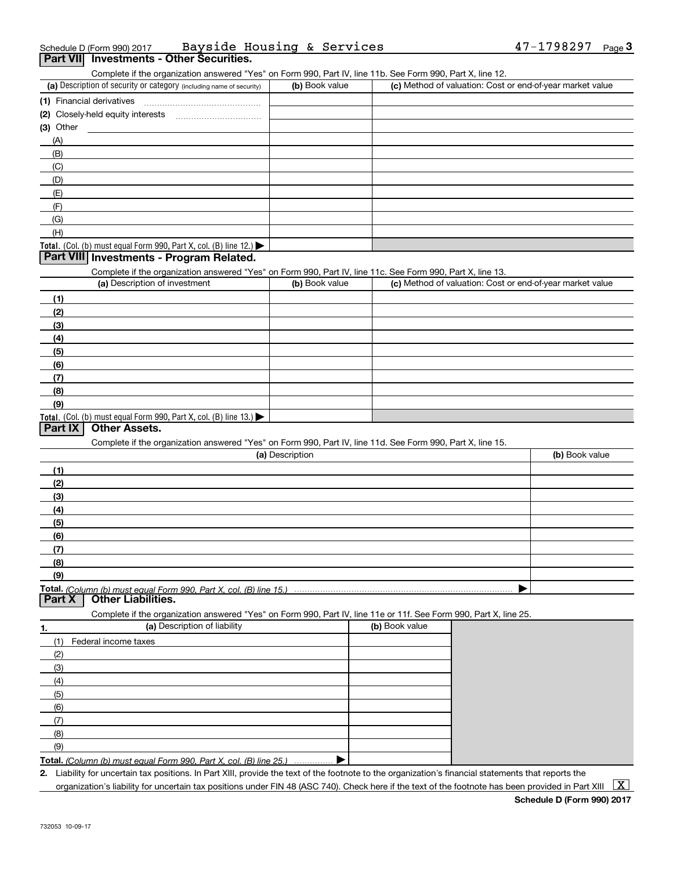| Schedule D (Form 990) 2017 |                                          | Bayside Housing & Services |  | $47 - 1798297$ Page |  |
|----------------------------|------------------------------------------|----------------------------|--|---------------------|--|
|                            | Part VII Investments - Other Securities. |                            |  |                     |  |

Complete if the organization answered "Yes" on Form 990, Part IV, line 11b. See Form 990, Part X, line 12.

| (a) Description of security or category (including name of security) | (b) Book value | (c) Method of valuation: Cost or end-of-year market value |
|----------------------------------------------------------------------|----------------|-----------------------------------------------------------|
| (1) Financial derivatives                                            |                |                                                           |
| (2) Closely-held equity interests                                    |                |                                                           |
| (3) Other                                                            |                |                                                           |
| (A)                                                                  |                |                                                           |
| (B)                                                                  |                |                                                           |
| (C)                                                                  |                |                                                           |
| (D)                                                                  |                |                                                           |
| (E)                                                                  |                |                                                           |
| (F)                                                                  |                |                                                           |
| (G)                                                                  |                |                                                           |
| (H)                                                                  |                |                                                           |
| Total. (Col. (b) must equal Form 990, Part X, col. (B) line 12.)     |                |                                                           |

#### **Part VIII Investments - Program Related.**

Complete if the organization answered "Yes" on Form 990, Part IV, line 11c. See Form 990, Part X, line 13.

| (a) Description of investment                                    | (b) Book value | (c) Method of valuation: Cost or end-of-year market value |
|------------------------------------------------------------------|----------------|-----------------------------------------------------------|
| (1)                                                              |                |                                                           |
| (2)                                                              |                |                                                           |
| (3)                                                              |                |                                                           |
| (4)                                                              |                |                                                           |
| $\left(5\right)$                                                 |                |                                                           |
| (6)                                                              |                |                                                           |
| (7)                                                              |                |                                                           |
| (8)                                                              |                |                                                           |
| (9)                                                              |                |                                                           |
| Total. (Col. (b) must equal Form 990, Part X, col. (B) line 13.) |                |                                                           |

### **Part IX Other Assets.**

Complete if the organization answered "Yes" on Form 990, Part IV, line 11d. See Form 990, Part X, line 15.

| (a) Description   | (b) Book value |
|-------------------|----------------|
| (1)               |                |
| (2)               |                |
| $\frac{1}{2}$     |                |
| (4)               |                |
| $\frac{1}{2}$ (5) |                |
| (6)               |                |
| (7)               |                |
| (8)               |                |
| (9)               |                |
|                   |                |

**Part X Other Liabilities.**

Complete if the organization answered "Yes" on Form 990, Part IV, line 11e or 11f. See Form 990, Part X, line 25.

| 1.  | (a) Description of liability                                              | (b) Book value |
|-----|---------------------------------------------------------------------------|----------------|
| (1) | Federal income taxes                                                      |                |
| (2) |                                                                           |                |
| (3) |                                                                           |                |
| (4) |                                                                           |                |
| (5) |                                                                           |                |
| (6) |                                                                           |                |
| (7) |                                                                           |                |
| (8) |                                                                           |                |
| (9) |                                                                           |                |
|     | <b>Total.</b> (Column (b) must equal Form 990, Part X, col. (B) line 25.) |                |

*(Column (b) must equal Form 990, Part X, col. (B) line 25.)* . . . . . . . . . . . . . . .

**2.**Liability for uncertain tax positions. In Part XIII, provide the text of the footnote to the organization's financial statements that reports the organization's liability for uncertain tax positions under FIN 48 (ASC 740). Check here if the text of the footnote has been provided in Part XIII  $~\boxed{\rm X}$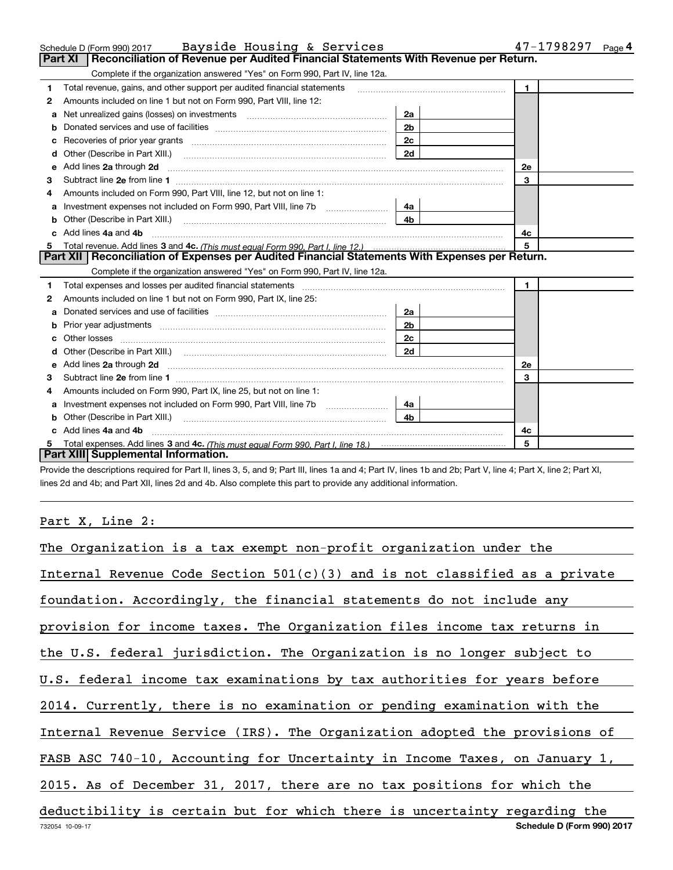|    | Schedule D (Form 990) 2017 Bayside Housing & Services                                                                                                                                                                                |                | 47-1798297<br>Page 4 |
|----|--------------------------------------------------------------------------------------------------------------------------------------------------------------------------------------------------------------------------------------|----------------|----------------------|
|    | <b>Part XI</b><br>Reconciliation of Revenue per Audited Financial Statements With Revenue per Return.                                                                                                                                |                |                      |
|    | Complete if the organization answered "Yes" on Form 990, Part IV, line 12a.                                                                                                                                                          |                |                      |
| 1  | Total revenue, gains, and other support per audited financial statements                                                                                                                                                             |                | $\mathbf{1}$         |
| 2  | Amounts included on line 1 but not on Form 990, Part VIII, line 12:                                                                                                                                                                  |                |                      |
| a  |                                                                                                                                                                                                                                      | 2a             |                      |
| b  |                                                                                                                                                                                                                                      | 2 <sub>b</sub> |                      |
| c  |                                                                                                                                                                                                                                      | 2c             |                      |
| d  |                                                                                                                                                                                                                                      | 2d             |                      |
| е  | Add lines 2a through 2d                                                                                                                                                                                                              |                | <b>2e</b>            |
| 3  |                                                                                                                                                                                                                                      |                | 3                    |
| 4  | Amounts included on Form 990, Part VIII, line 12, but not on line 1:                                                                                                                                                                 |                |                      |
| a  |                                                                                                                                                                                                                                      | 4a             |                      |
| b  | Other (Describe in Part XIII.) <b>Construction Contract Construction</b> Chemistry Chemistry Chemistry Chemistry Chemistry                                                                                                           | 4 <sub>b</sub> |                      |
|    | Add lines 4a and 4b                                                                                                                                                                                                                  | 4с             |                      |
| 5. |                                                                                                                                                                                                                                      |                | 5                    |
|    | Part XII   Reconciliation of Expenses per Audited Financial Statements With Expenses per Return.                                                                                                                                     |                |                      |
|    | Complete if the organization answered "Yes" on Form 990, Part IV, line 12a.                                                                                                                                                          |                |                      |
| 1  | Total expenses and losses per audited financial statements [11] [12] manuscription control expenses and losses per audited financial statements [12] [12] manuscription of the statements [12] manuscription of the statements       |                | $\mathbf{1}$         |
| 2  | Amounts included on line 1 but not on Form 990, Part IX, line 25:                                                                                                                                                                    |                |                      |
| a  |                                                                                                                                                                                                                                      | 2a             |                      |
| b  |                                                                                                                                                                                                                                      | 2 <sub>b</sub> |                      |
|    |                                                                                                                                                                                                                                      | 2c             |                      |
| d  | Other (Describe in Part XIII.) (Contract and Contract and Chern Contract and Chern Chern Chern Chern Chern Chern                                                                                                                     | 2d             |                      |
| e  | Add lines 2a through 2d <b>contained a contained a contained a contained a contained a contained a contained a contained a contact a contact a contact a contact a contact a contact a contact a contact a contact a contact a c</b> |                | 2e                   |
| З  |                                                                                                                                                                                                                                      |                | 3                    |
| 4  | Amounts included on Form 990, Part IX, line 25, but not on line 1:                                                                                                                                                                   |                |                      |
| a  |                                                                                                                                                                                                                                      | 4a             |                      |
|    | Other (Describe in Part XIII.)                                                                                                                                                                                                       | 4 <sub>b</sub> |                      |
| c. | Add lines 4a and 4b                                                                                                                                                                                                                  |                | 4с                   |
|    |                                                                                                                                                                                                                                      |                | 5                    |
|    | Part XIII Supplemental Information.                                                                                                                                                                                                  |                |                      |

Provide the descriptions required for Part II, lines 3, 5, and 9; Part III, lines 1a and 4; Part IV, lines 1b and 2b; Part V, line 4; Part X, line 2; Part XI, lines 2d and 4b; and Part XII, lines 2d and 4b. Also complete this part to provide any additional information.

## Part X, Line 2:

| The Organization is a tax exempt non-profit organization under the           |
|------------------------------------------------------------------------------|
| Internal Revenue Code Section $501(c)(3)$ and is not classified as a private |
| foundation. Accordingly, the financial statements do not include any         |
| provision for income taxes. The Organization files income tax returns in     |
| the U.S. federal jurisdiction. The Organization is no longer subject to      |
| U.S. federal income tax examinations by tax authorities for years before     |
| 2014. Currently, there is no examination or pending examination with the     |
| Internal Revenue Service (IRS). The Organization adopted the provisions of   |
| FASB ASC 740-10, Accounting for Uncertainty in Income Taxes, on January 1,   |
| 2015. As of December 31, 2017, there are no tax positions for which the      |
| deductibility is certain but for which there is uncertainty regarding the    |
| Schedule D (Form 990) 2017<br>732054 10-09-17                                |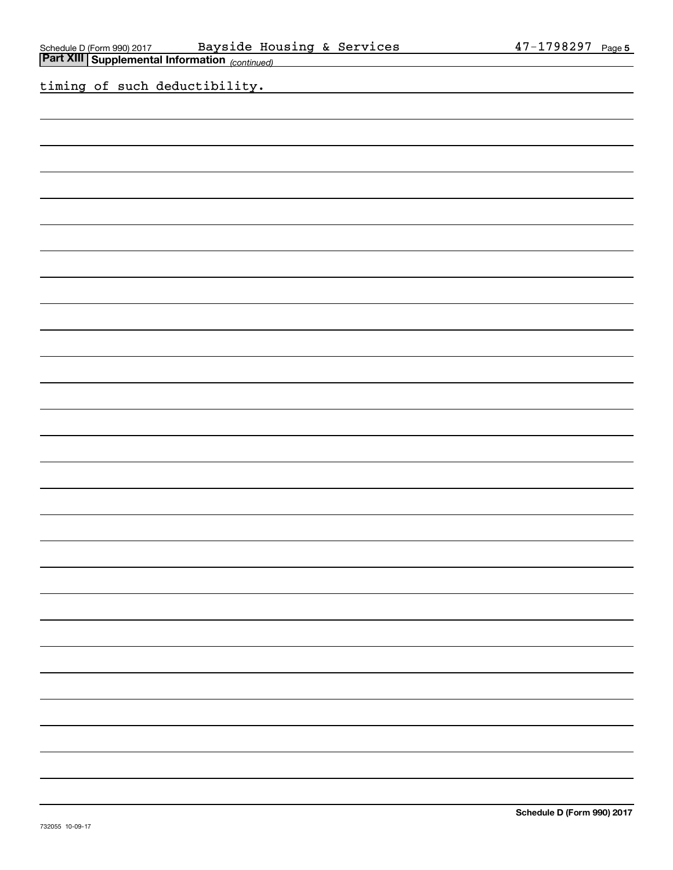| Schedule D (Form 990) 2017 Bayside Housing & Services<br>Part XIII Supplemental Information (continued) |                                                    | 47-1798297 Page 5          |
|---------------------------------------------------------------------------------------------------------|----------------------------------------------------|----------------------------|
| timing of such deductibility.                                                                           | <u> 1980 - Johann Barn, amerikansk politiker (</u> |                            |
|                                                                                                         |                                                    |                            |
|                                                                                                         |                                                    |                            |
|                                                                                                         |                                                    |                            |
|                                                                                                         |                                                    |                            |
|                                                                                                         |                                                    |                            |
|                                                                                                         |                                                    |                            |
|                                                                                                         |                                                    |                            |
|                                                                                                         |                                                    |                            |
|                                                                                                         |                                                    |                            |
|                                                                                                         |                                                    |                            |
|                                                                                                         |                                                    |                            |
|                                                                                                         |                                                    |                            |
|                                                                                                         |                                                    |                            |
|                                                                                                         |                                                    |                            |
|                                                                                                         |                                                    |                            |
|                                                                                                         |                                                    |                            |
|                                                                                                         |                                                    |                            |
|                                                                                                         |                                                    |                            |
|                                                                                                         |                                                    |                            |
|                                                                                                         |                                                    |                            |
|                                                                                                         |                                                    |                            |
|                                                                                                         |                                                    |                            |
|                                                                                                         |                                                    |                            |
|                                                                                                         |                                                    |                            |
|                                                                                                         |                                                    |                            |
|                                                                                                         |                                                    |                            |
|                                                                                                         |                                                    |                            |
| 732055 10-09-17                                                                                         |                                                    | Schedule D (Form 990) 2017 |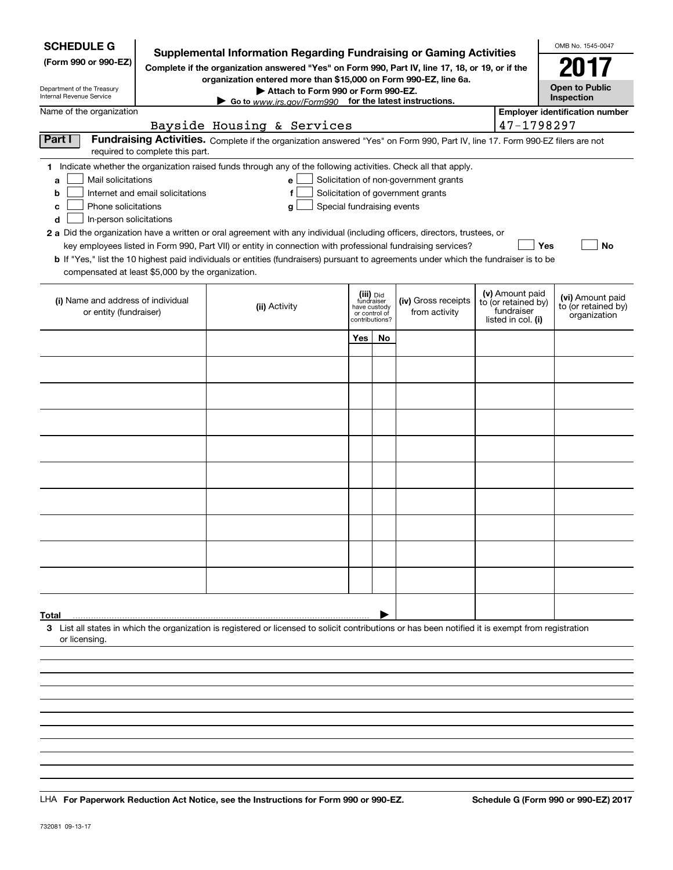| <b>SCHEDULE G</b><br>(Form 990 or 990-EZ)<br>Department of the Treasury<br>Internal Revenue Service                                           | <b>Supplemental Information Regarding Fundraising or Gaming Activities</b><br>Complete if the organization answered "Yes" on Form 990, Part IV, line 17, 18, or 19, or if the | OMB No. 1545-0047<br>2017<br><b>Open to Public</b><br>Inspection                                                                                                                                                                                                                                                                                                                                                                                                                                                |                            |                                                                            |                                                                            |  |                                                                            |                                                         |
|-----------------------------------------------------------------------------------------------------------------------------------------------|-------------------------------------------------------------------------------------------------------------------------------------------------------------------------------|-----------------------------------------------------------------------------------------------------------------------------------------------------------------------------------------------------------------------------------------------------------------------------------------------------------------------------------------------------------------------------------------------------------------------------------------------------------------------------------------------------------------|----------------------------|----------------------------------------------------------------------------|----------------------------------------------------------------------------|--|----------------------------------------------------------------------------|---------------------------------------------------------|
| Name of the organization                                                                                                                      |                                                                                                                                                                               | Go to www.irs.gov/Form990 for the latest instructions.                                                                                                                                                                                                                                                                                                                                                                                                                                                          |                            |                                                                            |                                                                            |  |                                                                            | <b>Employer identification number</b>                   |
|                                                                                                                                               |                                                                                                                                                                               | Bayside Housing & Services                                                                                                                                                                                                                                                                                                                                                                                                                                                                                      |                            |                                                                            |                                                                            |  | 47-1798297                                                                 |                                                         |
| Part I                                                                                                                                        | required to complete this part.                                                                                                                                               | Fundraising Activities. Complete if the organization answered "Yes" on Form 990, Part IV, line 17. Form 990-EZ filers are not                                                                                                                                                                                                                                                                                                                                                                                   |                            |                                                                            |                                                                            |  |                                                                            |                                                         |
| Mail solicitations<br>a<br>b<br>Phone solicitations<br>с<br>In-person solicitations<br>d<br>compensated at least \$5,000 by the organization. | Internet and email solicitations                                                                                                                                              | 1 Indicate whether the organization raised funds through any of the following activities. Check all that apply.<br>е<br>g<br>2 a Did the organization have a written or oral agreement with any individual (including officers, directors, trustees, or<br>key employees listed in Form 990, Part VII) or entity in connection with professional fundraising services?<br>b If "Yes," list the 10 highest paid individuals or entities (fundraisers) pursuant to agreements under which the fundraiser is to be | Special fundraising events |                                                                            | Solicitation of non-government grants<br>Solicitation of government grants |  |                                                                            | Yes<br>No                                               |
| (i) Name and address of individual<br>or entity (fundraiser)                                                                                  |                                                                                                                                                                               | (ii) Activity                                                                                                                                                                                                                                                                                                                                                                                                                                                                                                   |                            | (iii) Did<br>fundraiser<br>have custody<br>or control of<br>contributions? | (iv) Gross receipts<br>from activity                                       |  | (v) Amount paid<br>to (or retained by)<br>fundraiser<br>listed in col. (i) | (vi) Amount paid<br>to (or retained by)<br>organization |
|                                                                                                                                               |                                                                                                                                                                               |                                                                                                                                                                                                                                                                                                                                                                                                                                                                                                                 | <b>Yes</b>                 | No                                                                         |                                                                            |  |                                                                            |                                                         |
|                                                                                                                                               |                                                                                                                                                                               |                                                                                                                                                                                                                                                                                                                                                                                                                                                                                                                 |                            |                                                                            |                                                                            |  |                                                                            |                                                         |
|                                                                                                                                               |                                                                                                                                                                               |                                                                                                                                                                                                                                                                                                                                                                                                                                                                                                                 |                            |                                                                            |                                                                            |  |                                                                            |                                                         |
|                                                                                                                                               |                                                                                                                                                                               |                                                                                                                                                                                                                                                                                                                                                                                                                                                                                                                 |                            |                                                                            |                                                                            |  |                                                                            |                                                         |
|                                                                                                                                               |                                                                                                                                                                               |                                                                                                                                                                                                                                                                                                                                                                                                                                                                                                                 |                            |                                                                            |                                                                            |  |                                                                            |                                                         |
|                                                                                                                                               |                                                                                                                                                                               |                                                                                                                                                                                                                                                                                                                                                                                                                                                                                                                 |                            |                                                                            |                                                                            |  |                                                                            |                                                         |
|                                                                                                                                               |                                                                                                                                                                               |                                                                                                                                                                                                                                                                                                                                                                                                                                                                                                                 |                            |                                                                            |                                                                            |  |                                                                            |                                                         |
|                                                                                                                                               |                                                                                                                                                                               |                                                                                                                                                                                                                                                                                                                                                                                                                                                                                                                 |                            |                                                                            |                                                                            |  |                                                                            |                                                         |
|                                                                                                                                               |                                                                                                                                                                               |                                                                                                                                                                                                                                                                                                                                                                                                                                                                                                                 |                            |                                                                            |                                                                            |  |                                                                            |                                                         |
|                                                                                                                                               |                                                                                                                                                                               |                                                                                                                                                                                                                                                                                                                                                                                                                                                                                                                 |                            |                                                                            |                                                                            |  |                                                                            |                                                         |
| Total                                                                                                                                         |                                                                                                                                                                               |                                                                                                                                                                                                                                                                                                                                                                                                                                                                                                                 |                            |                                                                            |                                                                            |  |                                                                            |                                                         |
| or licensing.                                                                                                                                 |                                                                                                                                                                               | 3 List all states in which the organization is registered or licensed to solicit contributions or has been notified it is exempt from registration                                                                                                                                                                                                                                                                                                                                                              |                            |                                                                            |                                                                            |  |                                                                            |                                                         |
|                                                                                                                                               |                                                                                                                                                                               |                                                                                                                                                                                                                                                                                                                                                                                                                                                                                                                 |                            |                                                                            |                                                                            |  |                                                                            |                                                         |
|                                                                                                                                               |                                                                                                                                                                               |                                                                                                                                                                                                                                                                                                                                                                                                                                                                                                                 |                            |                                                                            |                                                                            |  |                                                                            |                                                         |
|                                                                                                                                               |                                                                                                                                                                               |                                                                                                                                                                                                                                                                                                                                                                                                                                                                                                                 |                            |                                                                            |                                                                            |  |                                                                            |                                                         |

LHA For Paperwork Reduction Act Notice, see the Instructions for Form 990 or 990-EZ. Schedule G (Form 990 or 990-EZ) 2017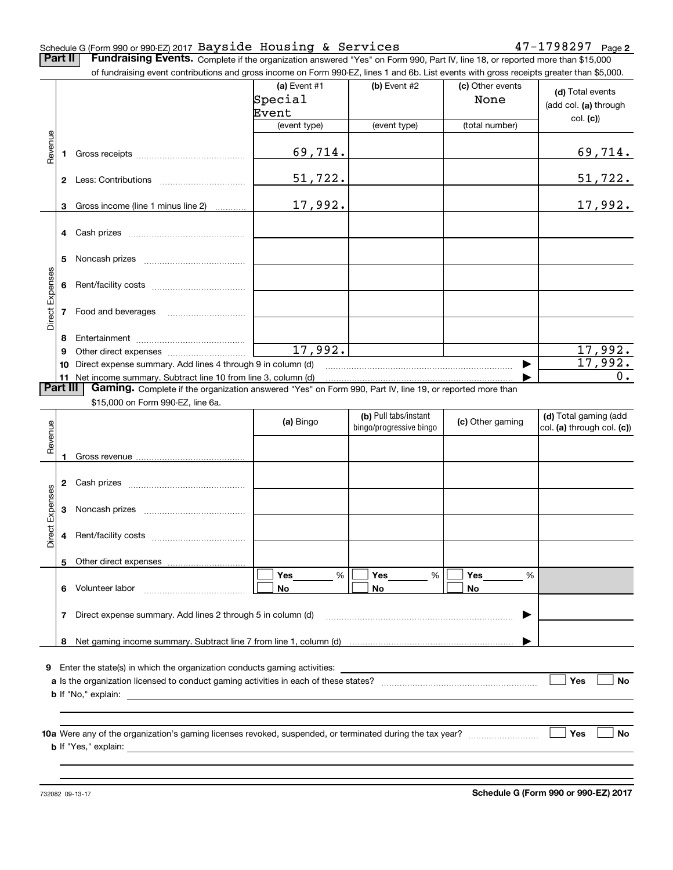#### Schedule G (Form 990 or 990-EZ) 2017  $\mathtt{Bayside}$  Housing & Services  $47-1798297$   $_\mathtt{Page}$

**2**

**Part II** | Fundraising Events. Complete if the organization answered "Yes" on Form 990, Part IV, line 18, or reported more than \$15,000

|                 |          | of fundraising event contributions and gross income on Form 990-EZ, lines 1 and 6b. List events with gross receipts greater than \$5,000. |              |                         |                  |                            |
|-----------------|----------|-------------------------------------------------------------------------------------------------------------------------------------------|--------------|-------------------------|------------------|----------------------------|
|                 |          |                                                                                                                                           | (a) Event #1 | (b) Event #2            | (c) Other events | (d) Total events           |
|                 |          |                                                                                                                                           | Special      |                         | None             | (add col. (a) through      |
|                 |          |                                                                                                                                           | Event        |                         |                  |                            |
|                 |          |                                                                                                                                           | (event type) | (event type)            | (total number)   | col. (c)                   |
|                 |          |                                                                                                                                           |              |                         |                  |                            |
| Revenue         | 1.       |                                                                                                                                           | 69,714.      |                         |                  | <u>69,714.</u>             |
|                 |          |                                                                                                                                           | 51,722.      |                         |                  | 51,722.                    |
|                 |          |                                                                                                                                           |              |                         |                  |                            |
|                 | 3        | Gross income (line 1 minus line 2)                                                                                                        | 17,992.      |                         |                  | 17,992.                    |
|                 |          |                                                                                                                                           |              |                         |                  |                            |
|                 |          |                                                                                                                                           |              |                         |                  |                            |
|                 | 5        |                                                                                                                                           |              |                         |                  |                            |
|                 |          |                                                                                                                                           |              |                         |                  |                            |
| Direct Expenses | 6        |                                                                                                                                           |              |                         |                  |                            |
|                 |          | 7 Food and beverages                                                                                                                      |              |                         |                  |                            |
|                 |          |                                                                                                                                           |              |                         |                  |                            |
|                 | 8        |                                                                                                                                           |              |                         |                  |                            |
|                 | 9        |                                                                                                                                           | 17,992.      |                         |                  | 17,992.                    |
|                 | 10       | Direct expense summary. Add lines 4 through 9 in column (d)                                                                               |              |                         |                  | 17,992.                    |
|                 |          | 11 Net income summary. Subtract line 10 from line 3, column (d)                                                                           |              |                         |                  | 0.                         |
|                 | Part III | Gaming. Complete if the organization answered "Yes" on Form 990, Part IV, line 19, or reported more than                                  |              |                         |                  |                            |
|                 |          | \$15,000 on Form 990-EZ, line 6a.                                                                                                         |              |                         |                  |                            |
|                 |          |                                                                                                                                           |              | (b) Pull tabs/instant   |                  | (d) Total gaming (add      |
| Revenue         |          |                                                                                                                                           | (a) Bingo    | bingo/progressive bingo | (c) Other gaming | col. (a) through col. (c)) |
|                 |          |                                                                                                                                           |              |                         |                  |                            |
|                 | 1        |                                                                                                                                           |              |                         |                  |                            |
|                 |          |                                                                                                                                           |              |                         |                  |                            |
|                 |          |                                                                                                                                           |              |                         |                  |                            |
| Expenses        |          |                                                                                                                                           |              |                         |                  |                            |
|                 | 3        |                                                                                                                                           |              |                         |                  |                            |
|                 |          |                                                                                                                                           |              |                         |                  |                            |
| <b>Direct</b>   |          |                                                                                                                                           |              |                         |                  |                            |
|                 |          |                                                                                                                                           |              |                         |                  |                            |
|                 |          | 5 Other direct expenses                                                                                                                   |              |                         |                  |                            |
|                 |          |                                                                                                                                           | $\%$<br>Yes  | %<br>Yes                | Yes<br>%         |                            |
|                 |          | 6 Volunteer labor                                                                                                                         | No           | No                      | No               |                            |
|                 |          |                                                                                                                                           |              |                         |                  |                            |
|                 | 7        | Direct expense summary. Add lines 2 through 5 in column (d)                                                                               |              |                         |                  |                            |
|                 |          |                                                                                                                                           |              |                         |                  |                            |
|                 |          |                                                                                                                                           |              |                         |                  |                            |
|                 |          |                                                                                                                                           |              |                         |                  |                            |
|                 |          | <b>9</b> Enter the state(s) in which the organization conducts gaming activities:                                                         |              |                         |                  |                            |
|                 |          |                                                                                                                                           |              |                         |                  | Yes<br>No                  |
|                 |          |                                                                                                                                           |              |                         |                  |                            |
|                 |          |                                                                                                                                           |              |                         |                  |                            |
|                 |          |                                                                                                                                           |              |                         |                  |                            |
|                 |          |                                                                                                                                           |              |                         |                  | Yes<br>No                  |
|                 |          |                                                                                                                                           |              |                         |                  |                            |
|                 |          |                                                                                                                                           |              |                         |                  |                            |
|                 |          |                                                                                                                                           |              |                         |                  |                            |

**Schedule G (Form 990 or 990-EZ) 2017**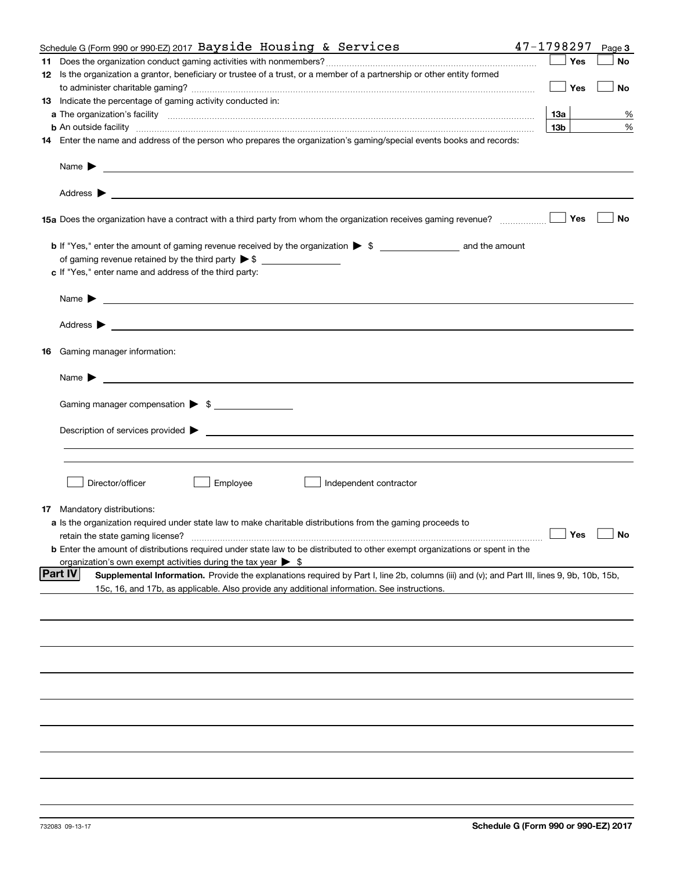| Schedule G (Form 990 or 990-EZ) 2017 Bayside Housing & Services                                                                                                                                                                                                    | 47-1798297      |     | Page 3                                             |
|--------------------------------------------------------------------------------------------------------------------------------------------------------------------------------------------------------------------------------------------------------------------|-----------------|-----|----------------------------------------------------|
|                                                                                                                                                                                                                                                                    |                 | Yes | No                                                 |
| 12 Is the organization a grantor, beneficiary or trustee of a trust, or a member of a partnership or other entity formed                                                                                                                                           |                 |     |                                                    |
|                                                                                                                                                                                                                                                                    |                 | Yes | No                                                 |
| 13 Indicate the percentage of gaming activity conducted in:                                                                                                                                                                                                        |                 |     |                                                    |
|                                                                                                                                                                                                                                                                    | 13а             |     | %                                                  |
|                                                                                                                                                                                                                                                                    | 13 <sub>b</sub> |     | %                                                  |
| <b>b</b> An outside facility <i>www.communicality communicality communicality communicality communicality communicality communicality communicality communicality communicality communicality communicality communicality communicali</i>                          |                 |     |                                                    |
| 14 Enter the name and address of the person who prepares the organization's gaming/special events books and records:                                                                                                                                               |                 |     |                                                    |
| Name $\blacktriangleright$<br><u> 1990 - Jan Samuel Barbara, martin a shekara ta 1991 - An tsara tsa a shekara tsa a tsa a tsa a tsa a tsa a tsa</u>                                                                                                               |                 |     |                                                    |
|                                                                                                                                                                                                                                                                    |                 |     |                                                    |
| 15a Does the organization have a contract with a third party from whom the organization receives gaming revenue?                                                                                                                                                   |                 | Yes | No                                                 |
| b If "Yes," enter the amount of gaming revenue received by the organization > \$ ___________________ and the amount                                                                                                                                                |                 |     |                                                    |
| of gaming revenue retained by the third party $\triangleright$ \$ $\_\_\_\_\_\_\_\_\_\_\_\_\_\_\_\_\_\_\_\_\_\_\_\_\_\_$                                                                                                                                           |                 |     |                                                    |
| c If "Yes," enter name and address of the third party:                                                                                                                                                                                                             |                 |     |                                                    |
|                                                                                                                                                                                                                                                                    |                 |     |                                                    |
| Name $\blacktriangleright$<br><u>state and the state of the state of the state of the state of the state of the state of the state of the state of the state of the state of the state of the state of the state of the state of the state of the state of the</u> |                 |     |                                                    |
|                                                                                                                                                                                                                                                                    |                 |     |                                                    |
| <b>16</b> Gaming manager information:                                                                                                                                                                                                                              |                 |     |                                                    |
| Name $\blacktriangleright$<br><u> 1989 - Johann Barn, fransk politik formuler (d. 1989)</u>                                                                                                                                                                        |                 |     |                                                    |
|                                                                                                                                                                                                                                                                    |                 |     |                                                    |
| Gaming manager compensation > \$                                                                                                                                                                                                                                   |                 |     |                                                    |
|                                                                                                                                                                                                                                                                    |                 |     |                                                    |
|                                                                                                                                                                                                                                                                    |                 |     |                                                    |
| Director/officer<br>Employee<br>Independent contractor                                                                                                                                                                                                             |                 |     |                                                    |
|                                                                                                                                                                                                                                                                    |                 |     |                                                    |
| <b>17</b> Mandatory distributions:                                                                                                                                                                                                                                 |                 |     |                                                    |
| a Is the organization required under state law to make charitable distributions from the gaming proceeds to                                                                                                                                                        |                 |     |                                                    |
|                                                                                                                                                                                                                                                                    |                 |     | $\boxed{\phantom{1}}$ Yes $\boxed{\phantom{1}}$ No |
| <b>b</b> Enter the amount of distributions required under state law to be distributed to other exempt organizations or spent in the                                                                                                                                |                 |     |                                                    |
| organization's own exempt activities during the tax year $\triangleright$ \$                                                                                                                                                                                       |                 |     |                                                    |
| <b>Part IV</b><br>Supplemental Information. Provide the explanations required by Part I, line 2b, columns (iii) and (v); and Part III, lines 9, 9b, 10b, 15b,                                                                                                      |                 |     |                                                    |
| 15c, 16, and 17b, as applicable. Also provide any additional information. See instructions.                                                                                                                                                                        |                 |     |                                                    |
|                                                                                                                                                                                                                                                                    |                 |     |                                                    |
|                                                                                                                                                                                                                                                                    |                 |     |                                                    |
|                                                                                                                                                                                                                                                                    |                 |     |                                                    |
|                                                                                                                                                                                                                                                                    |                 |     |                                                    |
|                                                                                                                                                                                                                                                                    |                 |     |                                                    |
|                                                                                                                                                                                                                                                                    |                 |     |                                                    |
|                                                                                                                                                                                                                                                                    |                 |     |                                                    |
|                                                                                                                                                                                                                                                                    |                 |     |                                                    |
|                                                                                                                                                                                                                                                                    |                 |     |                                                    |
|                                                                                                                                                                                                                                                                    |                 |     |                                                    |
|                                                                                                                                                                                                                                                                    |                 |     |                                                    |
|                                                                                                                                                                                                                                                                    |                 |     |                                                    |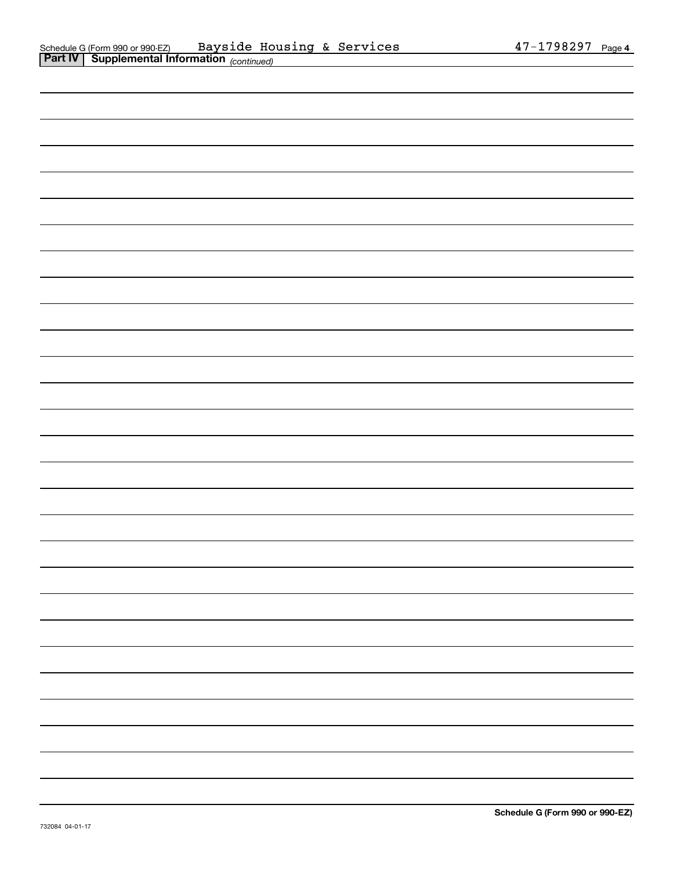| ,我们的人们也不会有一个人的人,我们的人们也不会有一个人的人,我们的人们也不会有一个人的人,我们的人们也不会有一个人的人,我们的人们也不会有一个人的人,我们也不                                                                                     |  |
|----------------------------------------------------------------------------------------------------------------------------------------------------------------------|--|
| ,我们也不会有一个人的事情。""我们的人们,我们也不会有一个人的人,我们也不会有一个人的人,我们也不会有一个人的人,我们也不会有一个人的人,我们也不会有一个人的<br>第一百一十一章 我们的人,我们的人们的人们,我们的人们的人们的人们,我们的人们的人们的人们,我们的人们的人们,我们的人们的人们,我们的人们的人们,我们的人们的人 |  |
|                                                                                                                                                                      |  |
|                                                                                                                                                                      |  |
|                                                                                                                                                                      |  |
|                                                                                                                                                                      |  |
|                                                                                                                                                                      |  |
|                                                                                                                                                                      |  |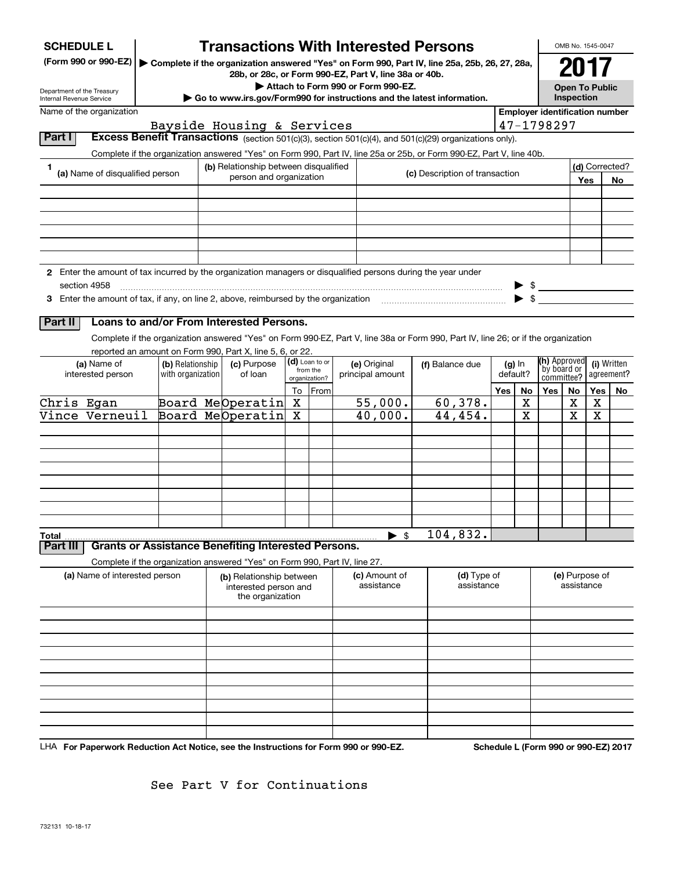| <b>Transactions With Interested Persons</b><br><b>SCHEDULE L</b><br>(Form 990 or 990-EZ)<br>Complete if the organization answered "Yes" on Form 990, Part IV, line 25a, 25b, 26, 27, 28a,<br>28b, or 28c, or Form 990-EZ, Part V, line 38a or 40b.<br>Attach to Form 990 or Form 990-EZ.<br>Department of the Treasury<br>Go to www.irs.gov/Form990 for instructions and the latest information.<br>Internal Revenue Service |                                                                                                                                       |  |                                                                       |    |                            |                                  |                             |                             |                           |                                       |            | OMB No. 1545-0047<br>2017<br><b>Open To Public</b><br>Inspection |                                                          |     |    |  |  |  |
|------------------------------------------------------------------------------------------------------------------------------------------------------------------------------------------------------------------------------------------------------------------------------------------------------------------------------------------------------------------------------------------------------------------------------|---------------------------------------------------------------------------------------------------------------------------------------|--|-----------------------------------------------------------------------|----|----------------------------|----------------------------------|-----------------------------|-----------------------------|---------------------------|---------------------------------------|------------|------------------------------------------------------------------|----------------------------------------------------------|-----|----|--|--|--|
| Name of the organization                                                                                                                                                                                                                                                                                                                                                                                                     |                                                                                                                                       |  |                                                                       |    |                            |                                  |                             |                             |                           | <b>Employer identification number</b> |            |                                                                  |                                                          |     |    |  |  |  |
| Part I                                                                                                                                                                                                                                                                                                                                                                                                                       | Excess Benefit Transactions (section 501(c)(3), section 501(c)(4), and 501(c)(29) organizations only).                                |  | Bayside Housing & Services                                            |    |                            |                                  |                             |                             |                           |                                       | 47-1798297 |                                                                  |                                                          |     |    |  |  |  |
|                                                                                                                                                                                                                                                                                                                                                                                                                              | Complete if the organization answered "Yes" on Form 990, Part IV, line 25a or 25b, or Form 990-EZ, Part V, line 40b.                  |  |                                                                       |    |                            |                                  |                             |                             |                           |                                       |            |                                                                  |                                                          |     |    |  |  |  |
| 1                                                                                                                                                                                                                                                                                                                                                                                                                            | (b) Relationship between disqualified<br>(a) Name of disqualified person<br>(c) Description of transaction<br>person and organization |  |                                                                       |    |                            |                                  |                             | (d) Corrected?<br>Yes<br>No |                           |                                       |            |                                                                  |                                                          |     |    |  |  |  |
|                                                                                                                                                                                                                                                                                                                                                                                                                              |                                                                                                                                       |  |                                                                       |    |                            |                                  |                             |                             |                           |                                       |            |                                                                  |                                                          |     |    |  |  |  |
|                                                                                                                                                                                                                                                                                                                                                                                                                              |                                                                                                                                       |  |                                                                       |    |                            |                                  |                             |                             |                           |                                       |            |                                                                  |                                                          |     |    |  |  |  |
|                                                                                                                                                                                                                                                                                                                                                                                                                              |                                                                                                                                       |  |                                                                       |    |                            |                                  |                             |                             |                           |                                       |            |                                                                  |                                                          |     |    |  |  |  |
|                                                                                                                                                                                                                                                                                                                                                                                                                              |                                                                                                                                       |  |                                                                       |    |                            |                                  |                             |                             |                           |                                       |            |                                                                  |                                                          |     |    |  |  |  |
| 2 Enter the amount of tax incurred by the organization managers or disqualified persons during the year under                                                                                                                                                                                                                                                                                                                |                                                                                                                                       |  |                                                                       |    |                            |                                  |                             |                             |                           |                                       |            |                                                                  |                                                          |     |    |  |  |  |
| section 4958                                                                                                                                                                                                                                                                                                                                                                                                                 |                                                                                                                                       |  |                                                                       |    |                            |                                  |                             |                             |                           |                                       |            | $\triangleright$ \$                                              |                                                          |     |    |  |  |  |
| 3 Enter the amount of tax, if any, on line 2, above, reimbursed by the organization [11,111] Enter the amount of tax, if any, on line 2, above, reimbursed by the organization                                                                                                                                                                                                                                               |                                                                                                                                       |  |                                                                       |    |                            |                                  |                             |                             |                           |                                       |            | $\blacktriangleright$ \$                                         |                                                          |     |    |  |  |  |
| Part II                                                                                                                                                                                                                                                                                                                                                                                                                      | Loans to and/or From Interested Persons.                                                                                              |  |                                                                       |    |                            |                                  |                             |                             |                           |                                       |            |                                                                  |                                                          |     |    |  |  |  |
|                                                                                                                                                                                                                                                                                                                                                                                                                              | Complete if the organization answered "Yes" on Form 990-EZ, Part V, line 38a or Form 990, Part IV, line 26; or if the organization    |  |                                                                       |    |                            |                                  |                             |                             |                           |                                       |            |                                                                  |                                                          |     |    |  |  |  |
|                                                                                                                                                                                                                                                                                                                                                                                                                              | reported an amount on Form 990, Part X, line 5, 6, or 22.                                                                             |  |                                                                       |    |                            |                                  |                             |                             |                           |                                       |            |                                                                  |                                                          |     |    |  |  |  |
| (a) Name of<br>interested person                                                                                                                                                                                                                                                                                                                                                                                             | (b) Relationship<br>with organization                                                                                                 |  | (c) Purpose<br>of loan                                                |    | (d) Loan to or<br>from the | (e) Original<br>principal amount |                             | (f) Balance due             |                           | $(g)$ In<br>default?                  |            |                                                                  | (h) Approved<br>(i) Written<br>by board or<br>agreement? |     |    |  |  |  |
|                                                                                                                                                                                                                                                                                                                                                                                                                              |                                                                                                                                       |  |                                                                       | To | organization?<br>From      |                                  |                             |                             |                           |                                       | No         | committee?<br><b>Yes</b>                                         |                                                          | Yes |    |  |  |  |
| Chris Egan                                                                                                                                                                                                                                                                                                                                                                                                                   |                                                                                                                                       |  | Board MeOperatin                                                      | x  |                            |                                  | 55,000.                     |                             | 60,378.                   | Yes                                   | x          |                                                                  | No<br>х                                                  | х   | No |  |  |  |
| Vince Verneuil                                                                                                                                                                                                                                                                                                                                                                                                               |                                                                                                                                       |  | Board MeOperatin                                                      | х  |                            |                                  | 40,000.                     |                             | 44,454.                   |                                       | X          |                                                                  | X                                                        | X   |    |  |  |  |
|                                                                                                                                                                                                                                                                                                                                                                                                                              |                                                                                                                                       |  |                                                                       |    |                            |                                  |                             |                             |                           |                                       |            |                                                                  |                                                          |     |    |  |  |  |
|                                                                                                                                                                                                                                                                                                                                                                                                                              |                                                                                                                                       |  |                                                                       |    |                            |                                  |                             |                             |                           |                                       |            |                                                                  |                                                          |     |    |  |  |  |
|                                                                                                                                                                                                                                                                                                                                                                                                                              |                                                                                                                                       |  |                                                                       |    |                            |                                  |                             |                             |                           |                                       |            |                                                                  |                                                          |     |    |  |  |  |
|                                                                                                                                                                                                                                                                                                                                                                                                                              |                                                                                                                                       |  |                                                                       |    |                            |                                  |                             |                             |                           |                                       |            |                                                                  |                                                          |     |    |  |  |  |
|                                                                                                                                                                                                                                                                                                                                                                                                                              |                                                                                                                                       |  |                                                                       |    |                            |                                  |                             |                             |                           |                                       |            |                                                                  |                                                          |     |    |  |  |  |
|                                                                                                                                                                                                                                                                                                                                                                                                                              |                                                                                                                                       |  |                                                                       |    |                            |                                  |                             |                             |                           |                                       |            |                                                                  |                                                          |     |    |  |  |  |
| Total                                                                                                                                                                                                                                                                                                                                                                                                                        |                                                                                                                                       |  |                                                                       |    |                            |                                  | \$<br>▶                     |                             | 104,832.                  |                                       |            |                                                                  |                                                          |     |    |  |  |  |
| Part III                                                                                                                                                                                                                                                                                                                                                                                                                     | <b>Grants or Assistance Benefiting Interested Persons.</b>                                                                            |  |                                                                       |    |                            |                                  |                             |                             |                           |                                       |            |                                                                  |                                                          |     |    |  |  |  |
|                                                                                                                                                                                                                                                                                                                                                                                                                              | Complete if the organization answered "Yes" on Form 990, Part IV, line 27.                                                            |  |                                                                       |    |                            |                                  |                             |                             |                           |                                       |            |                                                                  |                                                          |     |    |  |  |  |
| (a) Name of interested person                                                                                                                                                                                                                                                                                                                                                                                                |                                                                                                                                       |  | (b) Relationship between<br>interested person and<br>the organization |    |                            |                                  | (c) Amount of<br>assistance |                             | (d) Type of<br>assistance |                                       |            | (e) Purpose of<br>assistance                                     |                                                          |     |    |  |  |  |
|                                                                                                                                                                                                                                                                                                                                                                                                                              |                                                                                                                                       |  |                                                                       |    |                            |                                  |                             |                             |                           |                                       |            |                                                                  |                                                          |     |    |  |  |  |
|                                                                                                                                                                                                                                                                                                                                                                                                                              |                                                                                                                                       |  |                                                                       |    |                            |                                  |                             |                             |                           |                                       |            |                                                                  |                                                          |     |    |  |  |  |
|                                                                                                                                                                                                                                                                                                                                                                                                                              |                                                                                                                                       |  |                                                                       |    |                            |                                  |                             |                             |                           |                                       |            |                                                                  |                                                          |     |    |  |  |  |
|                                                                                                                                                                                                                                                                                                                                                                                                                              |                                                                                                                                       |  |                                                                       |    |                            |                                  |                             |                             |                           |                                       |            |                                                                  |                                                          |     |    |  |  |  |
|                                                                                                                                                                                                                                                                                                                                                                                                                              |                                                                                                                                       |  |                                                                       |    |                            |                                  |                             |                             |                           |                                       |            |                                                                  |                                                          |     |    |  |  |  |
|                                                                                                                                                                                                                                                                                                                                                                                                                              |                                                                                                                                       |  |                                                                       |    |                            |                                  |                             |                             |                           |                                       |            |                                                                  |                                                          |     |    |  |  |  |
|                                                                                                                                                                                                                                                                                                                                                                                                                              |                                                                                                                                       |  |                                                                       |    |                            |                                  |                             |                             |                           |                                       |            |                                                                  |                                                          |     |    |  |  |  |
|                                                                                                                                                                                                                                                                                                                                                                                                                              |                                                                                                                                       |  |                                                                       |    |                            |                                  |                             |                             |                           |                                       |            |                                                                  |                                                          |     |    |  |  |  |

LHA For Paperwork Reduction Act Notice, see the Instructions for Form 990 or 990-EZ. Schedule L (Form 990 or 990-EZ) 2017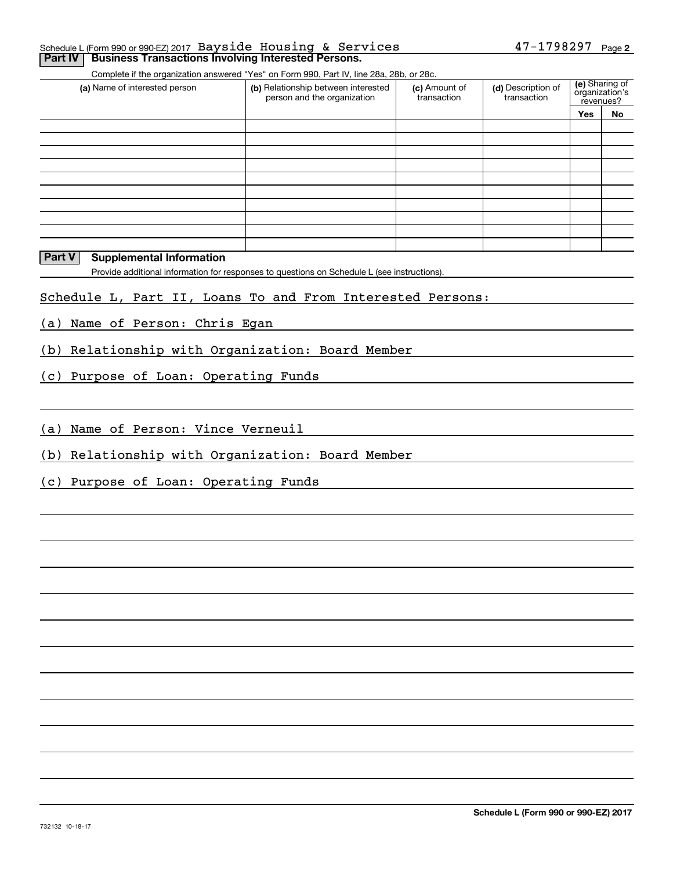#### **2** Schedule L (Form 990 or 990-EZ) 2017 Page 47-1798297 Bayside Housing & Services**Part IV** Business Transactions Involving Interested Persons.

Complete if the organization answered "Yes" on Form 990, Part IV, line 28a, 28b, or 28c.

| (a) Name of interested person | (b) Relationship between interested<br>person and the organization | (c) Amount of<br>transaction | (d) Description of<br>transaction | (e) Sharing of<br>organization's<br>revenues? |    |
|-------------------------------|--------------------------------------------------------------------|------------------------------|-----------------------------------|-----------------------------------------------|----|
|                               |                                                                    |                              |                                   | <b>Yes</b>                                    | No |
|                               |                                                                    |                              |                                   |                                               |    |
|                               |                                                                    |                              |                                   |                                               |    |
|                               |                                                                    |                              |                                   |                                               |    |
|                               |                                                                    |                              |                                   |                                               |    |
|                               |                                                                    |                              |                                   |                                               |    |
|                               |                                                                    |                              |                                   |                                               |    |
|                               |                                                                    |                              |                                   |                                               |    |
|                               |                                                                    |                              |                                   |                                               |    |
|                               |                                                                    |                              |                                   |                                               |    |
|                               |                                                                    |                              |                                   |                                               |    |

### **Part V** Supplemental Information

Provide additional information for responses to questions on Schedule L (see instructions).

### Schedule L, Part II, Loans To and From Interested Persons:

(a) Name of Person: Chris Egan

(b) Relationship with Organization: Board Member

(c) Purpose of Loan: Operating Funds

(a) Name of Person: Vince Verneuil

(b) Relationship with Organization: Board Member

(c) Purpose of Loan: Operating Funds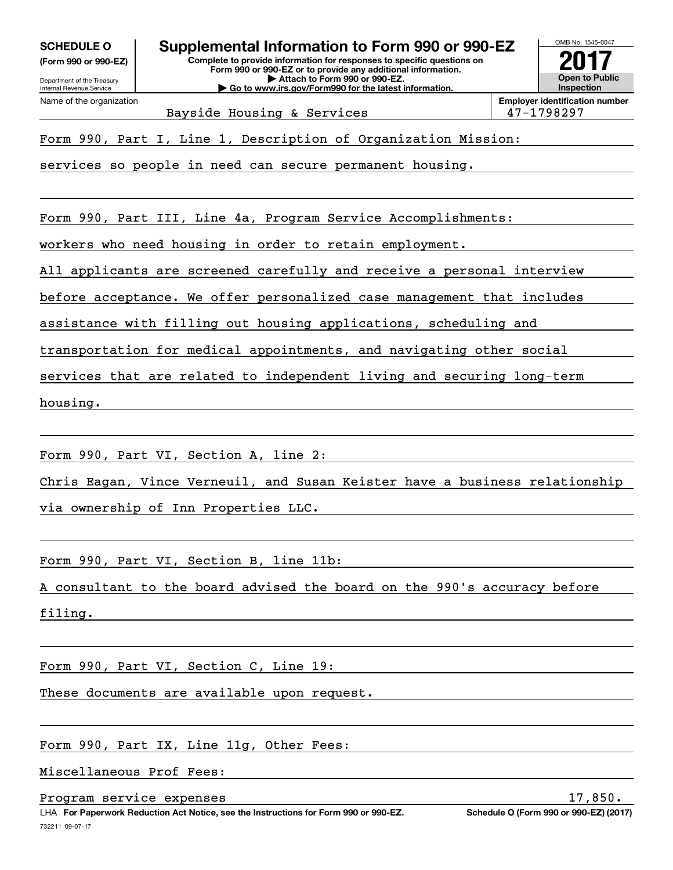**(Form 990 or 990-EZ)**

Department of the Treasury Internal Revenue Service Name of the organization

OMB No. 1545-0047 **Complete to provide information for responses to specific questions on SCHEDULE O Supplemental Information to Form 990 or 990-EZ**

**Form 990 or 990-EZ or to provide any additional information. | Attach to Form 990 or 990-EZ. | Go to www.irs.gov/Form990 for the latest information.**



Bayside Housing & Services 198297

Form 990, Part I, Line 1, Description of Organization Mission:

services so people in need can secure permanent housing.

Form 990, Part III, Line 4a, Program Service Accomplishments:

workers who need housing in order to retain employment.

All applicants are screened carefully and receive a personal interview

before acceptance. We offer personalized case management that includes

assistance with filling out housing applications, scheduling and

transportation for medical appointments, and navigating other social

services that are related to independent living and securing long-term

housing.

Form 990, Part VI, Section A, line 2:

Chris Eagan, Vince Verneuil, and Susan Keister have a business relationship

via ownership of Inn Properties LLC.

Form 990, Part VI, Section B, line 11b:

A consultant to the board advised the board on the 990's accuracy before

filing.

Form 990, Part VI, Section C, Line 19:

These documents are available upon request.

Form 990, Part IX, Line 11g, Other Fees:

Miscellaneous Prof Fees:

Program service expenses 17,850.